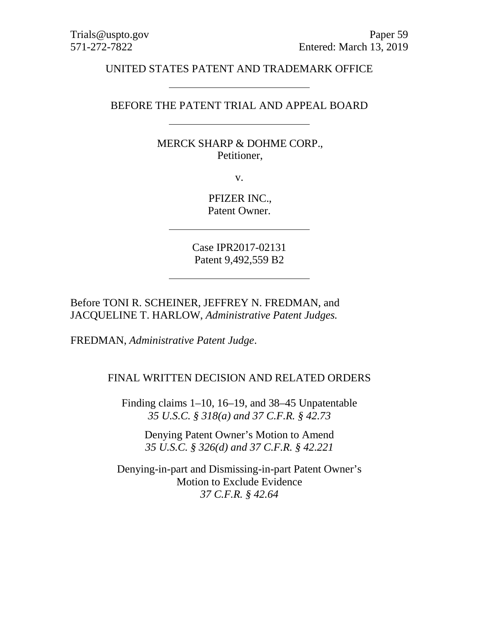### UNITED STATES PATENT AND TRADEMARK OFFICE

#### BEFORE THE PATENT TRIAL AND APPEAL BOARD

## MERCK SHARP & DOHME CORP., Petitioner,

v.

PFIZER INC., Patent Owner.

Case IPR2017-02131 Patent 9,492,559 B2

Before TONI R. SCHEINER, JEFFREY N. FREDMAN, and JACQUELINE T. HARLOW, *Administrative Patent Judges.*

FREDMAN, *Administrative Patent Judge*.

#### FINAL WRITTEN DECISION AND RELATED ORDERS

Finding claims 1–10, 16–19, and 38–45 Unpatentable *35 U.S.C. § 318(a) and 37 C.F.R. § 42.73*

Denying Patent Owner's Motion to Amend *35 U.S.C. § 326(d) and 37 C.F.R. § 42.221*

Denying-in-part and Dismissing-in-part Patent Owner's Motion to Exclude Evidence *37 C.F.R. § 42.64*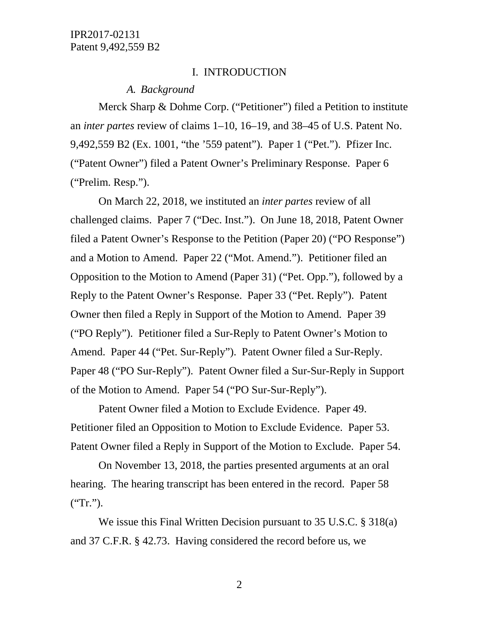#### I. INTRODUCTION

#### *A. Background*

Merck Sharp & Dohme Corp. ("Petitioner") filed a Petition to institute an *inter partes* review of claims 1–10, 16–19, and 38–45 of U.S. Patent No. 9,492,559 B2 (Ex. 1001, "the '559 patent"). Paper 1 ("Pet."). Pfizer Inc. ("Patent Owner") filed a Patent Owner's Preliminary Response. Paper 6 ("Prelim. Resp.").

On March 22, 2018, we instituted an *inter partes* review of all challenged claims. Paper 7 ("Dec. Inst."). On June 18, 2018, Patent Owner filed a Patent Owner's Response to the Petition (Paper 20) ("PO Response") and a Motion to Amend. Paper 22 ("Mot. Amend."). Petitioner filed an Opposition to the Motion to Amend (Paper 31) ("Pet. Opp."), followed by a Reply to the Patent Owner's Response. Paper 33 ("Pet. Reply"). Patent Owner then filed a Reply in Support of the Motion to Amend. Paper 39 ("PO Reply"). Petitioner filed a Sur-Reply to Patent Owner's Motion to Amend. Paper 44 ("Pet. Sur-Reply"). Patent Owner filed a Sur-Reply. Paper 48 ("PO Sur-Reply"). Patent Owner filed a Sur-Sur-Reply in Support of the Motion to Amend. Paper 54 ("PO Sur-Sur-Reply").

Patent Owner filed a Motion to Exclude Evidence. Paper 49. Petitioner filed an Opposition to Motion to Exclude Evidence. Paper 53. Patent Owner filed a Reply in Support of the Motion to Exclude. Paper 54.

On November 13, 2018, the parties presented arguments at an oral hearing. The hearing transcript has been entered in the record. Paper 58  $("Tr.").$ 

We issue this Final Written Decision pursuant to 35 U.S.C. § 318(a) and 37 C.F.R. § 42.73. Having considered the record before us, we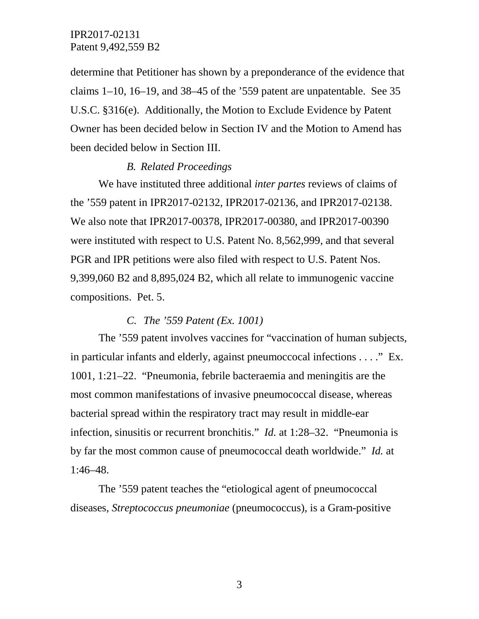determine that Petitioner has shown by a preponderance of the evidence that claims 1–10, 16–19, and 38–45 of the '559 patent are unpatentable. See 35 U.S.C. §316(e). Additionally, the Motion to Exclude Evidence by Patent Owner has been decided below in Section IV and the Motion to Amend has been decided below in Section III.

#### *B. Related Proceedings*

We have instituted three additional *inter partes* reviews of claims of the '559 patent in IPR2017-02132, IPR2017-02136, and IPR2017-02138. We also note that IPR2017-00378, IPR2017-00380, and IPR2017-00390 were instituted with respect to U.S. Patent No. 8,562,999, and that several PGR and IPR petitions were also filed with respect to U.S. Patent Nos. 9,399,060 B2 and 8,895,024 B2, which all relate to immunogenic vaccine compositions. Pet. 5.

#### *C. The '559 Patent (Ex. 1001)*

The '559 patent involves vaccines for "vaccination of human subjects, in particular infants and elderly, against pneumoccocal infections . . . ." Ex. 1001, 1:21–22. "Pneumonia, febrile bacteraemia and meningitis are the most common manifestations of invasive pneumococcal disease, whereas bacterial spread within the respiratory tract may result in middle-ear infection, sinusitis or recurrent bronchitis." *Id.* at 1:28–32. "Pneumonia is by far the most common cause of pneumococcal death worldwide." *Id.* at 1:46–48.

The '559 patent teaches the "etiological agent of pneumococcal diseases, *Streptococcus pneumoniae* (pneumococcus), is a Gram-positive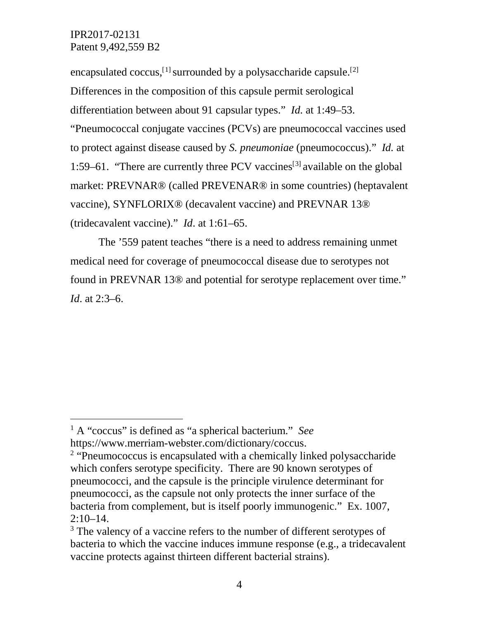encapsulated coccus,<sup>[[1](#page-3-0)]</sup> surrounded by a polysaccharide capsule.<sup>[[2](#page-3-1)]</sup> Differences in the composition of this capsule permit serological differentiation between about 91 capsular types." *Id.* at 1:49–53. "Pneumococcal conjugate vaccines (PCVs) are pneumococcal vaccines used to protect against disease caused by *S. pneumoniae* (pneumococcus)." *Id.* at 1:59–61. "There are currently three PCV vaccines<sup>[[3\]](#page-3-2)</sup> available on the global market: PREVNAR® (called PREVENAR® in some countries) (heptavalent vaccine), SYNFLORIX® (decavalent vaccine) and PREVNAR 13® (tridecavalent vaccine)." *Id*. at 1:61–65.

The '559 patent teaches "there is a need to address remaining unmet medical need for coverage of pneumococcal disease due to serotypes not found in PREVNAR 13® and potential for serotype replacement over time." *Id*. at 2:3–6.

<span id="page-3-0"></span> <sup>1</sup> A "coccus" is defined as "a spherical bacterium." *See* [https://www.merriam-webster.com/dictionary/coccus.](https://www.merriam-webster.com/dictionary/coccus)

<span id="page-3-1"></span><sup>&</sup>lt;sup>2</sup> "Pneumococcus is encapsulated with a chemically linked polysaccharide which confers serotype specificity. There are 90 known serotypes of pneumococci, and the capsule is the principle virulence determinant for pneumococci, as the capsule not only protects the inner surface of the bacteria from complement, but is itself poorly immunogenic." Ex. 1007,  $2:10-14.$ 

<span id="page-3-2"></span><sup>&</sup>lt;sup>3</sup> The valency of a vaccine refers to the number of different serotypes of bacteria to which the vaccine induces immune response (e.g., a tridecavalent vaccine protects against thirteen different bacterial strains).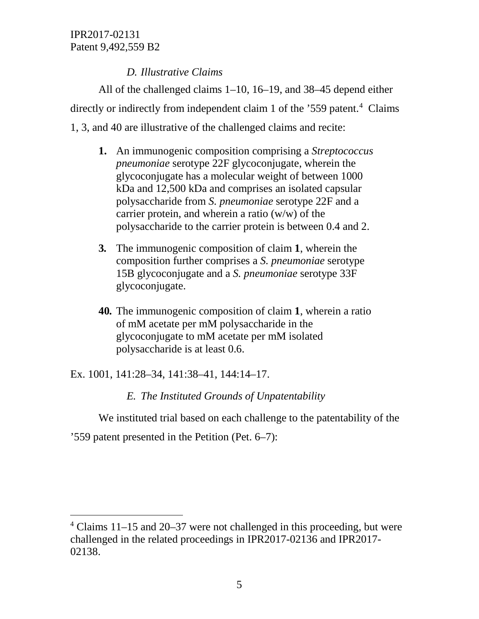# *D. Illustrative Claims*

All of the challenged claims 1–10, 16–19, and 38–45 depend either directly or indirectly from independent claim 1 of the '559 patent.<sup>4</sup> Claims 1, 3, and 40 are illustrative of the challenged claims and recite:

- **1.** An immunogenic composition comprising a *Streptococcus pneumoniae* serotype 22F glycoconjugate, wherein the glycoconjugate has a molecular weight of between 1000 kDa and 12,500 kDa and comprises an isolated capsular polysaccharide from *S. pneumoniae* serotype 22F and a carrier protein, and wherein a ratio (w/w) of the polysaccharide to the carrier protein is between 0.4 and 2.
- **3***.* The immunogenic composition of claim **1**, wherein the composition further comprises a *S. pneumoniae* serotype 15B glycoconjugate and a *S. pneumoniae* serotype 33F glycoconjugate.
- **40***.* The immunogenic composition of claim **1**, wherein a ratio of mM acetate per mM polysaccharide in the glycoconjugate to mM acetate per mM isolated polysaccharide is at least 0.6.

Ex. 1001, 141:28–34, 141:38–41, 144:14–17.

*E. The Instituted Grounds of Unpatentability*

We instituted trial based on each challenge to the patentability of the

'559 patent presented in the Petition (Pet. 6–7):

<span id="page-4-0"></span> <sup>4</sup> Claims 11–15 and 20–37 were not challenged in this proceeding, but were challenged in the related proceedings in IPR2017-02136 and IPR2017- 02138.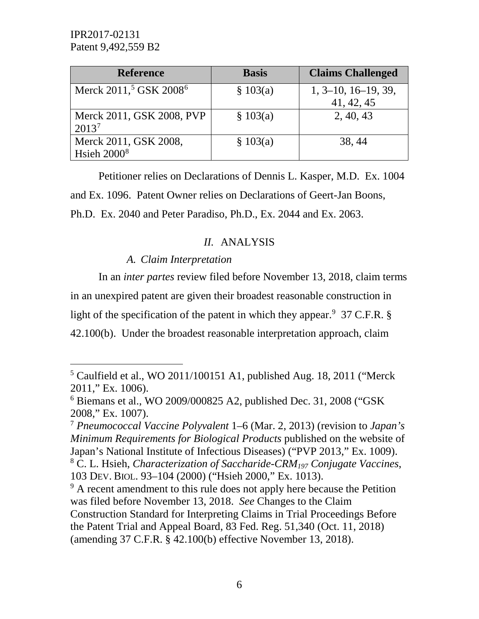| <b>Reference</b>                               | <b>Basis</b> | <b>Claims Challenged</b> |
|------------------------------------------------|--------------|--------------------------|
| Merck 2011, <sup>5</sup> GSK 2008 <sup>6</sup> | \$103(a)     | $1, 3-10, 16-19, 39,$    |
|                                                |              | 41, 42, 45               |
| Merck 2011, GSK 2008, PVP                      | \$103(a)     | 2, 40, 43                |
| 2013 <sup>7</sup>                              |              |                          |
| Merck 2011, GSK 2008,                          | \$103(a)     | 38, 44                   |
| Hsieh $20008$                                  |              |                          |

Petitioner relies on Declarations of Dennis L. Kasper, M.D. Ex. 1004 and Ex. 1096. Patent Owner relies on Declarations of Geert-Jan Boons, Ph.D. Ex. 2040 and Peter Paradiso, Ph.D., Ex. 2044 and Ex. 2063.

# *II.* ANALYSIS

# *A. Claim Interpretation*

In an *inter partes* review filed before November 13, 2018, claim terms in an unexpired patent are given their broadest reasonable construction in light of the specification of the patent in which they appear. <sup>[9](#page-5-4)</sup> 37 C.F.R. § 42.100(b). Under the broadest reasonable interpretation approach, claim

<span id="page-5-0"></span> $5$  Caulfield et al., WO 2011/100151 A1, published Aug. 18, 2011 ("Merck" 2011," Ex. 1006).

<span id="page-5-1"></span> $6$  Biemans et al., WO 2009/000825 A2, published Dec. 31, 2008 ("GSK) 2008," Ex. 1007).

<span id="page-5-2"></span><sup>7</sup> *Pneumococcal Vaccine Polyvalent* 1–6 (Mar. 2, 2013) (revision to *Japan's Minimum Requirements for Biological Products* published on the website of Japan's National Institute of Infectious Diseases) ("PVP 2013," Ex. 1009).

<span id="page-5-3"></span><sup>8</sup> C. L. Hsieh, *Characterization of Saccharide-CRM197 Conjugate Vaccines*, 103 DEV. BIOL. 93–104 (2000) ("Hsieh 2000," Ex. 1013).

<span id="page-5-4"></span><sup>&</sup>lt;sup>9</sup> A recent amendment to this rule does not apply here because the Petition was filed before November 13, 2018. *See* Changes to the Claim Construction Standard for Interpreting Claims in Trial Proceedings Before the Patent Trial and Appeal Board, 83 Fed. Reg. 51,340 (Oct. 11, 2018) (amending 37 C.F.R. § 42.100(b) effective November 13, 2018).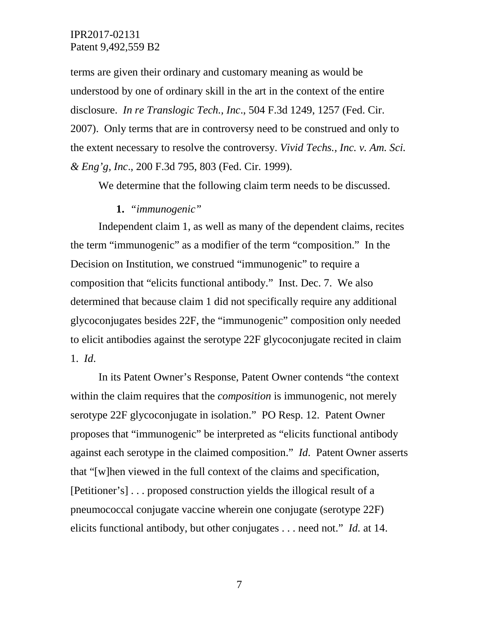terms are given their ordinary and customary meaning as would be understood by one of ordinary skill in the art in the context of the entire disclosure. *In re Translogic Tech., Inc*., 504 F.3d 1249, 1257 (Fed. Cir. 2007). Only terms that are in controversy need to be construed and only to the extent necessary to resolve the controversy. *Vivid Techs., Inc. v. Am. Sci. & Eng'g, Inc*., 200 F.3d 795, 803 (Fed. Cir. 1999).

We determine that the following claim term needs to be discussed.

#### **1.** *"immunogenic"*

Independent claim 1, as well as many of the dependent claims, recites the term "immunogenic" as a modifier of the term "composition." In the Decision on Institution, we construed "immunogenic" to require a composition that "elicits functional antibody." Inst. Dec. 7. We also determined that because claim 1 did not specifically require any additional glycoconjugates besides 22F, the "immunogenic" composition only needed to elicit antibodies against the serotype 22F glycoconjugate recited in claim 1. *Id*.

In its Patent Owner's Response, Patent Owner contends "the context within the claim requires that the *composition* is immunogenic, not merely serotype 22F glycoconjugate in isolation." PO Resp. 12. Patent Owner proposes that "immunogenic" be interpreted as "elicits functional antibody against each serotype in the claimed composition." *Id*. Patent Owner asserts that "[w]hen viewed in the full context of the claims and specification, [Petitioner's] . . . proposed construction yields the illogical result of a pneumococcal conjugate vaccine wherein one conjugate (serotype 22F) elicits functional antibody, but other conjugates . . . need not." *Id.* at 14.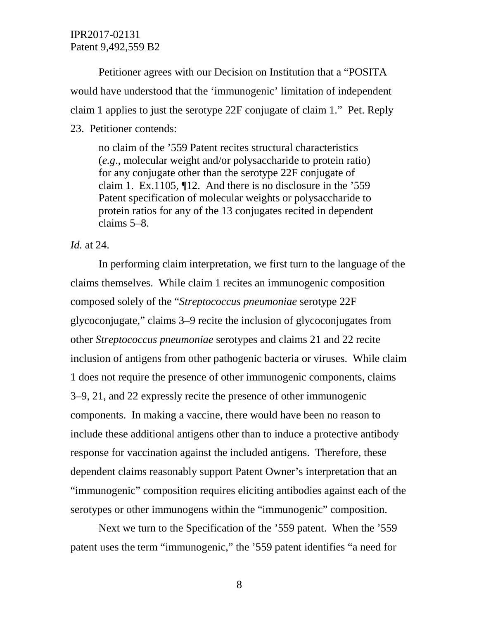Petitioner agrees with our Decision on Institution that a "POSITA would have understood that the 'immunogenic' limitation of independent claim 1 applies to just the serotype 22F conjugate of claim 1." Pet. Reply 23. Petitioner contends:

no claim of the '559 Patent recites structural characteristics (*e.g*., molecular weight and/or polysaccharide to protein ratio) for any conjugate other than the serotype 22F conjugate of claim 1. Ex.1105, ¶12. And there is no disclosure in the '559 Patent specification of molecular weights or polysaccharide to protein ratios for any of the 13 conjugates recited in dependent claims 5–8.

*Id.* at 24.

In performing claim interpretation, we first turn to the language of the claims themselves. While claim 1 recites an immunogenic composition composed solely of the "*Streptococcus pneumoniae* serotype 22F glycoconjugate," claims 3–9 recite the inclusion of glycoconjugates from other *Streptococcus pneumoniae* serotypes and claims 21 and 22 recite inclusion of antigens from other pathogenic bacteria or viruses. While claim 1 does not require the presence of other immunogenic components, claims 3–9, 21, and 22 expressly recite the presence of other immunogenic components. In making a vaccine, there would have been no reason to include these additional antigens other than to induce a protective antibody response for vaccination against the included antigens. Therefore, these dependent claims reasonably support Patent Owner's interpretation that an "immunogenic" composition requires eliciting antibodies against each of the serotypes or other immunogens within the "immunogenic" composition.

Next we turn to the Specification of the '559 patent. When the '559 patent uses the term "immunogenic," the '559 patent identifies "a need for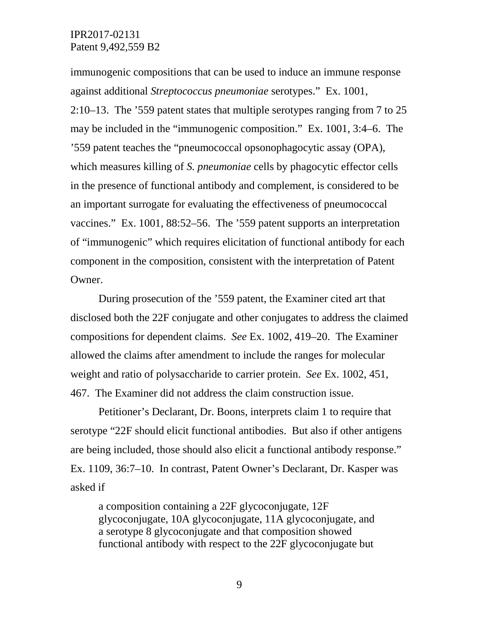immunogenic compositions that can be used to induce an immune response against additional *Streptococcus pneumoniae* serotypes." Ex. 1001, 2:10–13. The '559 patent states that multiple serotypes ranging from 7 to 25 may be included in the "immunogenic composition." Ex. 1001, 3:4–6. The '559 patent teaches the "pneumococcal opsonophagocytic assay (OPA), which measures killing of *S. pneumoniae* cells by phagocytic effector cells in the presence of functional antibody and complement, is considered to be an important surrogate for evaluating the effectiveness of pneumococcal vaccines." Ex. 1001, 88:52–56. The '559 patent supports an interpretation of "immunogenic" which requires elicitation of functional antibody for each component in the composition, consistent with the interpretation of Patent Owner.

During prosecution of the '559 patent, the Examiner cited art that disclosed both the 22F conjugate and other conjugates to address the claimed compositions for dependent claims. *See* Ex. 1002, 419–20. The Examiner allowed the claims after amendment to include the ranges for molecular weight and ratio of polysaccharide to carrier protein. *See* Ex. 1002, 451, 467. The Examiner did not address the claim construction issue.

Petitioner's Declarant, Dr. Boons, interprets claim 1 to require that serotype "22F should elicit functional antibodies. But also if other antigens are being included, those should also elicit a functional antibody response." Ex. 1109, 36:7–10. In contrast, Patent Owner's Declarant, Dr. Kasper was asked if

a composition containing a 22F glycoconjugate, 12F glycoconjugate, 10A glycoconjugate, 11A glycoconjugate, and a serotype 8 glycoconjugate and that composition showed functional antibody with respect to the 22F glycoconjugate but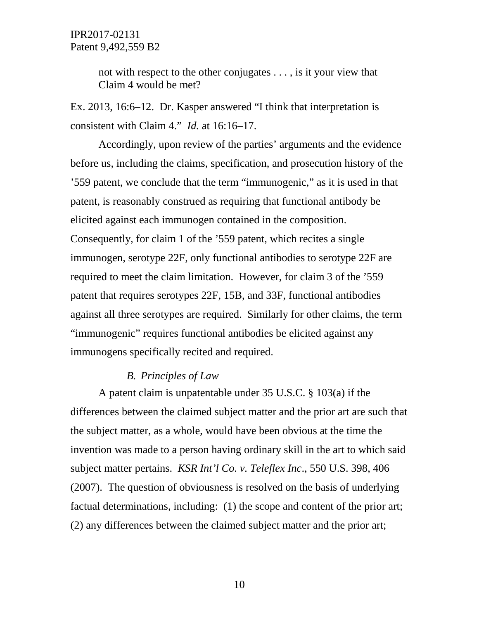not with respect to the other conjugates . . . , is it your view that Claim 4 would be met?

Ex. 2013, 16:6–12. Dr. Kasper answered "I think that interpretation is consistent with Claim 4." *Id.* at 16:16–17.

Accordingly, upon review of the parties' arguments and the evidence before us, including the claims, specification, and prosecution history of the '559 patent, we conclude that the term "immunogenic," as it is used in that patent, is reasonably construed as requiring that functional antibody be elicited against each immunogen contained in the composition. Consequently, for claim 1 of the '559 patent, which recites a single immunogen, serotype 22F, only functional antibodies to serotype 22F are required to meet the claim limitation. However, for claim 3 of the '559 patent that requires serotypes 22F, 15B, and 33F, functional antibodies against all three serotypes are required. Similarly for other claims, the term "immunogenic" requires functional antibodies be elicited against any immunogens specifically recited and required.

## *B. Principles of Law*

A patent claim is unpatentable under 35 U.S.C. § 103(a) if the differences between the claimed subject matter and the prior art are such that the subject matter, as a whole, would have been obvious at the time the invention was made to a person having ordinary skill in the art to which said subject matter pertains. *KSR Int'l Co. v. Teleflex Inc*., 550 U.S. 398, 406 (2007). The question of obviousness is resolved on the basis of underlying factual determinations, including: (1) the scope and content of the prior art; (2) any differences between the claimed subject matter and the prior art;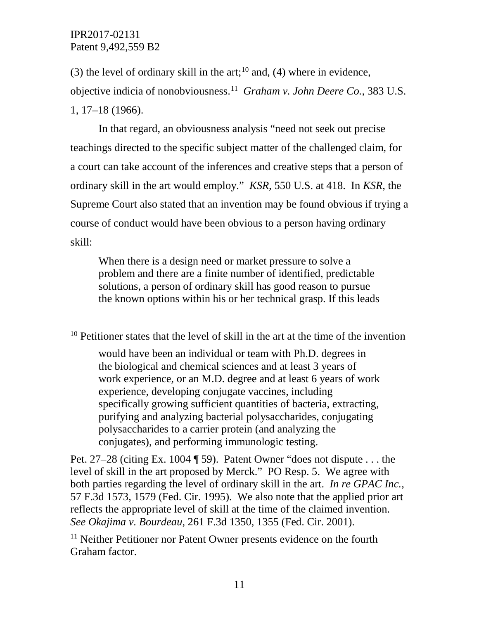(3) the level of ordinary skill in the art;<sup>[10](#page-10-0)</sup> and, (4) where in evidence, objective indicia of nonobviousness.[11](#page-10-1) *Graham v. John Deere Co.*, 383 U.S. 1, 17–18 (1966).

In that regard, an obviousness analysis "need not seek out precise teachings directed to the specific subject matter of the challenged claim, for a court can take account of the inferences and creative steps that a person of ordinary skill in the art would employ." *KSR*, 550 U.S. at 418. In *KSR*, the Supreme Court also stated that an invention may be found obvious if trying a course of conduct would have been obvious to a person having ordinary skill:

When there is a design need or market pressure to solve a problem and there are a finite number of identified, predictable solutions, a person of ordinary skill has good reason to pursue the known options within his or her technical grasp. If this leads

<span id="page-10-0"></span><sup>&</sup>lt;sup>10</sup> Petitioner states that the level of skill in the art at the time of the invention

would have been an individual or team with Ph.D. degrees in the biological and chemical sciences and at least 3 years of work experience, or an M.D. degree and at least 6 years of work experience, developing conjugate vaccines, including specifically growing sufficient quantities of bacteria, extracting, purifying and analyzing bacterial polysaccharides, conjugating polysaccharides to a carrier protein (and analyzing the conjugates), and performing immunologic testing.

Pet. 27–28 (citing Ex. 1004 ¶ 59). Patent Owner "does not dispute . . . the level of skill in the art proposed by Merck." PO Resp. 5. We agree with both parties regarding the level of ordinary skill in the art. *In re GPAC Inc.*, 57 F.3d 1573, 1579 (Fed. Cir. 1995). We also note that the applied prior art reflects the appropriate level of skill at the time of the claimed invention. *See Okajima v. Bourdeau*, 261 F.3d 1350, 1355 (Fed. Cir. 2001).

<span id="page-10-1"></span><sup>&</sup>lt;sup>11</sup> Neither Petitioner nor Patent Owner presents evidence on the fourth Graham factor.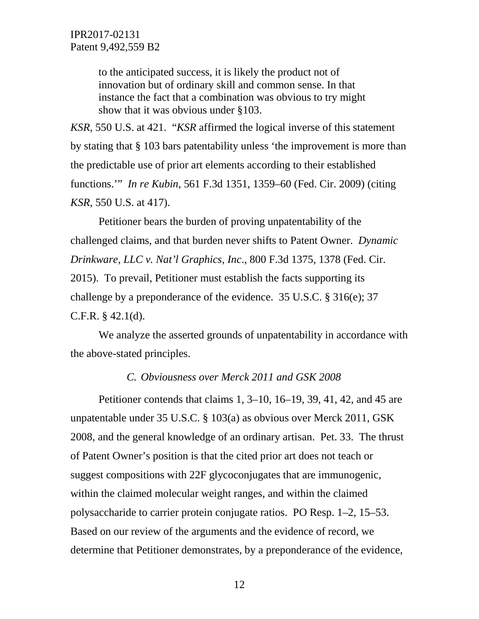to the anticipated success, it is likely the product not of innovation but of ordinary skill and common sense. In that instance the fact that a combination was obvious to try might show that it was obvious under §103.

*KSR*, 550 U.S. at 421. "*KSR* affirmed the logical inverse of this statement by stating that § 103 bars patentability unless 'the improvement is more than the predictable use of prior art elements according to their established functions.'" *In re Kubin*, 561 F.3d 1351, 1359–60 (Fed. Cir. 2009) (citing *KSR*, 550 U.S. at 417).

Petitioner bears the burden of proving unpatentability of the challenged claims, and that burden never shifts to Patent Owner. *Dynamic Drinkware, LLC v. Nat'l Graphics, Inc*., 800 F.3d 1375, 1378 (Fed. Cir. 2015). To prevail, Petitioner must establish the facts supporting its challenge by a preponderance of the evidence. 35 U.S.C. § 316(e); 37 C.F.R.  $§$  42.1(d).

We analyze the asserted grounds of unpatentability in accordance with the above-stated principles.

#### *C. Obviousness over Merck 2011 and GSK 2008*

Petitioner contends that claims 1, 3–10, 16–19, 39, 41, 42, and 45 are unpatentable under 35 U.S.C. § 103(a) as obvious over Merck 2011, GSK 2008, and the general knowledge of an ordinary artisan. Pet. 33. The thrust of Patent Owner's position is that the cited prior art does not teach or suggest compositions with 22F glycoconjugates that are immunogenic, within the claimed molecular weight ranges, and within the claimed polysaccharide to carrier protein conjugate ratios. PO Resp. 1–2, 15–53. Based on our review of the arguments and the evidence of record, we determine that Petitioner demonstrates, by a preponderance of the evidence,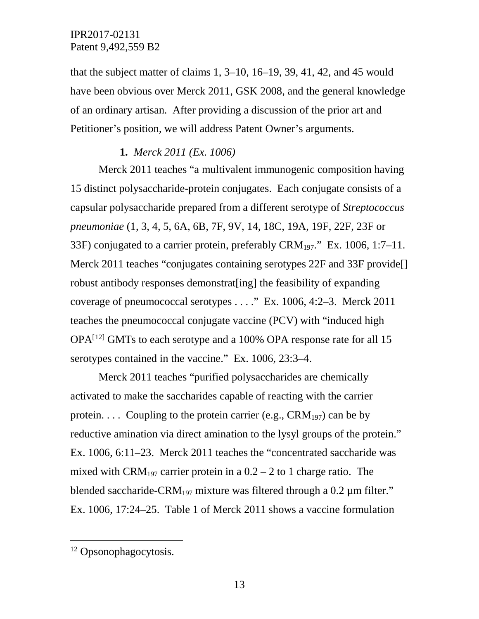that the subject matter of claims 1, 3–10, 16–19, 39, 41, 42, and 45 would have been obvious over Merck 2011, GSK 2008, and the general knowledge of an ordinary artisan. After providing a discussion of the prior art and Petitioner's position, we will address Patent Owner's arguments.

## **1.** *Merck 2011 (Ex. 1006)*

Merck 2011 teaches "a multivalent immunogenic composition having 15 distinct polysaccharide-protein conjugates. Each conjugate consists of a capsular polysaccharide prepared from a different serotype of *Streptococcus pneumoniae* (1, 3, 4, 5, 6A, 6B, 7F, 9V, 14, 18C, 19A, 19F, 22F, 23F or 33F) conjugated to a carrier protein, preferably  $CRM_{197}$ ." Ex. 1006, 1:7–11. Merck 2011 teaches "conjugates containing serotypes 22F and 33F provide. robust antibody responses demonstrat[ing] the feasibility of expanding coverage of pneumococcal serotypes . . . ." Ex. 1006, 4:2–3. Merck 2011 teaches the pneumococcal conjugate vaccine (PCV) with "induced high  $OPA<sup>[12]</sup>$  $OPA<sup>[12]</sup>$  $OPA<sup>[12]</sup>$  GMTs to each serotype and a 100% OPA response rate for all 15 serotypes contained in the vaccine." Ex. 1006, 23:3–4.

Merck 2011 teaches "purified polysaccharides are chemically activated to make the saccharides capable of reacting with the carrier protein.... Coupling to the protein carrier (e.g.,  $CRM_{197}$ ) can be by reductive amination via direct amination to the lysyl groups of the protein." Ex. 1006, 6:11–23. Merck 2011 teaches the "concentrated saccharide was mixed with CRM<sub>197</sub> carrier protein in a  $0.2 - 2$  to 1 charge ratio. The blended saccharide-CRM<sub>197</sub> mixture was filtered through a 0.2  $\mu$ m filter." Ex. 1006, 17:24–25. Table 1 of Merck 2011 shows a vaccine formulation

<span id="page-12-0"></span> <sup>12</sup> Opsonophagocytosis.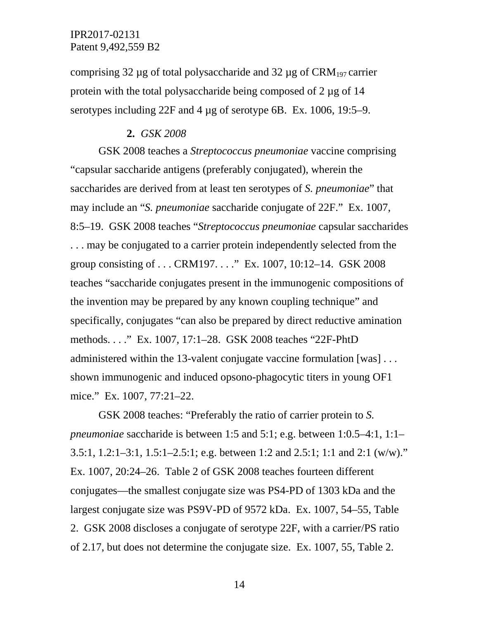comprising 32  $\mu$ g of total polysaccharide and 32  $\mu$ g of CRM<sub>197</sub> carrier protein with the total polysaccharide being composed of 2 µg of 14 serotypes including 22F and 4 µg of serotype 6B. Ex. 1006, 19:5–9.

#### **2.** *GSK 2008*

GSK 2008 teaches a *Streptococcus pneumoniae* vaccine comprising "capsular saccharide antigens (preferably conjugated), wherein the saccharides are derived from at least ten serotypes of *S. pneumoniae*" that may include an "*S. pneumoniae* saccharide conjugate of 22F." Ex. 1007, 8:5–19. GSK 2008 teaches "*Streptococcus pneumoniae* capsular saccharides . . . may be conjugated to a carrier protein independently selected from the group consisting of . . . CRM197. . . ." Ex. 1007, 10:12–14. GSK 2008 teaches "saccharide conjugates present in the immunogenic compositions of the invention may be prepared by any known coupling technique" and specifically, conjugates "can also be prepared by direct reductive amination methods. . . ." Ex. 1007, 17:1–28. GSK 2008 teaches "22F-PhtD administered within the 13-valent conjugate vaccine formulation [was] . . . shown immunogenic and induced opsono-phagocytic titers in young OF1 mice." Ex. 1007, 77:21–22.

GSK 2008 teaches: "Preferably the ratio of carrier protein to *S. pneumoniae* saccharide is between 1:5 and 5:1; e.g. between 1:0.5–4:1, 1:1– 3.5:1, 1.2:1–3:1, 1.5:1–2.5:1; e.g. between 1:2 and 2.5:1; 1:1 and 2:1 (w/w)." Ex. 1007, 20:24–26. Table 2 of GSK 2008 teaches fourteen different conjugates—the smallest conjugate size was PS4-PD of 1303 kDa and the largest conjugate size was PS9V-PD of 9572 kDa. Ex. 1007, 54–55, Table 2. GSK 2008 discloses a conjugate of serotype 22F, with a carrier/PS ratio of 2.17, but does not determine the conjugate size. Ex. 1007, 55, Table 2.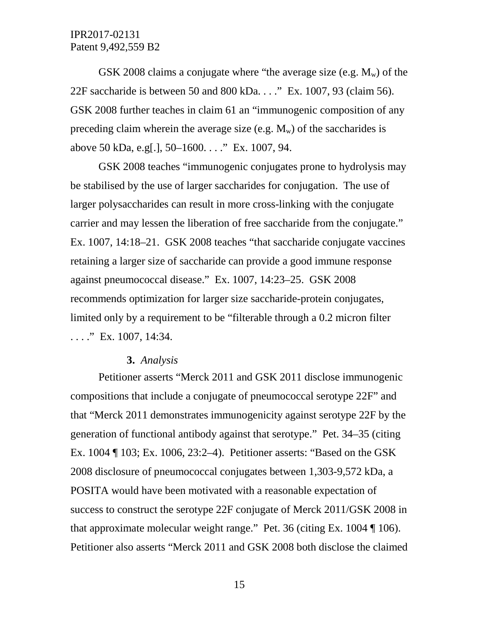GSK 2008 claims a conjugate where "the average size (e.g.  $M_w$ ) of the 22F saccharide is between 50 and 800 kDa. . . ." Ex. 1007, 93 (claim 56). GSK 2008 further teaches in claim 61 an "immunogenic composition of any preceding claim wherein the average size (e.g.  $M_w$ ) of the saccharides is above 50 kDa, e.g[.], 50–1600. . . ." Ex. 1007, 94.

GSK 2008 teaches "immunogenic conjugates prone to hydrolysis may be stabilised by the use of larger saccharides for conjugation. The use of larger polysaccharides can result in more cross-linking with the conjugate carrier and may lessen the liberation of free saccharide from the conjugate." Ex. 1007, 14:18–21. GSK 2008 teaches "that saccharide conjugate vaccines retaining a larger size of saccharide can provide a good immune response against pneumococcal disease." Ex. 1007, 14:23–25. GSK 2008 recommends optimization for larger size saccharide-protein conjugates, limited only by a requirement to be "filterable through a 0.2 micron filter  $\ldots$ ." Ex. 1007, 14:34.

#### **3.** *Analysis*

Petitioner asserts "Merck 2011 and GSK 2011 disclose immunogenic compositions that include a conjugate of pneumococcal serotype 22F" and that "Merck 2011 demonstrates immunogenicity against serotype 22F by the generation of functional antibody against that serotype." Pet. 34–35 (citing Ex. 1004 ¶ 103; Ex. 1006, 23:2–4). Petitioner asserts: "Based on the GSK 2008 disclosure of pneumococcal conjugates between 1,303-9,572 kDa, a POSITA would have been motivated with a reasonable expectation of success to construct the serotype 22F conjugate of Merck 2011/GSK 2008 in that approximate molecular weight range." Pet. 36 (citing Ex. 1004 ¶ 106). Petitioner also asserts "Merck 2011 and GSK 2008 both disclose the claimed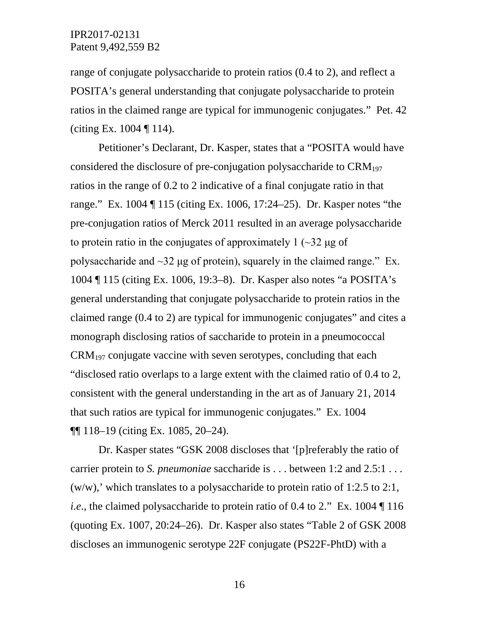range of conjugate polysaccharide to protein ratios (0.4 to 2), and reflect a POSITA's general understanding that conjugate polysaccharide to protein ratios in the claimed range are typical for immunogenic conjugates." Pet. 42 (citing Ex.  $1004 \text{ T} 114$ ).

Petitioner's Declarant, Dr. Kasper, states that a "POSITA would have considered the disclosure of pre-conjugation polysaccharide to  $\text{CRM}_{197}$ ratios in the range of 0.2 to 2 indicative of a final conjugate ratio in that range." Ex. 1004 ¶ 115 (citing Ex. 1006, 17:24–25). Dr. Kasper notes "the pre-conjugation ratios of Merck 2011 resulted in an average polysaccharide to protein ratio in the conjugates of approximately  $1$  ( $\sim$ 32 μg of polysaccharide and  $\sim$ 32 μg of protein), squarely in the claimed range." Ex. 1004 ¶ 115 (citing Ex. 1006, 19:3–8). Dr. Kasper also notes "a POSITA's general understanding that conjugate polysaccharide to protein ratios in the claimed range (0.4 to 2) are typical for immunogenic conjugates" and cites a monograph disclosing ratios of saccharide to protein in a pneumococcal  $CRM<sub>197</sub>$  conjugate vaccine with seven serotypes, concluding that each "disclosed ratio overlaps to a large extent with the claimed ratio of 0.4 to 2, consistent with the general understanding in the art as of January 21, 2014 that such ratios are typical for immunogenic conjugates." Ex. 1004 ¶¶ 118–19 (citing Ex. 1085, 20–24).

Dr. Kasper states "GSK 2008 discloses that '[p]referably the ratio of carrier protein to *S. pneumoniae* saccharide is . . . between 1:2 and 2.5:1 . . .  $(w/w)$ , which translates to a polysaccharide to protein ratio of 1:2.5 to 2:1, *i.e.*, the claimed polysaccharide to protein ratio of 0.4 to 2." Ex. 1004 | 116 (quoting Ex. 1007, 20:24–26). Dr. Kasper also states "Table 2 of GSK 2008 discloses an immunogenic serotype 22F conjugate (PS22F-PhtD) with a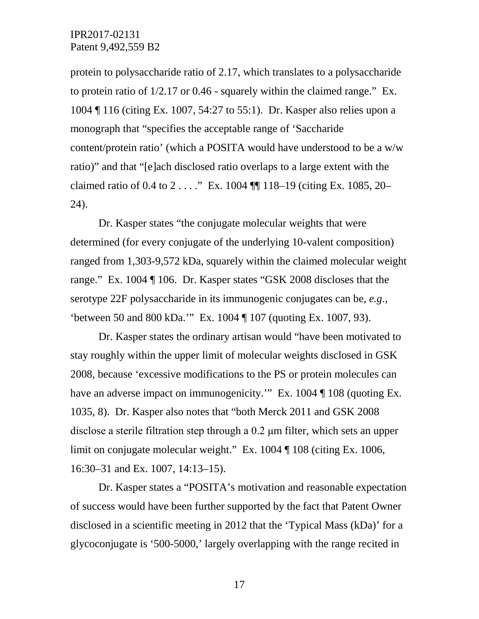protein to polysaccharide ratio of 2.17, which translates to a polysaccharide to protein ratio of 1/2.17 or 0.46 - squarely within the claimed range." Ex. 1004 ¶ 116 (citing Ex. 1007, 54:27 to 55:1). Dr. Kasper also relies upon a monograph that "specifies the acceptable range of 'Saccharide content/protein ratio' (which a POSITA would have understood to be a w/w ratio)" and that "[e]ach disclosed ratio overlaps to a large extent with the claimed ratio of 0.4 to 2 . . . ." Ex. 1004 ¶¶ 118–19 (citing Ex. 1085, 20– 24).

Dr. Kasper states "the conjugate molecular weights that were determined (for every conjugate of the underlying 10-valent composition) ranged from 1,303-9,572 kDa, squarely within the claimed molecular weight range." Ex. 1004 ¶ 106. Dr. Kasper states "GSK 2008 discloses that the serotype 22F polysaccharide in its immunogenic conjugates can be, *e.g*., 'between 50 and 800 kDa.'" Ex. 1004 ¶ 107 (quoting Ex. 1007, 93).

Dr. Kasper states the ordinary artisan would "have been motivated to stay roughly within the upper limit of molecular weights disclosed in GSK 2008, because 'excessive modifications to the PS or protein molecules can have an adverse impact on immunogenicity." Ex. 1004 ¶ 108 (quoting Ex. 1035, 8). Dr. Kasper also notes that "both Merck 2011 and GSK 2008 disclose a sterile filtration step through a 0.2 μm filter, which sets an upper limit on conjugate molecular weight." Ex. 1004 ¶ 108 (citing Ex. 1006, 16:30–31 and Ex. 1007, 14:13–15).

Dr. Kasper states a "POSITA's motivation and reasonable expectation of success would have been further supported by the fact that Patent Owner disclosed in a scientific meeting in 2012 that the 'Typical Mass (kDa)' for a glycoconjugate is '500-5000,' largely overlapping with the range recited in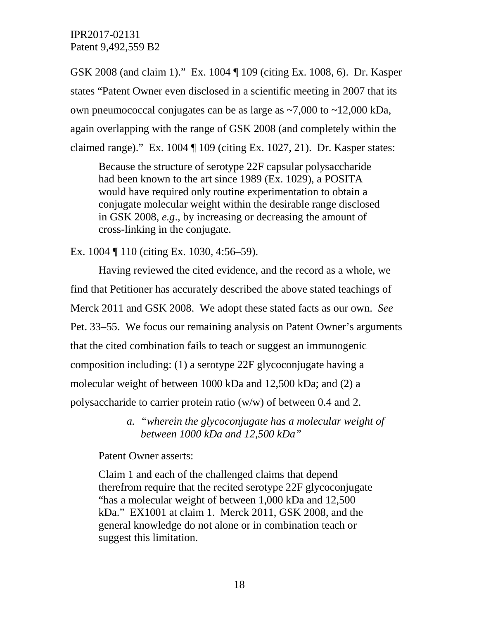GSK 2008 (and claim 1)." Ex. 1004 ¶ 109 (citing Ex. 1008, 6). Dr. Kasper states "Patent Owner even disclosed in a scientific meeting in 2007 that its own pneumococcal conjugates can be as large as  $\sim$ 7,000 to  $\sim$ 12,000 kDa, again overlapping with the range of GSK 2008 (and completely within the claimed range)." Ex. 1004 ¶ 109 (citing Ex. 1027, 21). Dr. Kasper states:

Because the structure of serotype 22F capsular polysaccharide had been known to the art since 1989 (Ex. 1029), a POSITA would have required only routine experimentation to obtain a conjugate molecular weight within the desirable range disclosed in GSK 2008, *e.g*., by increasing or decreasing the amount of cross-linking in the conjugate.

Ex. 1004 ¶ 110 (citing Ex. 1030, 4:56–59).

Having reviewed the cited evidence, and the record as a whole, we find that Petitioner has accurately described the above stated teachings of Merck 2011 and GSK 2008. We adopt these stated facts as our own. *See* Pet. 33–55. We focus our remaining analysis on Patent Owner's arguments that the cited combination fails to teach or suggest an immunogenic composition including: (1) a serotype 22F glycoconjugate having a molecular weight of between 1000 kDa and 12,500 kDa; and (2) a polysaccharide to carrier protein ratio (w/w) of between 0.4 and 2.

> *a. "wherein the glycoconjugate has a molecular weight of between 1000 kDa and 12,500 kDa"*

Patent Owner asserts:

Claim 1 and each of the challenged claims that depend therefrom require that the recited serotype 22F glycoconjugate "has a molecular weight of between 1,000 kDa and 12,500 kDa." EX1001 at claim 1. Merck 2011, GSK 2008, and the general knowledge do not alone or in combination teach or suggest this limitation.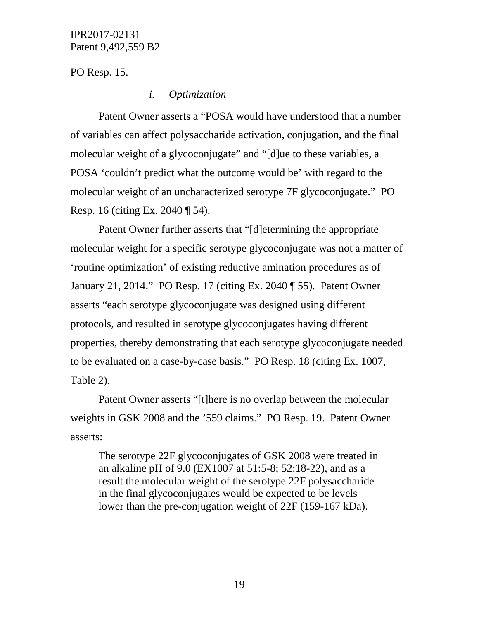PO Resp. 15.

#### *i. Optimization*

Patent Owner asserts a "POSA would have understood that a number of variables can affect polysaccharide activation, conjugation, and the final molecular weight of a glycoconjugate" and "[d]ue to these variables, a POSA 'couldn't predict what the outcome would be' with regard to the molecular weight of an uncharacterized serotype 7F glycoconjugate." PO Resp. 16 (citing Ex. 2040 ¶ 54).

Patent Owner further asserts that "[d]etermining the appropriate molecular weight for a specific serotype glycoconjugate was not a matter of 'routine optimization' of existing reductive amination procedures as of January 21, 2014." PO Resp. 17 (citing Ex. 2040 ¶ 55). Patent Owner asserts "each serotype glycoconjugate was designed using different protocols, and resulted in serotype glycoconjugates having different properties, thereby demonstrating that each serotype glycoconjugate needed to be evaluated on a case-by-case basis." PO Resp. 18 (citing Ex. 1007, Table 2).

Patent Owner asserts "[t]here is no overlap between the molecular weights in GSK 2008 and the '559 claims." PO Resp. 19. Patent Owner asserts:

The serotype 22F glycoconjugates of GSK 2008 were treated in an alkaline pH of 9.0 (EX1007 at 51:5-8; 52:18-22), and as a result the molecular weight of the serotype 22F polysaccharide in the final glycoconjugates would be expected to be levels lower than the pre-conjugation weight of 22F (159-167 kDa).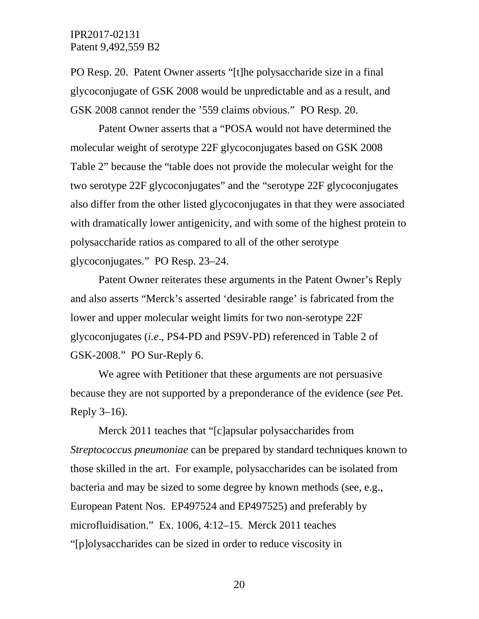PO Resp. 20. Patent Owner asserts "[t]he polysaccharide size in a final glycoconjugate of GSK 2008 would be unpredictable and as a result, and GSK 2008 cannot render the '559 claims obvious." PO Resp. 20.

Patent Owner asserts that a "POSA would not have determined the molecular weight of serotype 22F glycoconjugates based on GSK 2008 Table 2" because the "table does not provide the molecular weight for the two serotype 22F glycoconjugates" and the "serotype 22F glycoconjugates also differ from the other listed glycoconjugates in that they were associated with dramatically lower antigenicity, and with some of the highest protein to polysaccharide ratios as compared to all of the other serotype glycoconjugates." PO Resp. 23–24.

Patent Owner reiterates these arguments in the Patent Owner's Reply and also asserts "Merck's asserted 'desirable range' is fabricated from the lower and upper molecular weight limits for two non-serotype 22F glycoconjugates (*i.e*., PS4-PD and PS9V-PD) referenced in Table 2 of GSK-2008." PO Sur-Reply 6.

We agree with Petitioner that these arguments are not persuasive because they are not supported by a preponderance of the evidence (*see* Pet. Reply 3–16).

Merck 2011 teaches that "[c]apsular polysaccharides from *Streptococcus pneumoniae* can be prepared by standard techniques known to those skilled in the art. For example, polysaccharides can be isolated from bacteria and may be sized to some degree by known methods (see, e.g., European Patent Nos. EP497524 and EP497525) and preferably by microfluidisation." Ex. 1006, 4:12–15. Merck 2011 teaches "[p]olysaccharides can be sized in order to reduce viscosity in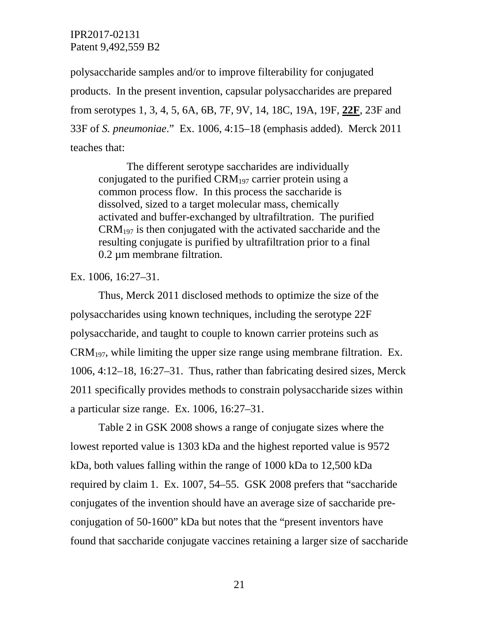polysaccharide samples and/or to improve filterability for conjugated products. In the present invention, capsular polysaccharides are prepared from serotypes 1, 3, 4, 5, 6A, 6B, 7F, 9V, 14, 18C, 19A, 19F, **22F**, 23F and 33F of *S. pneumoniae*." Ex. 1006, 4:15–18 (emphasis added). Merck 2011 teaches that:

The different serotype saccharides are individually conjugated to the purified CRM197 carrier protein using a common process flow. In this process the saccharide is dissolved, sized to a target molecular mass, chemically activated and buffer-exchanged by ultrafiltration. The purified  $CRM<sub>197</sub>$  is then conjugated with the activated saccharide and the resulting conjugate is purified by ultrafiltration prior to a final 0.2 µm membrane filtration.

Ex. 1006, 16:27–31.

Thus, Merck 2011 disclosed methods to optimize the size of the polysaccharides using known techniques, including the serotype 22F polysaccharide, and taught to couple to known carrier proteins such as  $CRM_{197}$ , while limiting the upper size range using membrane filtration. Ex. 1006, 4:12–18, 16:27–31. Thus, rather than fabricating desired sizes, Merck 2011 specifically provides methods to constrain polysaccharide sizes within a particular size range. Ex. 1006, 16:27–31.

Table 2 in GSK 2008 shows a range of conjugate sizes where the lowest reported value is 1303 kDa and the highest reported value is 9572 kDa, both values falling within the range of 1000 kDa to 12,500 kDa required by claim 1. Ex. 1007, 54–55. GSK 2008 prefers that "saccharide conjugates of the invention should have an average size of saccharide preconjugation of 50-1600" kDa but notes that the "present inventors have found that saccharide conjugate vaccines retaining a larger size of saccharide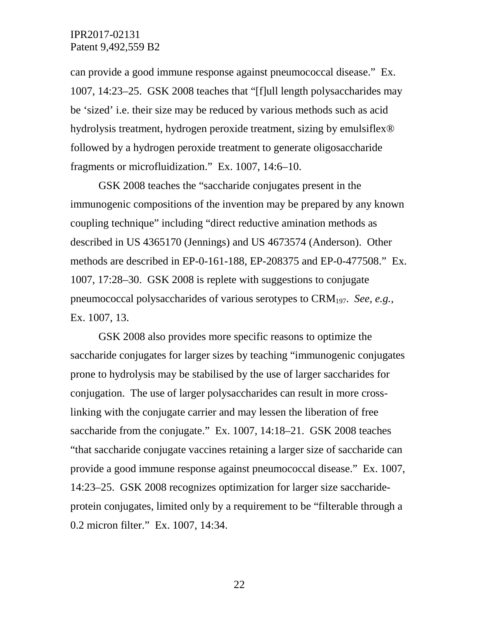can provide a good immune response against pneumococcal disease." Ex. 1007, 14:23–25. GSK 2008 teaches that "[f]ull length polysaccharides may be 'sized' i.e. their size may be reduced by various methods such as acid hydrolysis treatment, hydrogen peroxide treatment, sizing by emulsiflex® followed by a hydrogen peroxide treatment to generate oligosaccharide fragments or microfluidization." Ex. 1007, 14:6–10.

GSK 2008 teaches the "saccharide conjugates present in the immunogenic compositions of the invention may be prepared by any known coupling technique" including "direct reductive amination methods as described in US 4365170 (Jennings) and US 4673574 (Anderson). Other methods are described in EP-0-161-188, EP-208375 and EP-0-477508." Ex. 1007, 17:28–30. GSK 2008 is replete with suggestions to conjugate pneumococcal polysaccharides of various serotypes to CRM197. *See, e.g.*, Ex. 1007, 13.

GSK 2008 also provides more specific reasons to optimize the saccharide conjugates for larger sizes by teaching "immunogenic conjugates prone to hydrolysis may be stabilised by the use of larger saccharides for conjugation. The use of larger polysaccharides can result in more crosslinking with the conjugate carrier and may lessen the liberation of free saccharide from the conjugate." Ex. 1007, 14:18–21. GSK 2008 teaches "that saccharide conjugate vaccines retaining a larger size of saccharide can provide a good immune response against pneumococcal disease." Ex. 1007, 14:23–25. GSK 2008 recognizes optimization for larger size saccharideprotein conjugates, limited only by a requirement to be "filterable through a 0.2 micron filter." Ex. 1007, 14:34.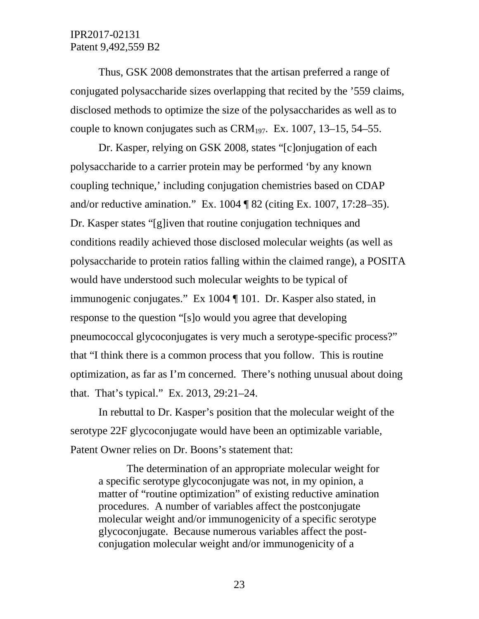Thus, GSK 2008 demonstrates that the artisan preferred a range of conjugated polysaccharide sizes overlapping that recited by the '559 claims, disclosed methods to optimize the size of the polysaccharides as well as to couple to known conjugates such as  $CRM_{197}$ . Ex. 1007, 13–15, 54–55.

Dr. Kasper, relying on GSK 2008, states "[c]onjugation of each polysaccharide to a carrier protein may be performed 'by any known coupling technique,' including conjugation chemistries based on CDAP and/or reductive amination." Ex. 1004 ¶ 82 (citing Ex. 1007, 17:28–35). Dr. Kasper states "[g]iven that routine conjugation techniques and conditions readily achieved those disclosed molecular weights (as well as polysaccharide to protein ratios falling within the claimed range), a POSITA would have understood such molecular weights to be typical of immunogenic conjugates." Ex 1004 ¶ 101. Dr. Kasper also stated, in response to the question "[s]o would you agree that developing pneumococcal glycoconjugates is very much a serotype-specific process?" that "I think there is a common process that you follow. This is routine optimization, as far as I'm concerned. There's nothing unusual about doing that. That's typical." Ex. 2013, 29:21–24.

In rebuttal to Dr. Kasper's position that the molecular weight of the serotype 22F glycoconjugate would have been an optimizable variable, Patent Owner relies on Dr. Boons's statement that:

The determination of an appropriate molecular weight for a specific serotype glycoconjugate was not, in my opinion, a matter of "routine optimization" of existing reductive amination procedures. A number of variables affect the postconjugate molecular weight and/or immunogenicity of a specific serotype glycoconjugate. Because numerous variables affect the postconjugation molecular weight and/or immunogenicity of a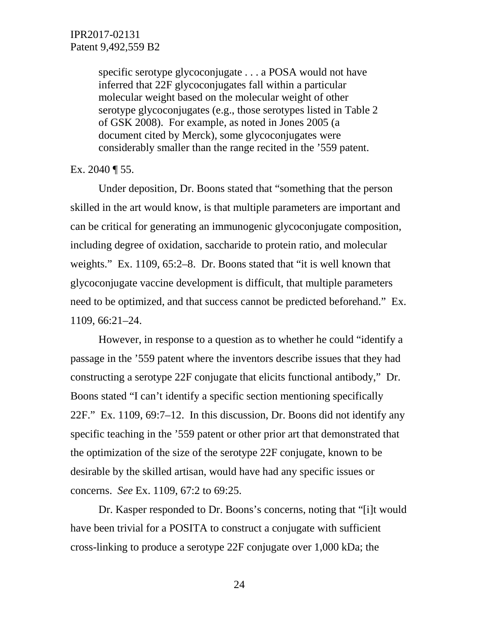specific serotype glycoconjugate . . . a POSA would not have inferred that 22F glycoconjugates fall within a particular molecular weight based on the molecular weight of other serotype glycoconjugates (e.g., those serotypes listed in Table 2 of GSK 2008). For example, as noted in Jones 2005 (a document cited by Merck), some glycoconjugates were considerably smaller than the range recited in the '559 patent.

Ex. 2040  $\P$  55.

Under deposition, Dr. Boons stated that "something that the person skilled in the art would know, is that multiple parameters are important and can be critical for generating an immunogenic glycoconjugate composition, including degree of oxidation, saccharide to protein ratio, and molecular weights." Ex. 1109, 65:2–8. Dr. Boons stated that "it is well known that glycoconjugate vaccine development is difficult, that multiple parameters need to be optimized, and that success cannot be predicted beforehand." Ex. 1109, 66:21–24.

However, in response to a question as to whether he could "identify a passage in the '559 patent where the inventors describe issues that they had constructing a serotype 22F conjugate that elicits functional antibody," Dr. Boons stated "I can't identify a specific section mentioning specifically 22F." Ex. 1109, 69:7–12. In this discussion, Dr. Boons did not identify any specific teaching in the '559 patent or other prior art that demonstrated that the optimization of the size of the serotype 22F conjugate, known to be desirable by the skilled artisan, would have had any specific issues or concerns. *See* Ex. 1109, 67:2 to 69:25.

Dr. Kasper responded to Dr. Boons's concerns, noting that "[i]t would have been trivial for a POSITA to construct a conjugate with sufficient cross-linking to produce a serotype 22F conjugate over 1,000 kDa; the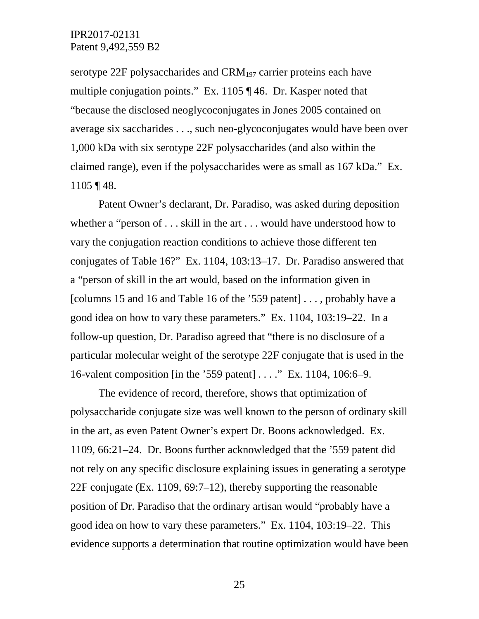serotype 22F polysaccharides and  $\text{CRM}_{197}$  carrier proteins each have multiple conjugation points." Ex. 1105 ¶ 46. Dr. Kasper noted that "because the disclosed neoglycoconjugates in Jones 2005 contained on average six saccharides . . ., such neo-glycoconjugates would have been over 1,000 kDa with six serotype 22F polysaccharides (and also within the claimed range), even if the polysaccharides were as small as 167 kDa." Ex. 1105 ¶ 48.

Patent Owner's declarant, Dr. Paradiso, was asked during deposition whether a "person of . . . skill in the art . . . would have understood how to vary the conjugation reaction conditions to achieve those different ten conjugates of Table 16?" Ex. 1104, 103:13–17. Dr. Paradiso answered that a "person of skill in the art would, based on the information given in [columns 15 and 16 and Table 16 of the '559 patent] . . . , probably have a good idea on how to vary these parameters." Ex. 1104, 103:19–22. In a follow-up question, Dr. Paradiso agreed that "there is no disclosure of a particular molecular weight of the serotype 22F conjugate that is used in the 16-valent composition [in the '559 patent] . . . ." Ex. 1104, 106:6–9.

The evidence of record, therefore, shows that optimization of polysaccharide conjugate size was well known to the person of ordinary skill in the art, as even Patent Owner's expert Dr. Boons acknowledged. Ex. 1109, 66:21–24. Dr. Boons further acknowledged that the '559 patent did not rely on any specific disclosure explaining issues in generating a serotype 22F conjugate (Ex. 1109, 69:7–12), thereby supporting the reasonable position of Dr. Paradiso that the ordinary artisan would "probably have a good idea on how to vary these parameters." Ex. 1104, 103:19–22. This evidence supports a determination that routine optimization would have been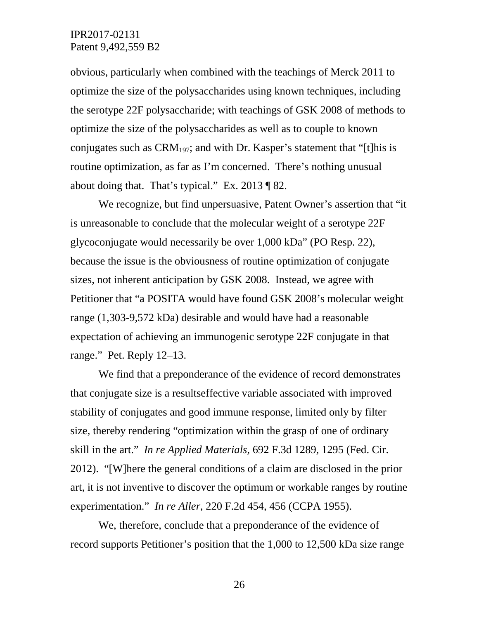obvious, particularly when combined with the teachings of Merck 2011 to optimize the size of the polysaccharides using known techniques, including the serotype 22F polysaccharide; with teachings of GSK 2008 of methods to optimize the size of the polysaccharides as well as to couple to known conjugates such as  $CRM_{197}$ ; and with Dr. Kasper's statement that "[t]his is routine optimization, as far as I'm concerned. There's nothing unusual about doing that. That's typical." Ex. 2013 ¶ 82.

We recognize, but find unpersuasive, Patent Owner's assertion that "it is unreasonable to conclude that the molecular weight of a serotype 22F glycoconjugate would necessarily be over 1,000 kDa" (PO Resp. 22), because the issue is the obviousness of routine optimization of conjugate sizes, not inherent anticipation by GSK 2008. Instead, we agree with Petitioner that "a POSITA would have found GSK 2008's molecular weight range (1,303-9,572 kDa) desirable and would have had a reasonable expectation of achieving an immunogenic serotype 22F conjugate in that range." Pet. Reply 12–13.

We find that a preponderance of the evidence of record demonstrates that conjugate size is a resultseffective variable associated with improved stability of conjugates and good immune response, limited only by filter size, thereby rendering "optimization within the grasp of one of ordinary skill in the art." *In re Applied Materials*, 692 F.3d 1289, 1295 (Fed. Cir. 2012). "[W]here the general conditions of a claim are disclosed in the prior art, it is not inventive to discover the optimum or workable ranges by routine experimentation." *In re Aller*, 220 F.2d 454, 456 (CCPA 1955).

We, therefore, conclude that a preponderance of the evidence of record supports Petitioner's position that the 1,000 to 12,500 kDa size range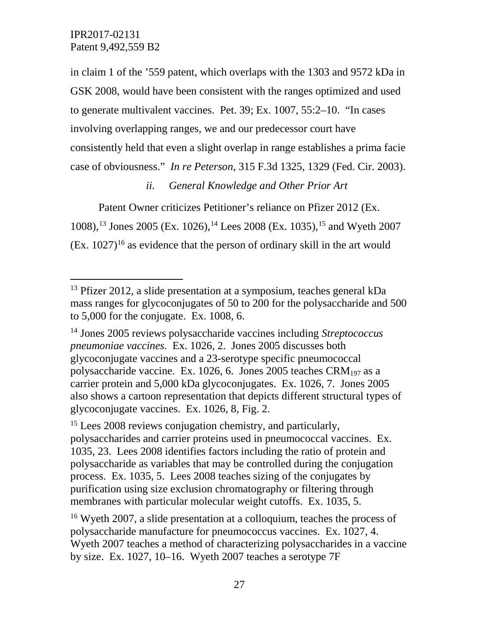in claim 1 of the '559 patent, which overlaps with the 1303 and 9572 kDa in GSK 2008, would have been consistent with the ranges optimized and used to generate multivalent vaccines. Pet. 39; Ex. 1007, 55:2–10. "In cases involving overlapping ranges, we and our predecessor court have consistently held that even a slight overlap in range establishes a prima facie case of obviousness." *In re Peterson*, 315 F.3d 1325, 1329 (Fed. Cir. 2003).

## *ii. General Knowledge and Other Prior Art*

Patent Owner criticizes Petitioner's reliance on Pfizer 2012 (Ex. 1008),[13](#page-26-0) Jones 2005 (Ex. 1026),[14](#page-26-1) Lees 2008 (Ex. 1035),[15](#page-26-2) and Wyeth 2007  $(Ex. 1027)^{16}$  as evidence that the person of ordinary skill in the art would

<span id="page-26-0"></span> <sup>13</sup> Pfizer 2012, a slide presentation at a symposium, teaches general kDa mass ranges for glycoconjugates of 50 to 200 for the polysaccharide and 500 to 5,000 for the conjugate. Ex. 1008, 6.

<span id="page-26-1"></span><sup>14</sup> Jones 2005 reviews polysaccharide vaccines including *Streptococcus pneumoniae vaccines*. Ex. 1026, 2. Jones 2005 discusses both glycoconjugate vaccines and a 23-serotype specific pneumococcal polysaccharide vaccine. Ex. 1026, 6. Jones 2005 teaches CRM197 as a carrier protein and 5,000 kDa glycoconjugates. Ex. 1026, 7. Jones 2005 also shows a cartoon representation that depicts different structural types of glycoconjugate vaccines. Ex. 1026, 8, Fig. 2.

<span id="page-26-2"></span><sup>&</sup>lt;sup>15</sup> Lees 2008 reviews conjugation chemistry, and particularly, polysaccharides and carrier proteins used in pneumococcal vaccines. Ex. 1035, 23. Lees 2008 identifies factors including the ratio of protein and polysaccharide as variables that may be controlled during the conjugation process. Ex. 1035, 5. Lees 2008 teaches sizing of the conjugates by purification using size exclusion chromatography or filtering through membranes with particular molecular weight cutoffs. Ex. 1035, 5.

<span id="page-26-3"></span><sup>16</sup> Wyeth 2007, a slide presentation at a colloquium, teaches the process of polysaccharide manufacture for pneumococcus vaccines. Ex. 1027, 4. Wyeth 2007 teaches a method of characterizing polysaccharides in a vaccine by size. Ex. 1027, 10–16. Wyeth 2007 teaches a serotype 7F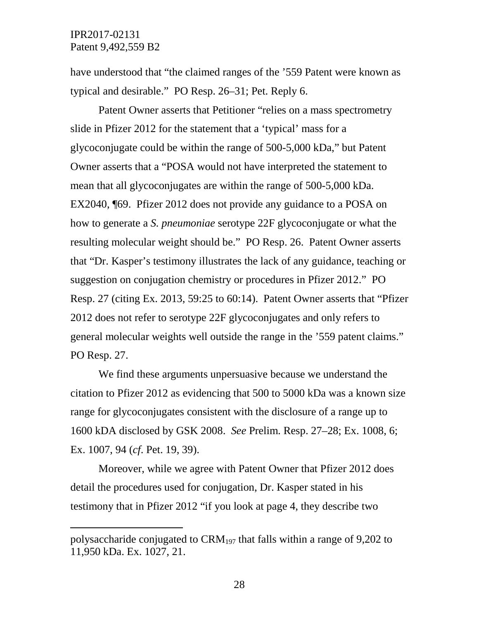$\overline{a}$ 

have understood that "the claimed ranges of the '559 Patent were known as typical and desirable." PO Resp. 26–31; Pet. Reply 6.

Patent Owner asserts that Petitioner "relies on a mass spectrometry slide in Pfizer 2012 for the statement that a 'typical' mass for a glycoconjugate could be within the range of 500-5,000 kDa," but Patent Owner asserts that a "POSA would not have interpreted the statement to mean that all glycoconjugates are within the range of 500-5,000 kDa. EX2040, ¶69. Pfizer 2012 does not provide any guidance to a POSA on how to generate a *S. pneumoniae* serotype 22F glycoconjugate or what the resulting molecular weight should be." PO Resp. 26. Patent Owner asserts that "Dr. Kasper's testimony illustrates the lack of any guidance, teaching or suggestion on conjugation chemistry or procedures in Pfizer 2012." PO Resp. 27 (citing Ex. 2013, 59:25 to 60:14). Patent Owner asserts that "Pfizer 2012 does not refer to serotype 22F glycoconjugates and only refers to general molecular weights well outside the range in the '559 patent claims." PO Resp. 27.

We find these arguments unpersuasive because we understand the citation to Pfizer 2012 as evidencing that 500 to 5000 kDa was a known size range for glycoconjugates consistent with the disclosure of a range up to 1600 kDA disclosed by GSK 2008. *See* Prelim. Resp. 27–28; Ex. 1008, 6; Ex. 1007, 94 (*cf*. Pet. 19, 39).

Moreover, while we agree with Patent Owner that Pfizer 2012 does detail the procedures used for conjugation, Dr. Kasper stated in his testimony that in Pfizer 2012 "if you look at page 4, they describe two

polysaccharide conjugated to  $\text{CRM}_{197}$  that falls within a range of 9,202 to 11,950 kDa. Ex. 1027, 21.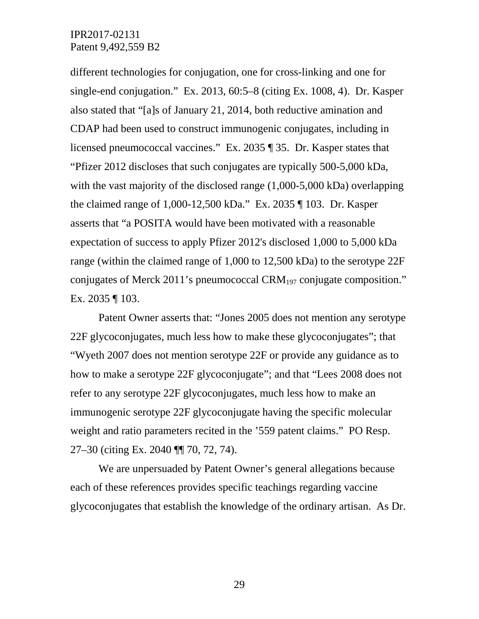different technologies for conjugation, one for cross-linking and one for single-end conjugation." Ex. 2013, 60:5–8 (citing Ex. 1008, 4). Dr. Kasper also stated that "[a]s of January 21, 2014, both reductive amination and CDAP had been used to construct immunogenic conjugates, including in licensed pneumococcal vaccines." Ex. 2035 ¶ 35. Dr. Kasper states that "Pfizer 2012 discloses that such conjugates are typically 500-5,000 kDa, with the vast majority of the disclosed range  $(1,000-5,000 \text{ kDa})$  overlapping the claimed range of 1,000-12,500 kDa." Ex. 2035 ¶ 103. Dr. Kasper asserts that "a POSITA would have been motivated with a reasonable expectation of success to apply Pfizer 2012's disclosed 1,000 to 5,000 kDa range (within the claimed range of 1,000 to 12,500 kDa) to the serotype 22F conjugates of Merck 2011's pneumococcal CRM197 conjugate composition." Ex. 2035 ¶ 103.

Patent Owner asserts that: "Jones 2005 does not mention any serotype 22F glycoconjugates, much less how to make these glycoconjugates"; that "Wyeth 2007 does not mention serotype 22F or provide any guidance as to how to make a serotype 22F glycoconjugate"; and that "Lees 2008 does not refer to any serotype 22F glycoconjugates, much less how to make an immunogenic serotype 22F glycoconjugate having the specific molecular weight and ratio parameters recited in the '559 patent claims." PO Resp. 27–30 (citing Ex. 2040 ¶¶ 70, 72, 74).

We are unpersuaded by Patent Owner's general allegations because each of these references provides specific teachings regarding vaccine glycoconjugates that establish the knowledge of the ordinary artisan. As Dr.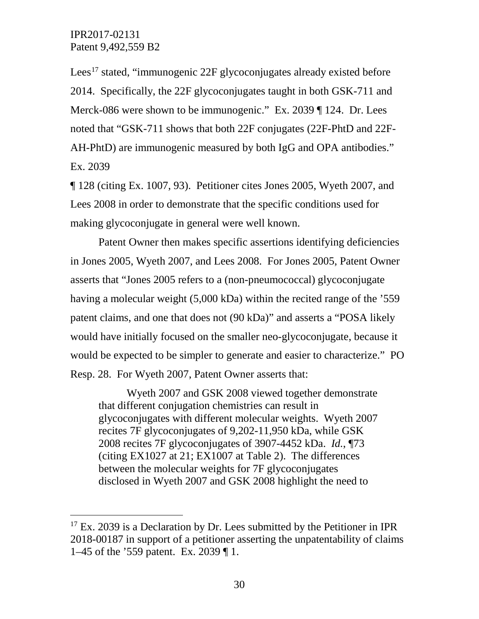Lees<sup>[17](#page-29-0)</sup> stated, "immunogenic 22F glycoconjugates already existed before 2014. Specifically, the 22F glycoconjugates taught in both GSK-711 and Merck-086 were shown to be immunogenic." Ex. 2039 ¶ 124. Dr. Lees noted that "GSK-711 shows that both 22F conjugates (22F-PhtD and 22F-AH-PhtD) are immunogenic measured by both IgG and OPA antibodies." Ex. 2039

¶ 128 (citing Ex. 1007, 93). Petitioner cites Jones 2005, Wyeth 2007, and Lees 2008 in order to demonstrate that the specific conditions used for making glycoconjugate in general were well known.

Patent Owner then makes specific assertions identifying deficiencies in Jones 2005, Wyeth 2007, and Lees 2008. For Jones 2005, Patent Owner asserts that "Jones 2005 refers to a (non-pneumococcal) glycoconjugate having a molecular weight (5,000 kDa) within the recited range of the '559 patent claims, and one that does not (90 kDa)" and asserts a "POSA likely would have initially focused on the smaller neo-glycoconjugate, because it would be expected to be simpler to generate and easier to characterize." PO Resp. 28. For Wyeth 2007, Patent Owner asserts that:

Wyeth 2007 and GSK 2008 viewed together demonstrate that different conjugation chemistries can result in glycoconjugates with different molecular weights. Wyeth 2007 recites 7F glycoconjugates of 9,202-11,950 kDa, while GSK 2008 recites 7F glycoconjugates of 3907-4452 kDa. *Id.*, ¶73 (citing EX1027 at 21; EX1007 at Table 2). The differences between the molecular weights for 7F glycoconjugates disclosed in Wyeth 2007 and GSK 2008 highlight the need to

<span id="page-29-0"></span> $17$  Ex. 2039 is a Declaration by Dr. Lees submitted by the Petitioner in IPR 2018-00187 in support of a petitioner asserting the unpatentability of claims 1–45 of the '559 patent. Ex. 2039 ¶ 1.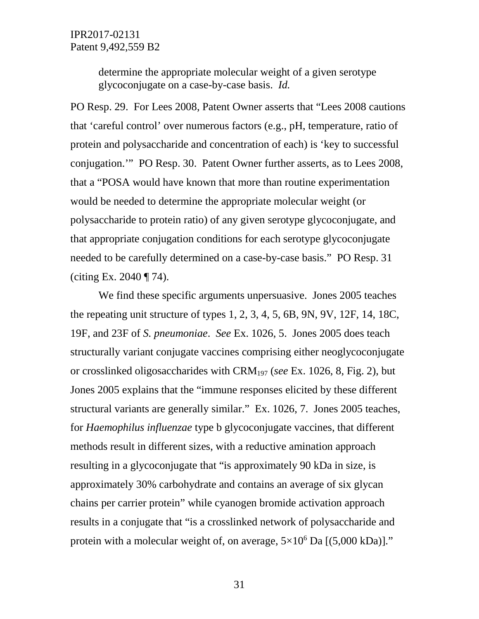determine the appropriate molecular weight of a given serotype glycoconjugate on a case-by-case basis. *Id.*

PO Resp. 29. For Lees 2008, Patent Owner asserts that "Lees 2008 cautions that 'careful control' over numerous factors (e.g., pH, temperature, ratio of protein and polysaccharide and concentration of each) is 'key to successful conjugation.'" PO Resp. 30. Patent Owner further asserts, as to Lees 2008, that a "POSA would have known that more than routine experimentation would be needed to determine the appropriate molecular weight (or polysaccharide to protein ratio) of any given serotype glycoconjugate, and that appropriate conjugation conditions for each serotype glycoconjugate needed to be carefully determined on a case-by-case basis." PO Resp. 31 (citing Ex. 2040 ¶ 74).

We find these specific arguments unpersuasive. Jones 2005 teaches the repeating unit structure of types 1, 2, 3, 4, 5, 6B, 9N, 9V, 12F, 14, 18C, 19F, and 23F of *S. pneumoniae*. *See* Ex. 1026, 5. Jones 2005 does teach structurally variant conjugate vaccines comprising either neoglycoconjugate or crosslinked oligosaccharides with CRM197 (*see* Ex. 1026, 8, Fig. 2), but Jones 2005 explains that the "immune responses elicited by these different structural variants are generally similar." Ex. 1026, 7. Jones 2005 teaches, for *Haemophilus influenzae* type b glycoconjugate vaccines, that different methods result in different sizes, with a reductive amination approach resulting in a glycoconjugate that "is approximately 90 kDa in size, is approximately 30% carbohydrate and contains an average of six glycan chains per carrier protein" while cyanogen bromide activation approach results in a conjugate that "is a crosslinked network of polysaccharide and protein with a molecular weight of, on average,  $5\times10^6$  Da [(5,000 kDa)]."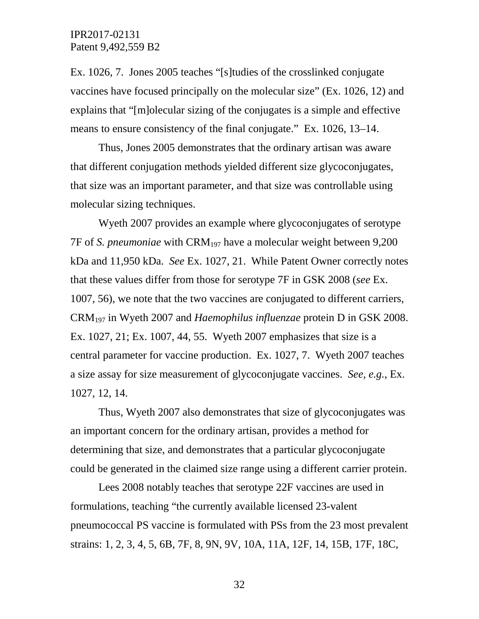Ex. 1026, 7. Jones 2005 teaches "[s]tudies of the crosslinked conjugate vaccines have focused principally on the molecular size" (Ex. 1026, 12) and explains that "[m]olecular sizing of the conjugates is a simple and effective means to ensure consistency of the final conjugate." Ex. 1026, 13–14.

Thus, Jones 2005 demonstrates that the ordinary artisan was aware that different conjugation methods yielded different size glycoconjugates, that size was an important parameter, and that size was controllable using molecular sizing techniques.

Wyeth 2007 provides an example where glycoconjugates of serotype 7F of *S. pneumoniae* with CRM197 have a molecular weight between 9,200 kDa and 11,950 kDa. *See* Ex. 1027, 21. While Patent Owner correctly notes that these values differ from those for serotype 7F in GSK 2008 (*see* Ex. 1007, 56), we note that the two vaccines are conjugated to different carriers, CRM197 in Wyeth 2007 and *Haemophilus influenzae* protein D in GSK 2008. Ex. 1027, 21; Ex. 1007, 44, 55. Wyeth 2007 emphasizes that size is a central parameter for vaccine production. Ex. 1027, 7. Wyeth 2007 teaches a size assay for size measurement of glycoconjugate vaccines. *See, e.g.*, Ex. 1027, 12, 14.

Thus, Wyeth 2007 also demonstrates that size of glycoconjugates was an important concern for the ordinary artisan, provides a method for determining that size, and demonstrates that a particular glycoconjugate could be generated in the claimed size range using a different carrier protein.

Lees 2008 notably teaches that serotype 22F vaccines are used in formulations, teaching "the currently available licensed 23-valent pneumococcal PS vaccine is formulated with PSs from the 23 most prevalent strains: 1, 2, 3, 4, 5, 6B, 7F, 8, 9N, 9V, 10A, 11A, 12F, 14, 15B, 17F, 18C,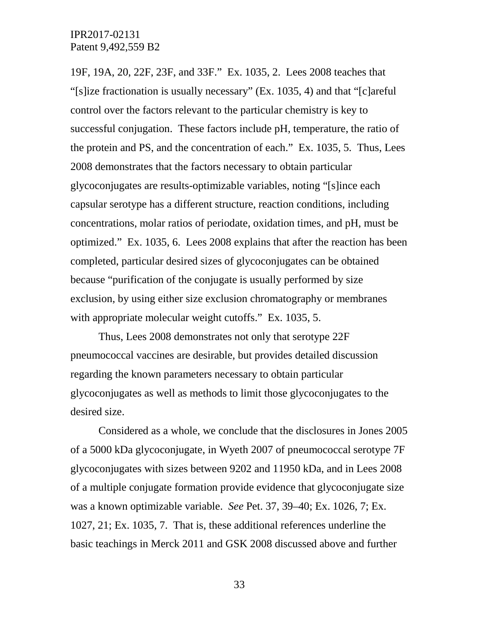19F, 19A, 20, 22F, 23F, and 33F." Ex. 1035, 2. Lees 2008 teaches that "[s]ize fractionation is usually necessary" (Ex. 1035, 4) and that "[c]areful control over the factors relevant to the particular chemistry is key to successful conjugation. These factors include pH, temperature, the ratio of the protein and PS, and the concentration of each." Ex. 1035, 5. Thus, Lees 2008 demonstrates that the factors necessary to obtain particular glycoconjugates are results-optimizable variables, noting "[s]ince each capsular serotype has a different structure, reaction conditions, including concentrations, molar ratios of periodate, oxidation times, and pH, must be optimized." Ex. 1035, 6. Lees 2008 explains that after the reaction has been completed, particular desired sizes of glycoconjugates can be obtained because "purification of the conjugate is usually performed by size exclusion, by using either size exclusion chromatography or membranes with appropriate molecular weight cutoffs." Ex. 1035, 5.

Thus, Lees 2008 demonstrates not only that serotype 22F pneumococcal vaccines are desirable, but provides detailed discussion regarding the known parameters necessary to obtain particular glycoconjugates as well as methods to limit those glycoconjugates to the desired size.

Considered as a whole, we conclude that the disclosures in Jones 2005 of a 5000 kDa glycoconjugate, in Wyeth 2007 of pneumococcal serotype 7F glycoconjugates with sizes between 9202 and 11950 kDa, and in Lees 2008 of a multiple conjugate formation provide evidence that glycoconjugate size was a known optimizable variable. *See* Pet. 37, 39–40; Ex. 1026, 7; Ex. 1027, 21; Ex. 1035, 7. That is, these additional references underline the basic teachings in Merck 2011 and GSK 2008 discussed above and further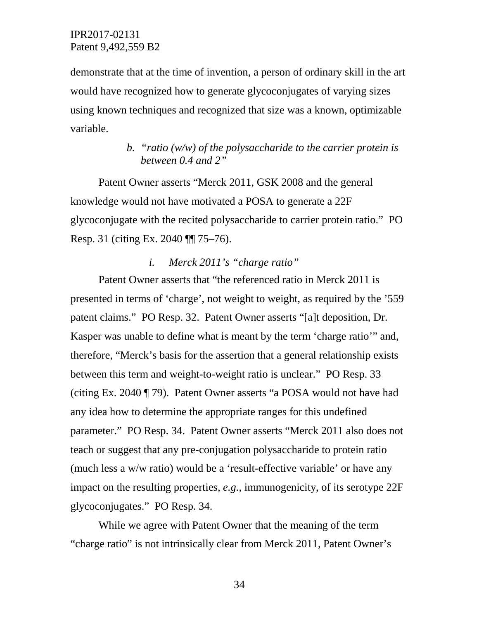demonstrate that at the time of invention, a person of ordinary skill in the art would have recognized how to generate glycoconjugates of varying sizes using known techniques and recognized that size was a known, optimizable variable.

# *b. "ratio (w/w) of the polysaccharide to the carrier protein is between 0.4 and 2"*

Patent Owner asserts "Merck 2011, GSK 2008 and the general knowledge would not have motivated a POSA to generate a 22F glycoconjugate with the recited polysaccharide to carrier protein ratio." PO Resp. 31 (citing Ex. 2040 ¶¶ 75–76).

## *i. Merck 2011's "charge ratio"*

Patent Owner asserts that "the referenced ratio in Merck 2011 is presented in terms of 'charge', not weight to weight, as required by the '559 patent claims." PO Resp. 32. Patent Owner asserts "[a]t deposition, Dr. Kasper was unable to define what is meant by the term 'charge ratio'" and, therefore, "Merck's basis for the assertion that a general relationship exists between this term and weight-to-weight ratio is unclear." PO Resp. 33 (citing Ex. 2040 ¶ 79). Patent Owner asserts "a POSA would not have had any idea how to determine the appropriate ranges for this undefined parameter." PO Resp. 34. Patent Owner asserts "Merck 2011 also does not teach or suggest that any pre-conjugation polysaccharide to protein ratio (much less a w/w ratio) would be a 'result-effective variable' or have any impact on the resulting properties, *e.g.*, immunogenicity, of its serotype 22F glycoconjugates." PO Resp. 34.

While we agree with Patent Owner that the meaning of the term "charge ratio" is not intrinsically clear from Merck 2011, Patent Owner's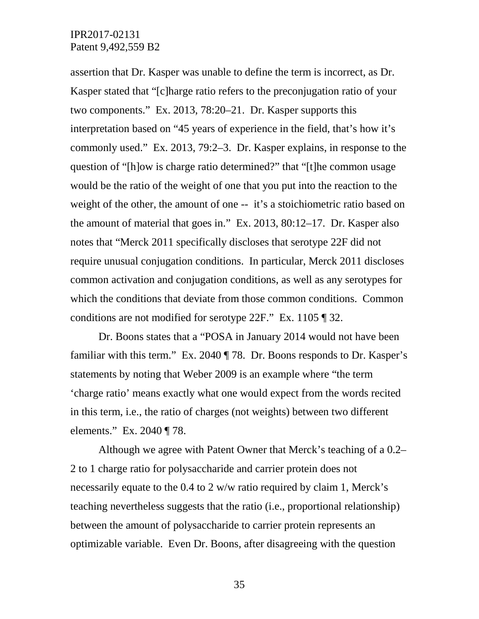assertion that Dr. Kasper was unable to define the term is incorrect, as Dr. Kasper stated that "[c]harge ratio refers to the preconjugation ratio of your two components." Ex. 2013, 78:20–21. Dr. Kasper supports this interpretation based on "45 years of experience in the field, that's how it's commonly used." Ex. 2013, 79:2–3. Dr. Kasper explains, in response to the question of "[h]ow is charge ratio determined?" that "[t]he common usage would be the ratio of the weight of one that you put into the reaction to the weight of the other, the amount of one -- it's a stoichiometric ratio based on the amount of material that goes in." Ex. 2013, 80:12–17. Dr. Kasper also notes that "Merck 2011 specifically discloses that serotype 22F did not require unusual conjugation conditions. In particular, Merck 2011 discloses common activation and conjugation conditions, as well as any serotypes for which the conditions that deviate from those common conditions. Common conditions are not modified for serotype 22F." Ex. 1105 ¶ 32.

Dr. Boons states that a "POSA in January 2014 would not have been familiar with this term." Ex. 2040 ¶ 78. Dr. Boons responds to Dr. Kasper's statements by noting that Weber 2009 is an example where "the term 'charge ratio' means exactly what one would expect from the words recited in this term, i.e., the ratio of charges (not weights) between two different elements." Ex. 2040 ¶ 78.

Although we agree with Patent Owner that Merck's teaching of a 0.2– 2 to 1 charge ratio for polysaccharide and carrier protein does not necessarily equate to the 0.4 to 2 w/w ratio required by claim 1, Merck's teaching nevertheless suggests that the ratio (i.e., proportional relationship) between the amount of polysaccharide to carrier protein represents an optimizable variable. Even Dr. Boons, after disagreeing with the question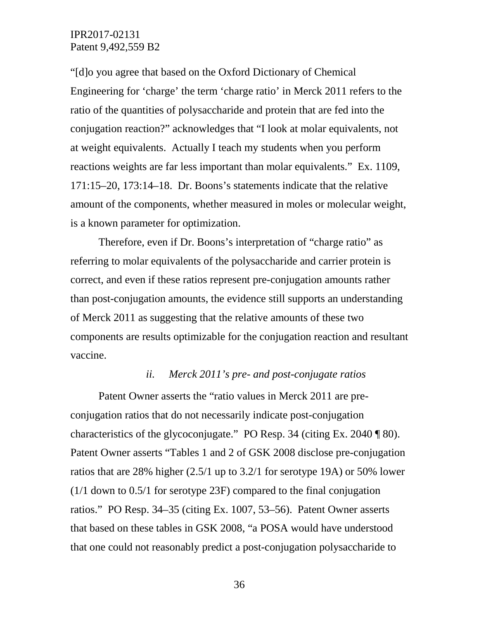"[d]o you agree that based on the Oxford Dictionary of Chemical Engineering for 'charge' the term 'charge ratio' in Merck 2011 refers to the ratio of the quantities of polysaccharide and protein that are fed into the conjugation reaction?" acknowledges that "I look at molar equivalents, not at weight equivalents. Actually I teach my students when you perform reactions weights are far less important than molar equivalents." Ex. 1109, 171:15–20, 173:14–18. Dr. Boons's statements indicate that the relative amount of the components, whether measured in moles or molecular weight, is a known parameter for optimization.

Therefore, even if Dr. Boons's interpretation of "charge ratio" as referring to molar equivalents of the polysaccharide and carrier protein is correct, and even if these ratios represent pre-conjugation amounts rather than post-conjugation amounts, the evidence still supports an understanding of Merck 2011 as suggesting that the relative amounts of these two components are results optimizable for the conjugation reaction and resultant vaccine.

#### *ii. Merck 2011's pre- and post-conjugate ratios*

Patent Owner asserts the "ratio values in Merck 2011 are preconjugation ratios that do not necessarily indicate post-conjugation characteristics of the glycoconjugate." PO Resp. 34 (citing Ex. 2040 ¶ 80). Patent Owner asserts "Tables 1 and 2 of GSK 2008 disclose pre-conjugation ratios that are 28% higher (2.5/1 up to 3.2/1 for serotype 19A) or 50% lower (1/1 down to 0.5/1 for serotype 23F) compared to the final conjugation ratios." PO Resp. 34–35 (citing Ex. 1007, 53–56). Patent Owner asserts that based on these tables in GSK 2008, "a POSA would have understood that one could not reasonably predict a post-conjugation polysaccharide to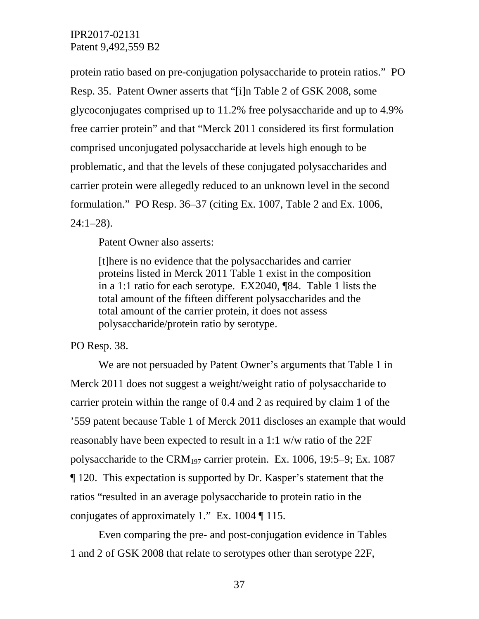protein ratio based on pre-conjugation polysaccharide to protein ratios." PO Resp. 35. Patent Owner asserts that "[i]n Table 2 of GSK 2008, some glycoconjugates comprised up to 11.2% free polysaccharide and up to 4.9% free carrier protein" and that "Merck 2011 considered its first formulation comprised unconjugated polysaccharide at levels high enough to be problematic, and that the levels of these conjugated polysaccharides and carrier protein were allegedly reduced to an unknown level in the second formulation." PO Resp. 36–37 (citing Ex. 1007, Table 2 and Ex. 1006, 24:1–28).

Patent Owner also asserts:

[t]here is no evidence that the polysaccharides and carrier proteins listed in Merck 2011 Table 1 exist in the composition in a 1:1 ratio for each serotype. EX2040, ¶84. Table 1 lists the total amount of the fifteen different polysaccharides and the total amount of the carrier protein, it does not assess polysaccharide/protein ratio by serotype.

# PO Resp. 38.

We are not persuaded by Patent Owner's arguments that Table 1 in Merck 2011 does not suggest a weight/weight ratio of polysaccharide to carrier protein within the range of 0.4 and 2 as required by claim 1 of the '559 patent because Table 1 of Merck 2011 discloses an example that would reasonably have been expected to result in a 1:1 w/w ratio of the 22F polysaccharide to the CRM<sub>197</sub> carrier protein. Ex. 1006, 19:5–9; Ex. 1087 ¶ 120. This expectation is supported by Dr. Kasper's statement that the ratios "resulted in an average polysaccharide to protein ratio in the conjugates of approximately 1." Ex. 1004 ¶ 115.

Even comparing the pre- and post-conjugation evidence in Tables 1 and 2 of GSK 2008 that relate to serotypes other than serotype 22F,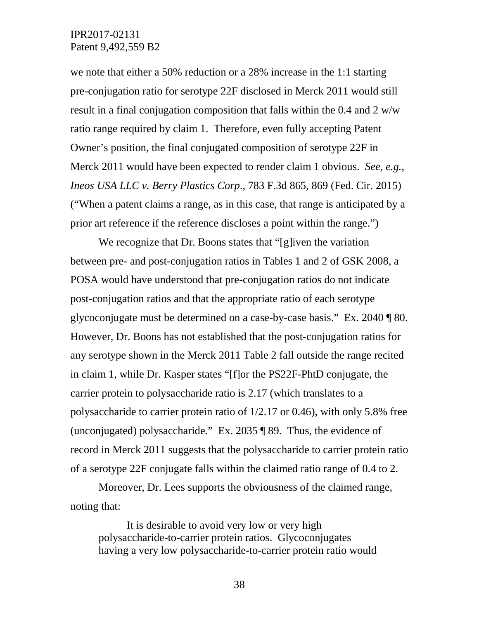we note that either a 50% reduction or a 28% increase in the 1:1 starting pre-conjugation ratio for serotype 22F disclosed in Merck 2011 would still result in a final conjugation composition that falls within the 0.4 and 2 w/w ratio range required by claim 1. Therefore, even fully accepting Patent Owner's position, the final conjugated composition of serotype 22F in Merck 2011 would have been expected to render claim 1 obvious. *See, e.g.*, *Ineos USA LLC v. Berry Plastics Corp*., 783 F.3d 865, 869 (Fed. Cir. 2015) ("When a patent claims a range, as in this case, that range is anticipated by a prior art reference if the reference discloses a point within the range.")

We recognize that Dr. Boons states that "[g]iven the variation between pre- and post-conjugation ratios in Tables 1 and 2 of GSK 2008, a POSA would have understood that pre-conjugation ratios do not indicate post-conjugation ratios and that the appropriate ratio of each serotype glycoconjugate must be determined on a case-by-case basis." Ex. 2040 ¶ 80. However, Dr. Boons has not established that the post-conjugation ratios for any serotype shown in the Merck 2011 Table 2 fall outside the range recited in claim 1, while Dr. Kasper states "[f]or the PS22F-PhtD conjugate, the carrier protein to polysaccharide ratio is 2.17 (which translates to a polysaccharide to carrier protein ratio of 1/2.17 or 0.46), with only 5.8% free (unconjugated) polysaccharide." Ex. 2035 ¶ 89. Thus, the evidence of record in Merck 2011 suggests that the polysaccharide to carrier protein ratio of a serotype 22F conjugate falls within the claimed ratio range of 0.4 to 2.

Moreover, Dr. Lees supports the obviousness of the claimed range, noting that:

It is desirable to avoid very low or very high polysaccharide-to-carrier protein ratios. Glycoconjugates having a very low polysaccharide-to-carrier protein ratio would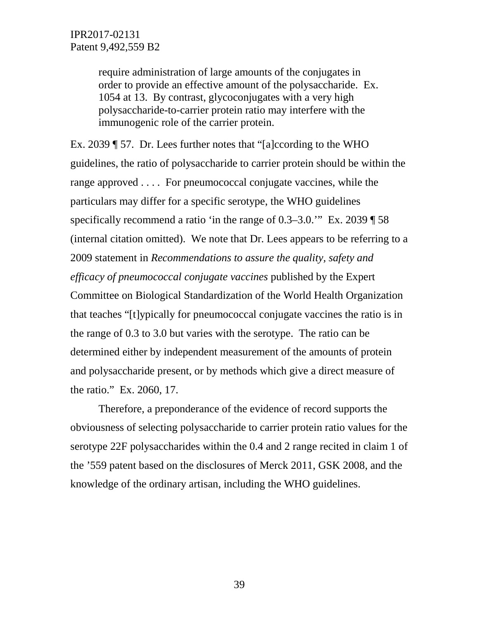require administration of large amounts of the conjugates in order to provide an effective amount of the polysaccharide. Ex. 1054 at 13. By contrast, glycoconjugates with a very high polysaccharide-to-carrier protein ratio may interfere with the immunogenic role of the carrier protein.

Ex. 2039 ¶ 57. Dr. Lees further notes that "[a]ccording to the WHO guidelines, the ratio of polysaccharide to carrier protein should be within the range approved . . . . For pneumococcal conjugate vaccines, while the particulars may differ for a specific serotype, the WHO guidelines specifically recommend a ratio 'in the range of 0.3–3.0.'" Ex. 2039 ¶ 58 (internal citation omitted). We note that Dr. Lees appears to be referring to a 2009 statement in *Recommendations to assure the quality, safety and efficacy of pneumococcal conjugate vaccines* published by the Expert Committee on Biological Standardization of the World Health Organization that teaches "[t]ypically for pneumococcal conjugate vaccines the ratio is in the range of 0.3 to 3.0 but varies with the serotype. The ratio can be determined either by independent measurement of the amounts of protein and polysaccharide present, or by methods which give a direct measure of the ratio." Ex. 2060, 17.

Therefore, a preponderance of the evidence of record supports the obviousness of selecting polysaccharide to carrier protein ratio values for the serotype 22F polysaccharides within the 0.4 and 2 range recited in claim 1 of the '559 patent based on the disclosures of Merck 2011, GSK 2008, and the knowledge of the ordinary artisan, including the WHO guidelines.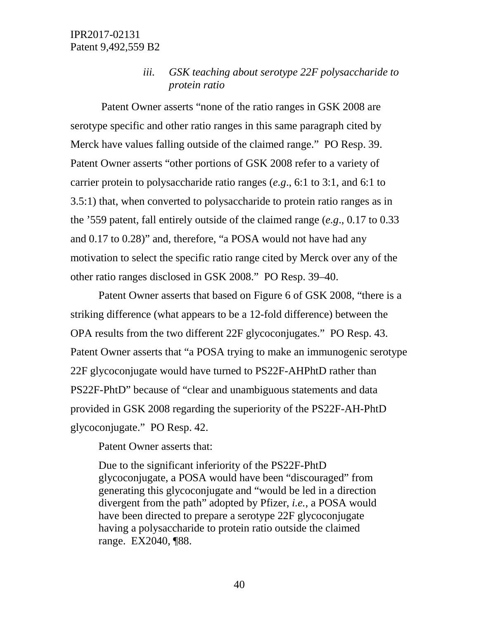*iii. GSK teaching about serotype 22F polysaccharide to protein ratio*

Patent Owner asserts "none of the ratio ranges in GSK 2008 are serotype specific and other ratio ranges in this same paragraph cited by Merck have values falling outside of the claimed range." PO Resp. 39. Patent Owner asserts "other portions of GSK 2008 refer to a variety of carrier protein to polysaccharide ratio ranges (*e.g*., 6:1 to 3:1, and 6:1 to 3.5:1) that, when converted to polysaccharide to protein ratio ranges as in the '559 patent, fall entirely outside of the claimed range (*e.g*., 0.17 to 0.33 and 0.17 to 0.28)" and, therefore, "a POSA would not have had any motivation to select the specific ratio range cited by Merck over any of the other ratio ranges disclosed in GSK 2008." PO Resp. 39–40.

Patent Owner asserts that based on Figure 6 of GSK 2008, "there is a striking difference (what appears to be a 12-fold difference) between the OPA results from the two different 22F glycoconjugates." PO Resp. 43. Patent Owner asserts that "a POSA trying to make an immunogenic serotype 22F glycoconjugate would have turned to PS22F-AHPhtD rather than PS22F-PhtD" because of "clear and unambiguous statements and data provided in GSK 2008 regarding the superiority of the PS22F-AH-PhtD glycoconjugate." PO Resp. 42.

Patent Owner asserts that:

Due to the significant inferiority of the PS22F-PhtD glycoconjugate, a POSA would have been "discouraged" from generating this glycoconjugate and "would be led in a direction divergent from the path" adopted by Pfizer, *i.e.*, a POSA would have been directed to prepare a serotype 22F glycoconjugate having a polysaccharide to protein ratio outside the claimed range. EX2040, ¶88.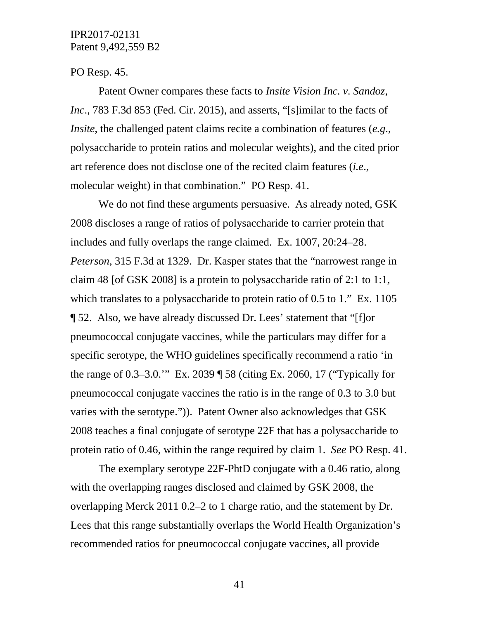#### PO Resp. 45.

Patent Owner compares these facts to *Insite Vision Inc. v. Sandoz, Inc*., 783 F.3d 853 (Fed. Cir. 2015), and asserts, "[s]imilar to the facts of *Insite*, the challenged patent claims recite a combination of features (*e.g*., polysaccharide to protein ratios and molecular weights), and the cited prior art reference does not disclose one of the recited claim features (*i.e*., molecular weight) in that combination." PO Resp. 41.

We do not find these arguments persuasive. As already noted, GSK 2008 discloses a range of ratios of polysaccharide to carrier protein that includes and fully overlaps the range claimed. Ex. 1007, 20:24–28. *Peterson*, 315 F.3d at 1329. Dr. Kasper states that the "narrowest range in claim 48 [of GSK 2008] is a protein to polysaccharide ratio of 2:1 to 1:1, which translates to a polysaccharide to protein ratio of 0.5 to 1." Ex. 1105 ¶ 52. Also, we have already discussed Dr. Lees' statement that "[f]or pneumococcal conjugate vaccines, while the particulars may differ for a specific serotype, the WHO guidelines specifically recommend a ratio 'in the range of 0.3–3.0.'" Ex. 2039 ¶ 58 (citing Ex. 2060, 17 ("Typically for pneumococcal conjugate vaccines the ratio is in the range of 0.3 to 3.0 but varies with the serotype.")). Patent Owner also acknowledges that GSK 2008 teaches a final conjugate of serotype 22F that has a polysaccharide to protein ratio of 0.46, within the range required by claim 1. *See* PO Resp. 41.

The exemplary serotype 22F-PhtD conjugate with a 0.46 ratio, along with the overlapping ranges disclosed and claimed by GSK 2008, the overlapping Merck 2011 0.2–2 to 1 charge ratio, and the statement by Dr. Lees that this range substantially overlaps the World Health Organization's recommended ratios for pneumococcal conjugate vaccines, all provide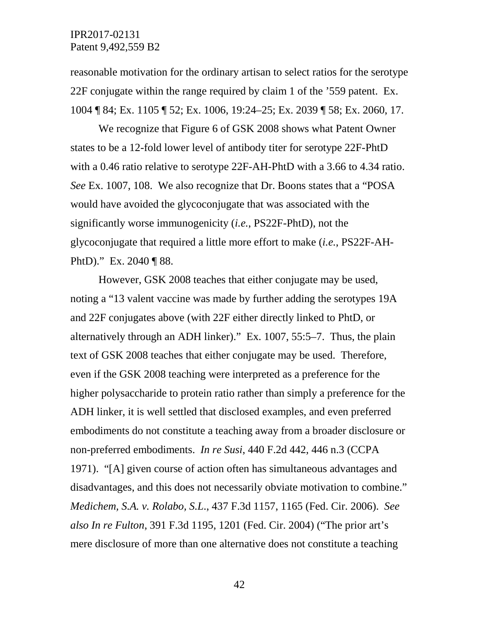reasonable motivation for the ordinary artisan to select ratios for the serotype 22F conjugate within the range required by claim 1 of the '559 patent. Ex. 1004 ¶ 84; Ex. 1105 ¶ 52; Ex. 1006, 19:24–25; Ex. 2039 ¶ 58; Ex. 2060, 17.

We recognize that Figure 6 of GSK 2008 shows what Patent Owner states to be a 12-fold lower level of antibody titer for serotype 22F-PhtD with a 0.46 ratio relative to serotype 22F-AH-PhtD with a 3.66 to 4.34 ratio. *See* Ex. 1007, 108. We also recognize that Dr. Boons states that a "POSA would have avoided the glycoconjugate that was associated with the significantly worse immunogenicity (*i.e.*, PS22F-PhtD), not the glycoconjugate that required a little more effort to make (*i.e.*, PS22F-AH-PhtD)." Ex. 2040 ¶ 88.

However, GSK 2008 teaches that either conjugate may be used, noting a "13 valent vaccine was made by further adding the serotypes 19A and 22F conjugates above (with 22F either directly linked to PhtD, or alternatively through an ADH linker)." Ex. 1007, 55:5–7. Thus, the plain text of GSK 2008 teaches that either conjugate may be used. Therefore, even if the GSK 2008 teaching were interpreted as a preference for the higher polysaccharide to protein ratio rather than simply a preference for the ADH linker, it is well settled that disclosed examples, and even preferred embodiments do not constitute a teaching away from a broader disclosure or non-preferred embodiments. *In re Susi*, 440 F.2d 442, 446 n.3 (CCPA 1971). "[A] given course of action often has simultaneous advantages and disadvantages, and this does not necessarily obviate motivation to combine." *Medichem, S.A. v. Rolabo, S.L*., 437 F.3d 1157, 1165 (Fed. Cir. 2006). *See also In re Fulton*, 391 F.3d 1195, 1201 (Fed. Cir. 2004) ("The prior art's mere disclosure of more than one alternative does not constitute a teaching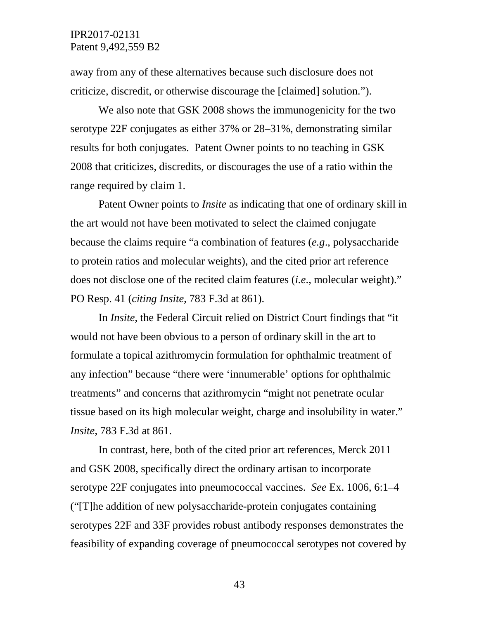away from any of these alternatives because such disclosure does not criticize, discredit, or otherwise discourage the [claimed] solution.").

We also note that GSK 2008 shows the immunogenicity for the two serotype 22F conjugates as either 37% or 28–31%, demonstrating similar results for both conjugates. Patent Owner points to no teaching in GSK 2008 that criticizes, discredits, or discourages the use of a ratio within the range required by claim 1.

Patent Owner points to *Insite* as indicating that one of ordinary skill in the art would not have been motivated to select the claimed conjugate because the claims require "a combination of features (*e.g*., polysaccharide to protein ratios and molecular weights), and the cited prior art reference does not disclose one of the recited claim features (*i.e*., molecular weight)." PO Resp. 41 (*citing Insite*, 783 F.3d at 861).

In *Insite*, the Federal Circuit relied on District Court findings that "it would not have been obvious to a person of ordinary skill in the art to formulate a topical azithromycin formulation for ophthalmic treatment of any infection" because "there were 'innumerable' options for ophthalmic treatments" and concerns that azithromycin "might not penetrate ocular tissue based on its high molecular weight, charge and insolubility in water." *Insite*, 783 F.3d at 861.

In contrast, here, both of the cited prior art references, Merck 2011 and GSK 2008, specifically direct the ordinary artisan to incorporate serotype 22F conjugates into pneumococcal vaccines. *See* Ex. 1006, 6:1–4 ("[T]he addition of new polysaccharide-protein conjugates containing serotypes 22F and 33F provides robust antibody responses demonstrates the feasibility of expanding coverage of pneumococcal serotypes not covered by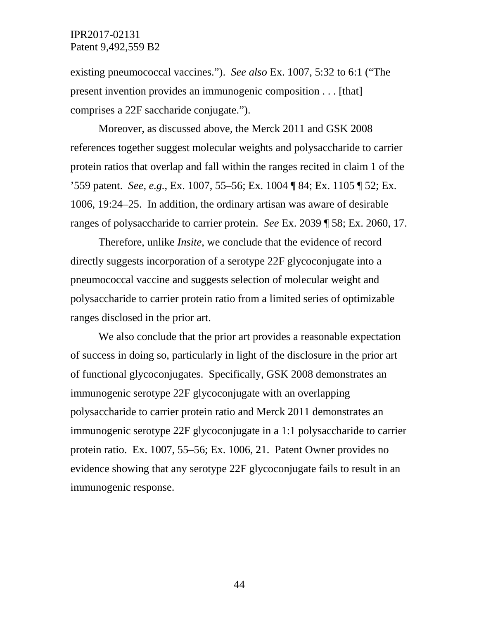existing pneumococcal vaccines."). *See also* Ex. 1007, 5:32 to 6:1 ("The present invention provides an immunogenic composition . . . [that] comprises a 22F saccharide conjugate.").

Moreover, as discussed above, the Merck 2011 and GSK 2008 references together suggest molecular weights and polysaccharide to carrier protein ratios that overlap and fall within the ranges recited in claim 1 of the '559 patent. *See, e.g.*, Ex. 1007, 55–56; Ex. 1004 ¶ 84; Ex. 1105 ¶ 52; Ex. 1006, 19:24–25. In addition, the ordinary artisan was aware of desirable ranges of polysaccharide to carrier protein. *See* Ex. 2039 ¶ 58; Ex. 2060, 17.

Therefore, unlike *Insite*, we conclude that the evidence of record directly suggests incorporation of a serotype 22F glycoconjugate into a pneumococcal vaccine and suggests selection of molecular weight and polysaccharide to carrier protein ratio from a limited series of optimizable ranges disclosed in the prior art.

We also conclude that the prior art provides a reasonable expectation of success in doing so, particularly in light of the disclosure in the prior art of functional glycoconjugates. Specifically, GSK 2008 demonstrates an immunogenic serotype 22F glycoconjugate with an overlapping polysaccharide to carrier protein ratio and Merck 2011 demonstrates an immunogenic serotype 22F glycoconjugate in a 1:1 polysaccharide to carrier protein ratio. Ex. 1007, 55–56; Ex. 1006, 21. Patent Owner provides no evidence showing that any serotype 22F glycoconjugate fails to result in an immunogenic response.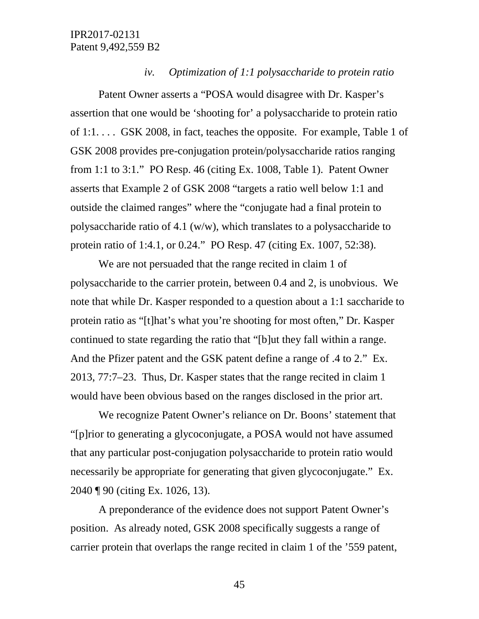### *iv. Optimization of 1:1 polysaccharide to protein ratio*

Patent Owner asserts a "POSA would disagree with Dr. Kasper's assertion that one would be 'shooting for' a polysaccharide to protein ratio of 1:1. . . . GSK 2008, in fact, teaches the opposite. For example, Table 1 of GSK 2008 provides pre-conjugation protein/polysaccharide ratios ranging from 1:1 to 3:1." PO Resp. 46 (citing Ex. 1008, Table 1). Patent Owner asserts that Example 2 of GSK 2008 "targets a ratio well below 1:1 and outside the claimed ranges" where the "conjugate had a final protein to polysaccharide ratio of 4.1 (w/w), which translates to a polysaccharide to protein ratio of 1:4.1, or 0.24." PO Resp. 47 (citing Ex. 1007, 52:38).

We are not persuaded that the range recited in claim 1 of polysaccharide to the carrier protein, between 0.4 and 2, is unobvious. We note that while Dr. Kasper responded to a question about a 1:1 saccharide to protein ratio as "[t]hat's what you're shooting for most often," Dr. Kasper continued to state regarding the ratio that "[b]ut they fall within a range. And the Pfizer patent and the GSK patent define a range of .4 to 2." Ex. 2013, 77:7–23. Thus, Dr. Kasper states that the range recited in claim 1 would have been obvious based on the ranges disclosed in the prior art.

We recognize Patent Owner's reliance on Dr. Boons' statement that "[p]rior to generating a glycoconjugate, a POSA would not have assumed that any particular post-conjugation polysaccharide to protein ratio would necessarily be appropriate for generating that given glycoconjugate." Ex. 2040 ¶ 90 (citing Ex. 1026, 13).

A preponderance of the evidence does not support Patent Owner's position. As already noted, GSK 2008 specifically suggests a range of carrier protein that overlaps the range recited in claim 1 of the '559 patent,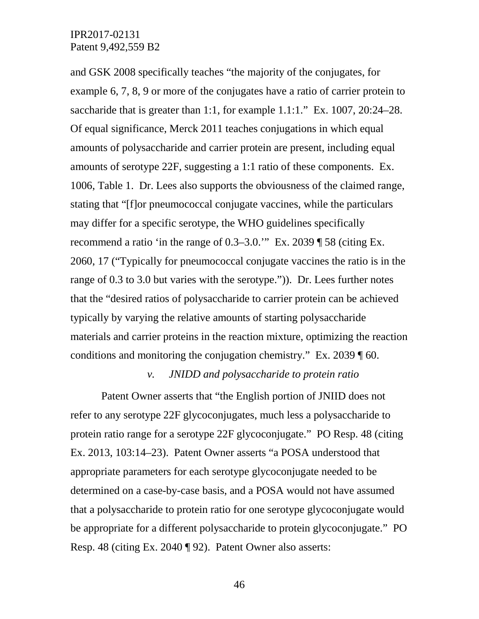and GSK 2008 specifically teaches "the majority of the conjugates, for example 6, 7, 8, 9 or more of the conjugates have a ratio of carrier protein to saccharide that is greater than 1:1, for example 1.1:1." Ex. 1007, 20:24–28. Of equal significance, Merck 2011 teaches conjugations in which equal amounts of polysaccharide and carrier protein are present, including equal amounts of serotype 22F, suggesting a 1:1 ratio of these components. Ex. 1006, Table 1. Dr. Lees also supports the obviousness of the claimed range, stating that "[f]or pneumococcal conjugate vaccines, while the particulars may differ for a specific serotype, the WHO guidelines specifically recommend a ratio 'in the range of 0.3–3.0.'" Ex. 2039 ¶ 58 (citing Ex. 2060, 17 ("Typically for pneumococcal conjugate vaccines the ratio is in the range of 0.3 to 3.0 but varies with the serotype.")). Dr. Lees further notes that the "desired ratios of polysaccharide to carrier protein can be achieved typically by varying the relative amounts of starting polysaccharide materials and carrier proteins in the reaction mixture, optimizing the reaction conditions and monitoring the conjugation chemistry." Ex. 2039 ¶ 60.

#### *v. JNIDD and polysaccharide to protein ratio*

Patent Owner asserts that "the English portion of JNIID does not refer to any serotype 22F glycoconjugates, much less a polysaccharide to protein ratio range for a serotype 22F glycoconjugate." PO Resp. 48 (citing Ex. 2013, 103:14–23). Patent Owner asserts "a POSA understood that appropriate parameters for each serotype glycoconjugate needed to be determined on a case-by-case basis, and a POSA would not have assumed that a polysaccharide to protein ratio for one serotype glycoconjugate would be appropriate for a different polysaccharide to protein glycoconjugate." PO Resp. 48 (citing Ex. 2040 ¶ 92). Patent Owner also asserts: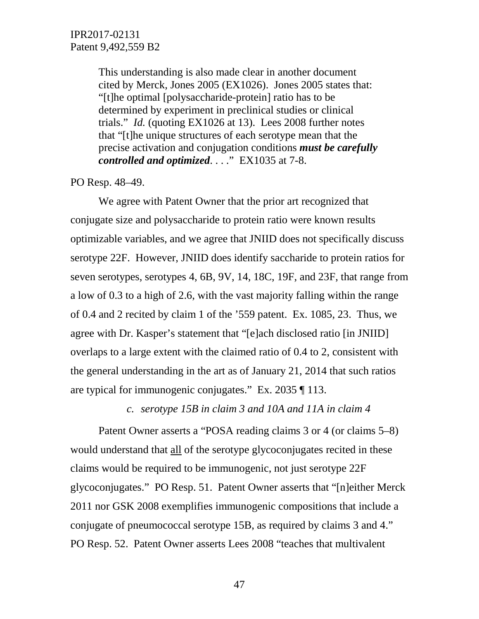This understanding is also made clear in another document cited by Merck, Jones 2005 (EX1026). Jones 2005 states that: "[t]he optimal [polysaccharide-protein] ratio has to be determined by experiment in preclinical studies or clinical trials." *Id.* (quoting EX1026 at 13). Lees 2008 further notes that "[t]he unique structures of each serotype mean that the precise activation and conjugation conditions *must be carefully controlled and optimized*. . . ." EX1035 at 7-8.

PO Resp. 48–49.

We agree with Patent Owner that the prior art recognized that conjugate size and polysaccharide to protein ratio were known results optimizable variables, and we agree that JNIID does not specifically discuss serotype 22F. However, JNIID does identify saccharide to protein ratios for seven serotypes, serotypes 4, 6B, 9V, 14, 18C, 19F, and 23F, that range from a low of 0.3 to a high of 2.6, with the vast majority falling within the range of 0.4 and 2 recited by claim 1 of the '559 patent. Ex. 1085, 23. Thus, we agree with Dr. Kasper's statement that "[e]ach disclosed ratio [in JNIID] overlaps to a large extent with the claimed ratio of 0.4 to 2, consistent with the general understanding in the art as of January 21, 2014 that such ratios are typical for immunogenic conjugates." Ex. 2035 ¶ 113.

*c. serotype 15B in claim 3 and 10A and 11A in claim 4*

Patent Owner asserts a "POSA reading claims 3 or 4 (or claims 5–8) would understand that all of the serotype glycoconjugates recited in these claims would be required to be immunogenic, not just serotype 22F glycoconjugates." PO Resp. 51. Patent Owner asserts that "[n]either Merck 2011 nor GSK 2008 exemplifies immunogenic compositions that include a conjugate of pneumococcal serotype 15B, as required by claims 3 and 4." PO Resp. 52. Patent Owner asserts Lees 2008 "teaches that multivalent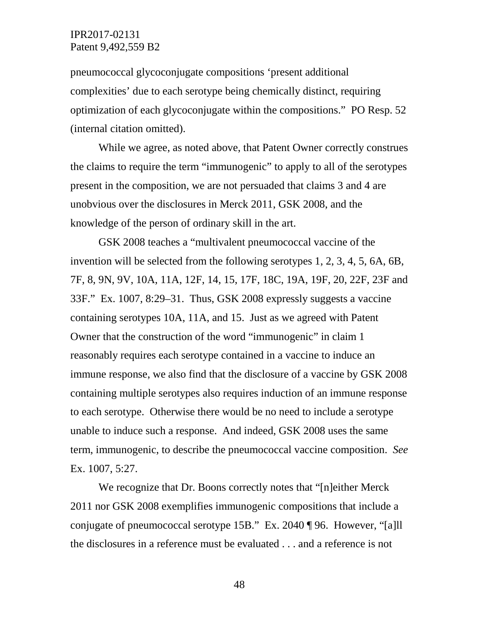pneumococcal glycoconjugate compositions 'present additional complexities' due to each serotype being chemically distinct, requiring optimization of each glycoconjugate within the compositions." PO Resp. 52 (internal citation omitted).

While we agree, as noted above, that Patent Owner correctly construes the claims to require the term "immunogenic" to apply to all of the serotypes present in the composition, we are not persuaded that claims 3 and 4 are unobvious over the disclosures in Merck 2011, GSK 2008, and the knowledge of the person of ordinary skill in the art.

GSK 2008 teaches a "multivalent pneumococcal vaccine of the invention will be selected from the following serotypes 1, 2, 3, 4, 5, 6A, 6B, 7F, 8, 9N, 9V, 10A, 11A, 12F, 14, 15, 17F, 18C, 19A, 19F, 20, 22F, 23F and 33F." Ex. 1007, 8:29–31. Thus, GSK 2008 expressly suggests a vaccine containing serotypes 10A, 11A, and 15. Just as we agreed with Patent Owner that the construction of the word "immunogenic" in claim 1 reasonably requires each serotype contained in a vaccine to induce an immune response, we also find that the disclosure of a vaccine by GSK 2008 containing multiple serotypes also requires induction of an immune response to each serotype. Otherwise there would be no need to include a serotype unable to induce such a response. And indeed, GSK 2008 uses the same term, immunogenic, to describe the pneumococcal vaccine composition. *See* Ex. 1007, 5:27.

We recognize that Dr. Boons correctly notes that "[n]either Merck 2011 nor GSK 2008 exemplifies immunogenic compositions that include a conjugate of pneumococcal serotype 15B." Ex. 2040 ¶ 96. However, "[a]ll the disclosures in a reference must be evaluated . . . and a reference is not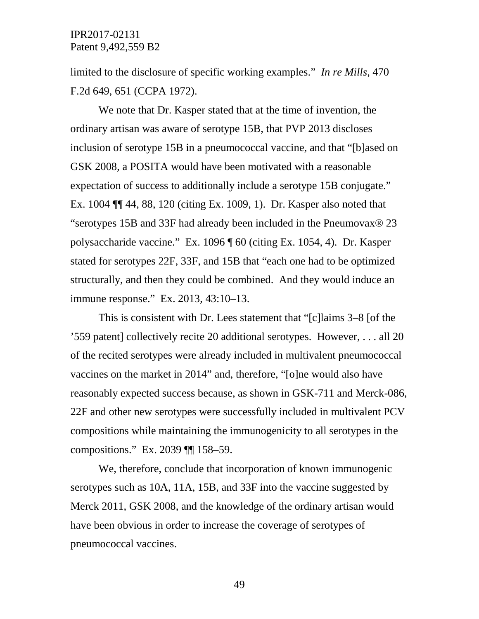limited to the disclosure of specific working examples." *In re Mills*, 470 F.2d 649, 651 (CCPA 1972).

We note that Dr. Kasper stated that at the time of invention, the ordinary artisan was aware of serotype 15B, that PVP 2013 discloses inclusion of serotype 15B in a pneumococcal vaccine, and that "[b]ased on GSK 2008, a POSITA would have been motivated with a reasonable expectation of success to additionally include a serotype 15B conjugate." Ex. 1004 ¶¶ 44, 88, 120 (citing Ex. 1009, 1). Dr. Kasper also noted that "serotypes 15B and 33F had already been included in the Pneumovax® 23 polysaccharide vaccine." Ex. 1096 ¶ 60 (citing Ex. 1054, 4). Dr. Kasper stated for serotypes 22F, 33F, and 15B that "each one had to be optimized structurally, and then they could be combined. And they would induce an immune response." Ex. 2013, 43:10–13.

This is consistent with Dr. Lees statement that "[c]laims 3–8 [of the '559 patent] collectively recite 20 additional serotypes. However, . . . all 20 of the recited serotypes were already included in multivalent pneumococcal vaccines on the market in 2014" and, therefore, "[o]ne would also have reasonably expected success because, as shown in GSK-711 and Merck-086, 22F and other new serotypes were successfully included in multivalent PCV compositions while maintaining the immunogenicity to all serotypes in the compositions." Ex. 2039 ¶¶ 158–59.

We, therefore, conclude that incorporation of known immunogenic serotypes such as 10A, 11A, 15B, and 33F into the vaccine suggested by Merck 2011, GSK 2008, and the knowledge of the ordinary artisan would have been obvious in order to increase the coverage of serotypes of pneumococcal vaccines.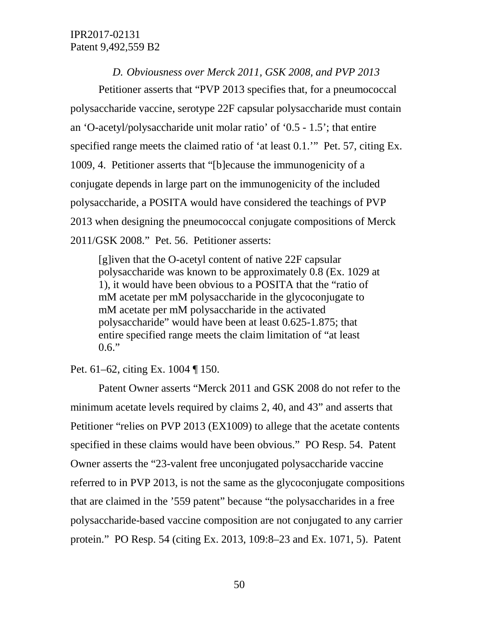*D. Obviousness over Merck 2011, GSK 2008, and PVP 2013*

Petitioner asserts that "PVP 2013 specifies that, for a pneumococcal polysaccharide vaccine, serotype 22F capsular polysaccharide must contain an 'O-acetyl/polysaccharide unit molar ratio' of '0.5 - 1.5'; that entire specified range meets the claimed ratio of 'at least 0.1.'" Pet. 57, citing Ex. 1009, 4. Petitioner asserts that "[b]ecause the immunogenicity of a conjugate depends in large part on the immunogenicity of the included polysaccharide, a POSITA would have considered the teachings of PVP 2013 when designing the pneumococcal conjugate compositions of Merck 2011/GSK 2008." Pet. 56. Petitioner asserts:

[g]iven that the O-acetyl content of native 22F capsular polysaccharide was known to be approximately 0.8 (Ex. 1029 at 1), it would have been obvious to a POSITA that the "ratio of mM acetate per mM polysaccharide in the glycoconjugate to mM acetate per mM polysaccharide in the activated polysaccharide" would have been at least 0.625-1.875; that entire specified range meets the claim limitation of "at least  $0.6."$ 

Pet. 61–62, citing Ex. 1004 ¶ 150.

Patent Owner asserts "Merck 2011 and GSK 2008 do not refer to the minimum acetate levels required by claims 2, 40, and 43" and asserts that Petitioner "relies on PVP 2013 (EX1009) to allege that the acetate contents specified in these claims would have been obvious." PO Resp. 54. Patent Owner asserts the "23-valent free unconjugated polysaccharide vaccine referred to in PVP 2013, is not the same as the glycoconjugate compositions that are claimed in the '559 patent" because "the polysaccharides in a free polysaccharide-based vaccine composition are not conjugated to any carrier protein." PO Resp. 54 (citing Ex. 2013, 109:8–23 and Ex. 1071, 5). Patent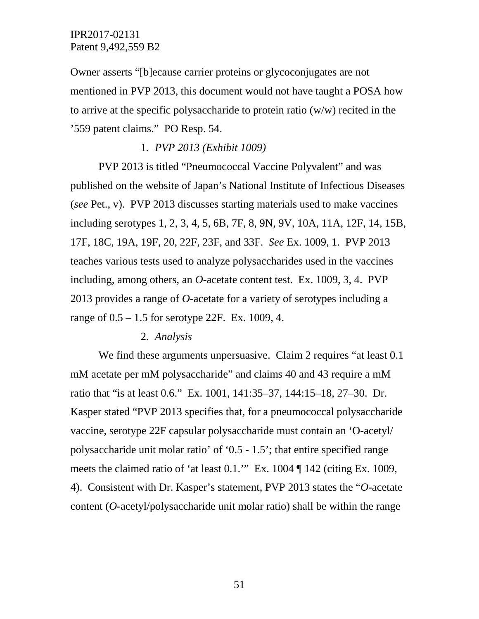Owner asserts "[b]ecause carrier proteins or glycoconjugates are not mentioned in PVP 2013, this document would not have taught a POSA how to arrive at the specific polysaccharide to protein ratio (w/w) recited in the '559 patent claims." PO Resp. 54.

### 1*. PVP 2013 (Exhibit 1009)*

PVP 2013 is titled "Pneumococcal Vaccine Polyvalent" and was published on the website of Japan's National Institute of Infectious Diseases (*see* Pet., v). PVP 2013 discusses starting materials used to make vaccines including serotypes 1, 2, 3, 4, 5, 6B, 7F, 8, 9N, 9V, 10A, 11A, 12F, 14, 15B, 17F, 18C, 19A, 19F, 20, 22F, 23F, and 33F. *See* Ex. 1009, 1. PVP 2013 teaches various tests used to analyze polysaccharides used in the vaccines including, among others, an *O*-acetate content test. Ex. 1009, 3, 4. PVP 2013 provides a range of *O*-acetate for a variety of serotypes including a range of 0.5 – 1.5 for serotype 22F. Ex. 1009, 4.

#### 2*. Analysis*

We find these arguments unpersuasive. Claim 2 requires "at least 0.1" mM acetate per mM polysaccharide" and claims 40 and 43 require a mM ratio that "is at least 0.6." Ex. 1001, 141:35–37, 144:15–18, 27–30. Dr. Kasper stated "PVP 2013 specifies that, for a pneumococcal polysaccharide vaccine, serotype 22F capsular polysaccharide must contain an 'O-acetyl/ polysaccharide unit molar ratio' of '0.5 - 1.5'; that entire specified range meets the claimed ratio of 'at least 0.1.'" Ex. 1004 ¶ 142 (citing Ex. 1009, 4). Consistent with Dr. Kasper's statement, PVP 2013 states the "*O*-acetate content (*O*-acetyl/polysaccharide unit molar ratio) shall be within the range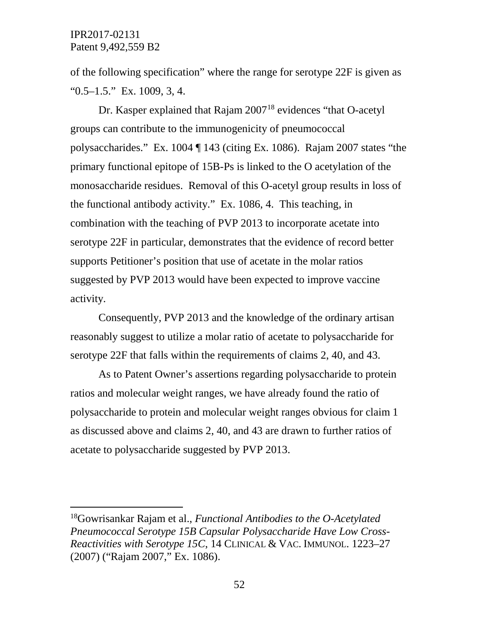of the following specification" where the range for serotype 22F is given as  $"0.5-1.5."$  Ex. 1009, 3, 4.

Dr. Kasper explained that Rajam 2007<sup>[18](#page-51-0)</sup> evidences "that O-acetyl" groups can contribute to the immunogenicity of pneumococcal polysaccharides." Ex. 1004 ¶ 143 (citing Ex. 1086). Rajam 2007 states "the primary functional epitope of 15B-Ps is linked to the O acetylation of the monosaccharide residues. Removal of this O-acetyl group results in loss of the functional antibody activity." Ex. 1086, 4. This teaching, in combination with the teaching of PVP 2013 to incorporate acetate into serotype 22F in particular, demonstrates that the evidence of record better supports Petitioner's position that use of acetate in the molar ratios suggested by PVP 2013 would have been expected to improve vaccine activity.

Consequently, PVP 2013 and the knowledge of the ordinary artisan reasonably suggest to utilize a molar ratio of acetate to polysaccharide for serotype 22F that falls within the requirements of claims 2, 40, and 43.

As to Patent Owner's assertions regarding polysaccharide to protein ratios and molecular weight ranges, we have already found the ratio of polysaccharide to protein and molecular weight ranges obvious for claim 1 as discussed above and claims 2, 40, and 43 are drawn to further ratios of acetate to polysaccharide suggested by PVP 2013.

<span id="page-51-0"></span> <sup>18</sup>Gowrisankar Rajam et al., *Functional Antibodies to the O-Acetylated Pneumococcal Serotype 15B Capsular Polysaccharide Have Low Cross-Reactivities with Serotype 15C*, 14 CLINICAL & VAC. IMMUNOL. 1223–27 (2007) ("Rajam 2007," Ex. 1086).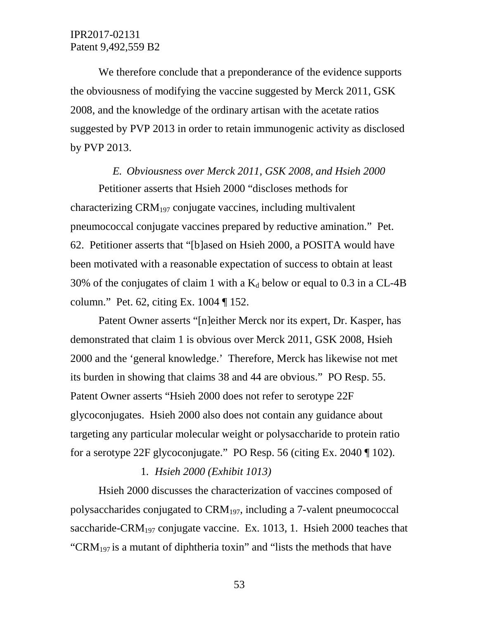We therefore conclude that a preponderance of the evidence supports the obviousness of modifying the vaccine suggested by Merck 2011, GSK 2008, and the knowledge of the ordinary artisan with the acetate ratios suggested by PVP 2013 in order to retain immunogenic activity as disclosed by PVP 2013.

#### *E. Obviousness over Merck 2011, GSK 2008, and Hsieh 2000*

Petitioner asserts that Hsieh 2000 "discloses methods for characterizing  $CRM_{197}$  conjugate vaccines, including multivalent pneumococcal conjugate vaccines prepared by reductive amination." Pet. 62. Petitioner asserts that "[b]ased on Hsieh 2000, a POSITA would have been motivated with a reasonable expectation of success to obtain at least 30% of the conjugates of claim 1 with a  $K_d$  below or equal to 0.3 in a CL-4B column." Pet. 62, citing Ex. 1004 ¶ 152.

Patent Owner asserts "[n]either Merck nor its expert, Dr. Kasper, has demonstrated that claim 1 is obvious over Merck 2011, GSK 2008, Hsieh 2000 and the 'general knowledge.' Therefore, Merck has likewise not met its burden in showing that claims 38 and 44 are obvious." PO Resp. 55. Patent Owner asserts "Hsieh 2000 does not refer to serotype 22F glycoconjugates. Hsieh 2000 also does not contain any guidance about targeting any particular molecular weight or polysaccharide to protein ratio for a serotype 22F glycoconjugate." PO Resp. 56 (citing Ex. 2040 ¶ 102).

#### 1*. Hsieh 2000 (Exhibit 1013)*

Hsieh 2000 discusses the characterization of vaccines composed of polysaccharides conjugated to  $\text{ERM}_{197}$ , including a 7-valent pneumococcal saccharide-CRM<sub>197</sub> conjugate vaccine. Ex. 1013, 1. Hsieh 2000 teaches that "CRM<sub>197</sub> is a mutant of diphtheria toxin" and "lists the methods that have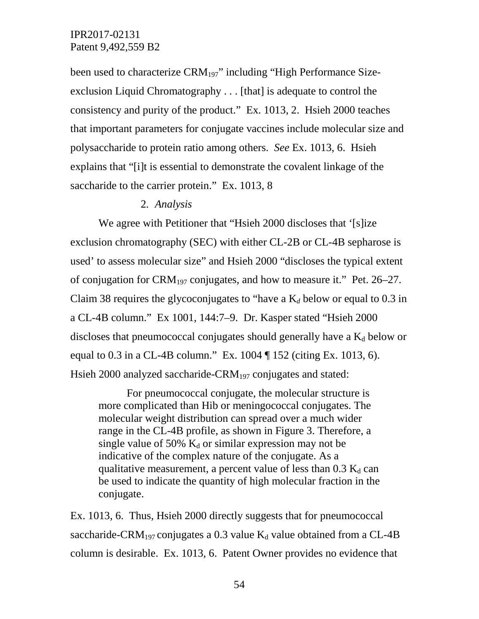been used to characterize CRM<sub>197</sub>" including "High Performance Sizeexclusion Liquid Chromatography . . . [that] is adequate to control the consistency and purity of the product." Ex. 1013, 2. Hsieh 2000 teaches that important parameters for conjugate vaccines include molecular size and polysaccharide to protein ratio among others. *See* Ex. 1013, 6. Hsieh explains that "[i]t is essential to demonstrate the covalent linkage of the saccharide to the carrier protein." Ex. 1013, 8

### 2*. Analysis*

We agree with Petitioner that "Hsieh 2000 discloses that '[s]ize exclusion chromatography (SEC) with either CL-2B or CL-4B sepharose is used' to assess molecular size" and Hsieh 2000 "discloses the typical extent of conjugation for CRM<sub>197</sub> conjugates, and how to measure it." Pet. 26–27. Claim 38 requires the glycoconjugates to "have a K*<sup>d</sup>* below or equal to 0.3 in a CL-4B column." Ex 1001, 144:7–9. Dr. Kasper stated "Hsieh 2000 discloses that pneumococcal conjugates should generally have a  $K_d$  below or equal to 0.3 in a CL-4B column." Ex. 1004 ¶ 152 (citing Ex. 1013, 6). Hsieh 2000 analyzed saccharide-CRM<sub>197</sub> conjugates and stated:

For pneumococcal conjugate, the molecular structure is more complicated than Hib or meningococcal conjugates. The molecular weight distribution can spread over a much wider range in the CL-4B profile, as shown in Figure 3. Therefore, a single value of 50%  $K_d$  or similar expression may not be indicative of the complex nature of the conjugate. As a qualitative measurement, a percent value of less than  $0.3 \text{ K}_d$  can be used to indicate the quantity of high molecular fraction in the conjugate.

Ex. 1013, 6. Thus, Hsieh 2000 directly suggests that for pneumococcal saccharide-CRM<sub>197</sub> conjugates a 0.3 value K<sub>d</sub> value obtained from a CL-4B column is desirable. Ex. 1013, 6. Patent Owner provides no evidence that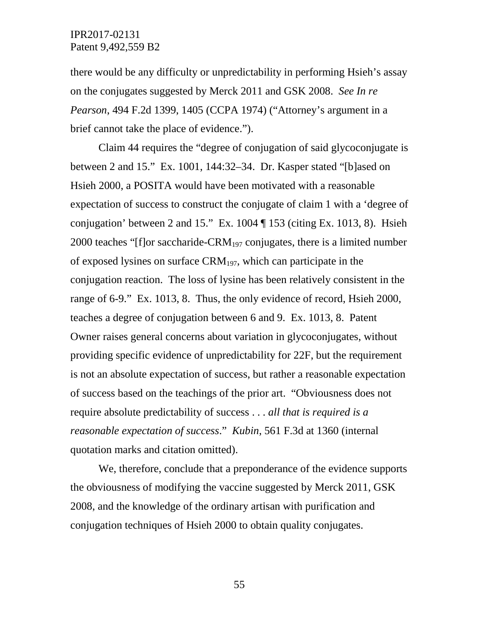there would be any difficulty or unpredictability in performing Hsieh's assay on the conjugates suggested by Merck 2011 and GSK 2008. *See In re Pearson*, 494 F.2d 1399, 1405 (CCPA 1974) ("Attorney's argument in a brief cannot take the place of evidence.").

Claim 44 requires the "degree of conjugation of said glycoconjugate is between 2 and 15." Ex. 1001, 144:32–34. Dr. Kasper stated "[b]ased on Hsieh 2000, a POSITA would have been motivated with a reasonable expectation of success to construct the conjugate of claim 1 with a 'degree of conjugation' between 2 and 15." Ex.  $1004 \text{ T}$  153 (citing Ex. 1013, 8). Hsieh 2000 teaches "[f]or saccharide-CRM<sub>197</sub> conjugates, there is a limited number of exposed lysines on surface  $CRM_{197}$ , which can participate in the conjugation reaction. The loss of lysine has been relatively consistent in the range of 6-9." Ex. 1013, 8. Thus, the only evidence of record, Hsieh 2000, teaches a degree of conjugation between 6 and 9. Ex. 1013, 8. Patent Owner raises general concerns about variation in glycoconjugates, without providing specific evidence of unpredictability for 22F, but the requirement is not an absolute expectation of success, but rather a reasonable expectation of success based on the teachings of the prior art. "Obviousness does not require absolute predictability of success . . . *all that is required is a reasonable expectation of success*." *Kubin*, 561 F.3d at 1360 (internal quotation marks and citation omitted).

We, therefore, conclude that a preponderance of the evidence supports the obviousness of modifying the vaccine suggested by Merck 2011, GSK 2008, and the knowledge of the ordinary artisan with purification and conjugation techniques of Hsieh 2000 to obtain quality conjugates.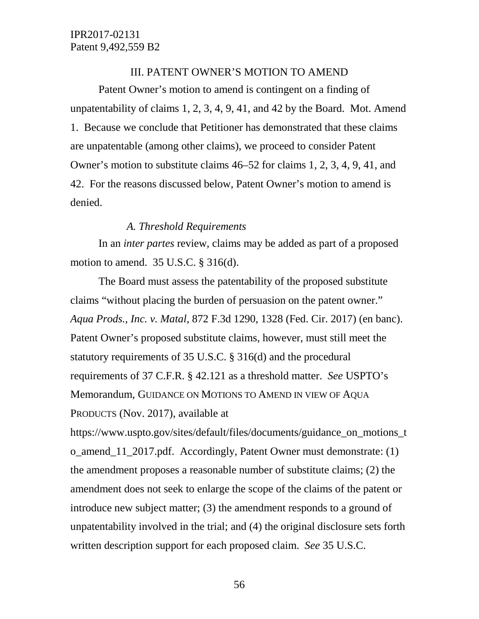### III. PATENT OWNER'S MOTION TO AMEND

Patent Owner's motion to amend is contingent on a finding of unpatentability of claims 1, 2, 3, 4, 9, 41, and 42 by the Board. Mot. Amend 1. Because we conclude that Petitioner has demonstrated that these claims are unpatentable (among other claims), we proceed to consider Patent Owner's motion to substitute claims 46–52 for claims 1, 2, 3, 4, 9, 41, and 42. For the reasons discussed below, Patent Owner's motion to amend is denied.

### *A. Threshold Requirements*

In an *inter partes* review, claims may be added as part of a proposed motion to amend. 35 U.S.C. § 316(d).

The Board must assess the patentability of the proposed substitute claims "without placing the burden of persuasion on the patent owner." *Aqua Prods., Inc. v. Matal*, 872 F.3d 1290, 1328 (Fed. Cir. 2017) (en banc). Patent Owner's proposed substitute claims, however, must still meet the statutory requirements of 35 U.S.C. § 316(d) and the procedural requirements of 37 C.F.R. § 42.121 as a threshold matter. *See* USPTO's Memorandum, GUIDANCE ON MOTIONS TO AMEND IN VIEW OF AQUA PRODUCTS (Nov. 2017), available at

https://www.uspto.gov/sites/default/files/documents/guidance\_on\_motions\_t o\_amend\_11\_2017.pdf. Accordingly, Patent Owner must demonstrate: (1) the amendment proposes a reasonable number of substitute claims; (2) the amendment does not seek to enlarge the scope of the claims of the patent or introduce new subject matter; (3) the amendment responds to a ground of unpatentability involved in the trial; and (4) the original disclosure sets forth written description support for each proposed claim. *See* 35 U.S.C.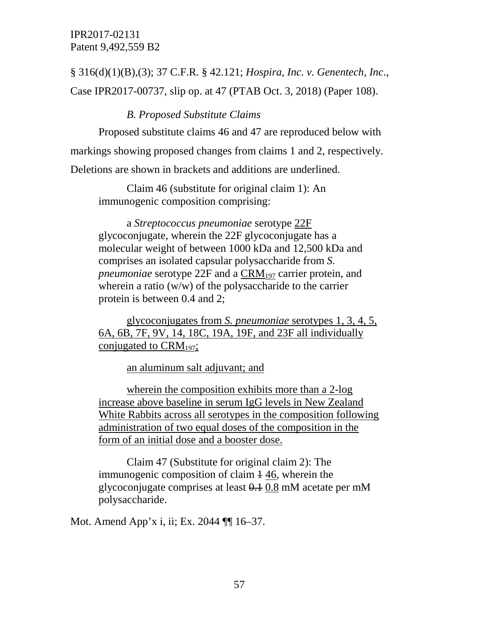§ 316(d)(1)(B),(3); 37 C.F.R. § 42.121; *Hospira, Inc. v. Genentech, Inc*., Case IPR2017-00737, slip op. at 47 (PTAB Oct. 3, 2018) (Paper 108).

### *B. Proposed Substitute Claims*

Proposed substitute claims 46 and 47 are reproduced below with markings showing proposed changes from claims 1 and 2, respectively. Deletions are shown in brackets and additions are underlined.

Claim 46 (substitute for original claim 1): An immunogenic composition comprising:

a *Streptococcus pneumoniae* serotype 22F glycoconjugate, wherein the 22F glycoconjugate has a molecular weight of between 1000 kDa and 12,500 kDa and comprises an isolated capsular polysaccharide from *S. pneumoniae* serotype 22F and a CRM<sub>197</sub> carrier protein, and wherein a ratio (w/w) of the polysaccharide to the carrier protein is between 0.4 and 2;

glycoconjugates from *S. pneumoniae* serotypes 1, 3, 4, 5, 6A, 6B, 7F, 9V, 14, 18C, 19A, 19F, and 23F all individually conjugated to  $\text{CRM}_{197}$ ;

an aluminum salt adjuvant; and

wherein the composition exhibits more than a 2-log increase above baseline in serum IgG levels in New Zealand White Rabbits across all serotypes in the composition following administration of two equal doses of the composition in the form of an initial dose and a booster dose.

Claim 47 (Substitute for original claim 2): The immunogenic composition of claim  $\frac{1}{4}$  46, wherein the glycoconjugate comprises at least 0.1 0.8 mM acetate per mM polysaccharide.

Mot. Amend App'x i, ii; Ex. 2044 ¶¶ 16–37.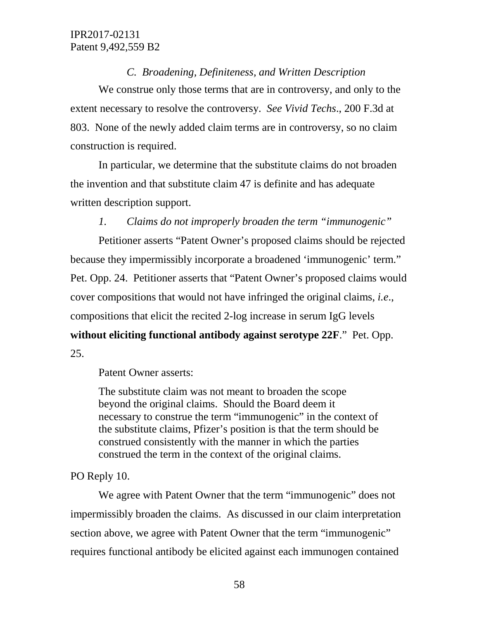### *C. Broadening, Definiteness, and Written Description*

We construe only those terms that are in controversy, and only to the extent necessary to resolve the controversy. *See Vivid Techs*., 200 F.3d at 803. None of the newly added claim terms are in controversy, so no claim construction is required.

In particular, we determine that the substitute claims do not broaden the invention and that substitute claim 47 is definite and has adequate written description support.

# *1. Claims do not improperly broaden the term "immunogenic"*

Petitioner asserts "Patent Owner's proposed claims should be rejected because they impermissibly incorporate a broadened 'immunogenic' term." Pet. Opp. 24. Petitioner asserts that "Patent Owner's proposed claims would cover compositions that would not have infringed the original claims, *i.e*., compositions that elicit the recited 2-log increase in serum IgG levels **without eliciting functional antibody against serotype 22F**." Pet. Opp. 25.

Patent Owner asserts:

The substitute claim was not meant to broaden the scope beyond the original claims. Should the Board deem it necessary to construe the term "immunogenic" in the context of the substitute claims, Pfizer's position is that the term should be construed consistently with the manner in which the parties construed the term in the context of the original claims.

# PO Reply 10.

We agree with Patent Owner that the term "immunogenic" does not impermissibly broaden the claims. As discussed in our claim interpretation section above, we agree with Patent Owner that the term "immunogenic" requires functional antibody be elicited against each immunogen contained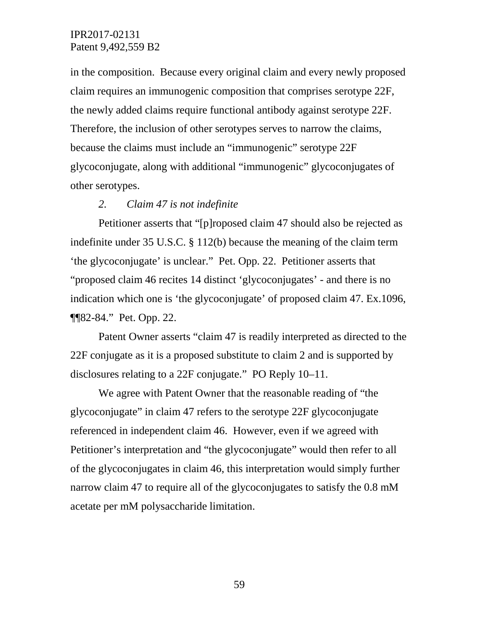in the composition. Because every original claim and every newly proposed claim requires an immunogenic composition that comprises serotype 22F, the newly added claims require functional antibody against serotype 22F. Therefore, the inclusion of other serotypes serves to narrow the claims, because the claims must include an "immunogenic" serotype 22F glycoconjugate, along with additional "immunogenic" glycoconjugates of other serotypes.

#### *2. Claim 47 is not indefinite*

Petitioner asserts that "[p]roposed claim 47 should also be rejected as indefinite under 35 U.S.C. § 112(b) because the meaning of the claim term 'the glycoconjugate' is unclear." Pet. Opp. 22. Petitioner asserts that "proposed claim 46 recites 14 distinct 'glycoconjugates' - and there is no indication which one is 'the glycoconjugate' of proposed claim 47. Ex.1096, ¶¶82-84." Pet. Opp. 22.

Patent Owner asserts "claim 47 is readily interpreted as directed to the 22F conjugate as it is a proposed substitute to claim 2 and is supported by disclosures relating to a 22F conjugate." PO Reply 10–11.

We agree with Patent Owner that the reasonable reading of "the glycoconjugate" in claim 47 refers to the serotype 22F glycoconjugate referenced in independent claim 46. However, even if we agreed with Petitioner's interpretation and "the glycoconjugate" would then refer to all of the glycoconjugates in claim 46, this interpretation would simply further narrow claim 47 to require all of the glycoconjugates to satisfy the 0.8 mM acetate per mM polysaccharide limitation.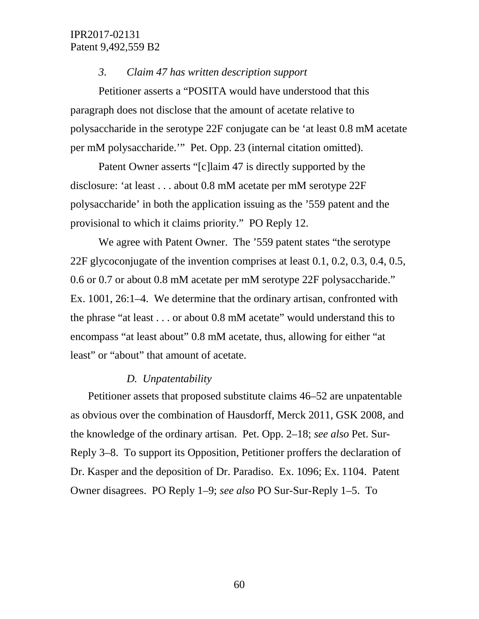#### *3. Claim 47 has written description support*

Petitioner asserts a "POSITA would have understood that this paragraph does not disclose that the amount of acetate relative to polysaccharide in the serotype 22F conjugate can be 'at least 0.8 mM acetate per mM polysaccharide.'" Pet. Opp. 23 (internal citation omitted).

Patent Owner asserts "[c]laim 47 is directly supported by the disclosure: 'at least . . . about 0.8 mM acetate per mM serotype 22F polysaccharide' in both the application issuing as the '559 patent and the provisional to which it claims priority." PO Reply 12.

We agree with Patent Owner. The '559 patent states "the serotype 22F glycoconjugate of the invention comprises at least 0.1, 0.2, 0.3, 0.4, 0.5, 0.6 or 0.7 or about 0.8 mM acetate per mM serotype 22F polysaccharide." Ex. 1001, 26:1–4. We determine that the ordinary artisan, confronted with the phrase "at least . . . or about 0.8 mM acetate" would understand this to encompass "at least about" 0.8 mM acetate, thus, allowing for either "at least" or "about" that amount of acetate.

#### *D. Unpatentability*

Petitioner assets that proposed substitute claims 46–52 are unpatentable as obvious over the combination of Hausdorff, Merck 2011, GSK 2008, and the knowledge of the ordinary artisan. Pet. Opp. 2–18; *see also* Pet. Sur-Reply 3–8. To support its Opposition, Petitioner proffers the declaration of Dr. Kasper and the deposition of Dr. Paradiso. Ex. 1096; Ex. 1104. Patent Owner disagrees. PO Reply 1–9; *see also* PO Sur-Sur-Reply 1–5. To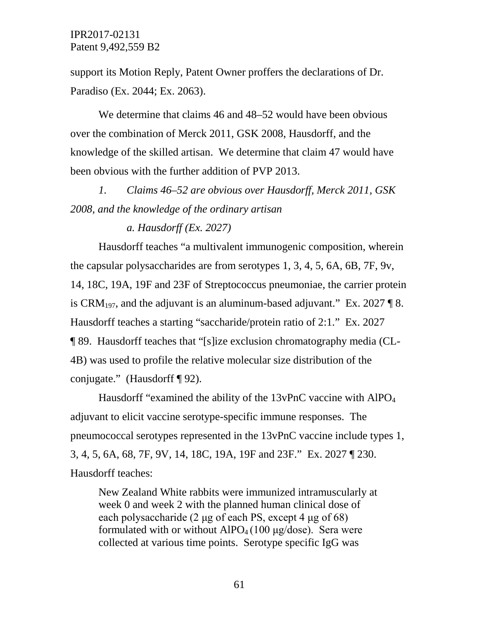support its Motion Reply, Patent Owner proffers the declarations of Dr. Paradiso (Ex. 2044; Ex. 2063).

We determine that claims 46 and 48–52 would have been obvious over the combination of Merck 2011, GSK 2008, Hausdorff, and the knowledge of the skilled artisan. We determine that claim 47 would have been obvious with the further addition of PVP 2013.

*1. Claims 46–52 are obvious over Hausdorff, Merck 2011, GSK 2008, and the knowledge of the ordinary artisan*

### *a. Hausdorff (Ex. 2027)*

Hausdorff teaches "a multivalent immunogenic composition, wherein the capsular polysaccharides are from serotypes 1, 3, 4, 5, 6A, 6B, 7F, 9v, 14, 18C, 19A, 19F and 23F of Streptococcus pneumoniae, the carrier protein is CRM<sub>197</sub>, and the adjuvant is an aluminum-based adjuvant." Ex. 2027  $\parallel$  8. Hausdorff teaches a starting "saccharide/protein ratio of 2:1." Ex. 2027 ¶ 89. Hausdorff teaches that "[s]ize exclusion chromatography media (CL-4B) was used to profile the relative molecular size distribution of the conjugate." (Hausdorff ¶ 92).

Hausdorff "examined the ability of the 13vPnC vaccine with AlPO<sub>4</sub> adjuvant to elicit vaccine serotype-specific immune responses. The pneumococcal serotypes represented in the 13vPnC vaccine include types 1, 3, 4, 5, 6A, 68, 7F, 9V, 14, 18C, 19A, 19F and 23F." Ex. 2027 ¶ 230. Hausdorff teaches:

New Zealand White rabbits were immunized intramuscularly at week 0 and week 2 with the planned human clinical dose of each polysaccharide (2 μg of each PS, except 4 μg of 68) formulated with or without  $AIPO<sub>4</sub>(100 \mu g/dose)$ . Sera were collected at various time points. Serotype specific IgG was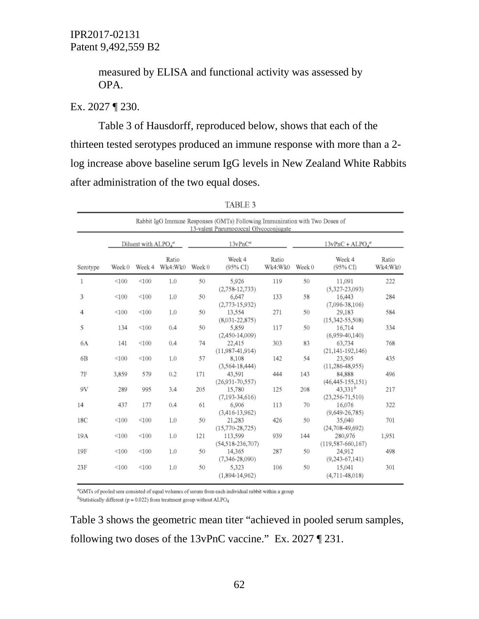measured by ELISA and functional activity was assessed by OPA.

# Ex. 2027 ¶ 230.

Table 3 of Hausdorff, reproduced below, shows that each of the thirteen tested serotypes produced an immune response with more than a 2 log increase above baseline serum IgG levels in New Zealand White Rabbits after administration of the two equal doses.

| Rabbit IgG Immune Responses (GMTs) Following Immunization with Two Doses of<br>13-valent Pneumococcal Glycoconjugate |                       |        |                  |            |                                   |                  |                   |                                     |                  |
|----------------------------------------------------------------------------------------------------------------------|-----------------------|--------|------------------|------------|-----------------------------------|------------------|-------------------|-------------------------------------|------------------|
|                                                                                                                      | Diluent with $ALPOAa$ |        |                  | $13vPnC^a$ |                                   |                  | $13vPnC + ALPO4a$ |                                     |                  |
| Serotype                                                                                                             | Week 0                | Week 4 | Ratio<br>Wk4:Wk0 | Week 0     | Week 4<br>(95% CI)                | Ratio<br>Wk4:Wk0 | Week 0            | Week 4<br>$(95\%$ CI                | Ratio<br>Wk4:Wk0 |
| 1                                                                                                                    | < 100                 | < 100  | 1.0              | 50         | 5.926<br>$(2,758-12,733)$         | 119              | 50                | 11,091<br>$(5,327-23,093)$          | 222              |
| 3                                                                                                                    | < 100                 | < 100  | 1.0              | 50         | 6,647<br>$(2,773-15,932)$         | 133              | 58                | 16.443<br>$(7,096-38,106)$          | 284              |
| 4                                                                                                                    | < 100                 | < 100  | 1.0              | 50         | 13.554<br>$(8,031-22,875)$        | 271              | 50                | 29,183<br>$(15,342 - 55,508)$       | 584              |
| 5                                                                                                                    | 134                   | < 100  | 0.4              | 50         | 5,859<br>$(2,450-14,009)$         | 117              | 50                | 16,714<br>$(6.959 - 40.140)$        | 334              |
| 6A                                                                                                                   | 141                   | < 100  | 0.4              | 74         | 22,415<br>$(11,987-41,914)$       | 303              | 83                | 63,734<br>$(21, 141 - 192, 146)$    | 768              |
| 6 <sub>B</sub>                                                                                                       | < 100                 | < 100  | 1.0              | 57         | 8,108<br>$(3,564-18,444)$         | 142              | 54                | 23,505<br>$(11, 286 - 48, 955)$     | 435              |
| 7F                                                                                                                   | 3.859                 | 579    | 0.2              | 171        | 43.591<br>$(26,931 - 70,557)$     | 444              | 143               | 84.888<br>$(46, 445 - 155, 151)$    | 496              |
| 9V                                                                                                                   | 289                   | 995    | 3.4              | 205        | 15,780<br>$(7.193 - 34.616)$      | 125              | 208               | $43,331^b$<br>$(23, 256 - 71, 510)$ | 217              |
| 14                                                                                                                   | 437                   | 177    | 0.4              | 61         | 6.906<br>$(3,416-13,962)$         | 113              | 70                | 16.076<br>$(9,649 - 26,785)$        | 322              |
| 18C                                                                                                                  | < 100                 | < 100  | 1.0              | 50         | 21,283<br>$(15,770-28,725)$       | 426              | 50                | 35,040<br>$(24, 708 - 49, 692)$     | 701              |
| 19A                                                                                                                  | < 100                 | < 100  | 1.0              | 121        | 113,599<br>$(54, 518 - 236, 707)$ | 939              | 144               | 280,976<br>$(119, 587 - 660, 167)$  | 1,951            |
| 19F                                                                                                                  | < 100                 | < 100  | 1.0              | 50         | 14,365<br>$(7,346 - 28,090)$      | 287              | 50                | 24,912<br>$(9, 243 - 67, 141)$      | 498              |
| 23F                                                                                                                  | < 100                 | < 100  | 1.0              | 50         | 5.323<br>$(1,894-14,962)$         | 106              | 50                | 15,041<br>$(4,711 - 48,018)$        | 301              |

| TABLE 3 |  |  |
|---------|--|--|
|         |  |  |

<sup>a</sup>GMTs of pooled sera consisted of equal volumes of serum from each individual rabbit within a group <sup>b</sup>Statistically different ( $p = 0.022$ ) from treatment group without ALPO<sub>4</sub>

Table 3 shows the geometric mean titer "achieved in pooled serum samples, following two doses of the 13vPnC vaccine." Ex. 2027 ¶ 231.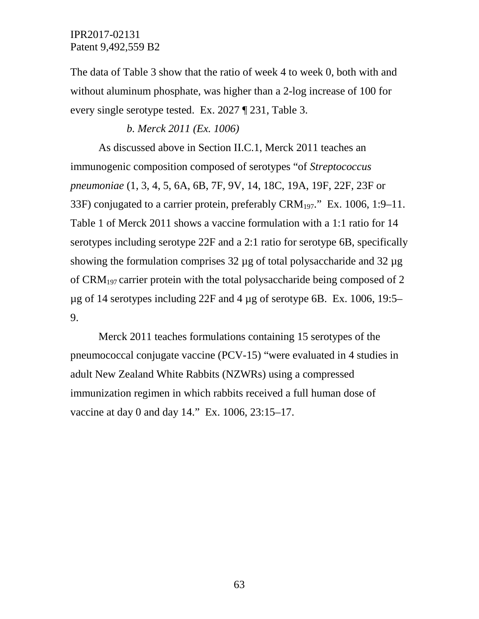The data of Table 3 show that the ratio of week 4 to week 0, both with and without aluminum phosphate, was higher than a 2-log increase of 100 for every single serotype tested. Ex. 2027 ¶ 231, Table 3.

### *b. Merck 2011 (Ex. 1006)*

As discussed above in Section II.C.1, Merck 2011 teaches an immunogenic composition composed of serotypes "of *Streptococcus pneumoniae* (1, 3, 4, 5, 6A, 6B, 7F, 9V, 14, 18C, 19A, 19F, 22F, 23F or 33F) conjugated to a carrier protein, preferably  $\text{CRM}_{197}$ ." Ex. 1006, 1:9–11. Table 1 of Merck 2011 shows a vaccine formulation with a 1:1 ratio for 14 serotypes including serotype 22F and a 2:1 ratio for serotype 6B, specifically showing the formulation comprises 32 µg of total polysaccharide and 32 µg of CRM197 carrier protein with the total polysaccharide being composed of 2  $\mu$ g of 14 serotypes including 22F and 4  $\mu$ g of serotype 6B. Ex. 1006, 19:5– 9.

Merck 2011 teaches formulations containing 15 serotypes of the pneumococcal conjugate vaccine (PCV-15) "were evaluated in 4 studies in adult New Zealand White Rabbits (NZWRs) using a compressed immunization regimen in which rabbits received a full human dose of vaccine at day 0 and day 14." Ex. 1006, 23:15–17.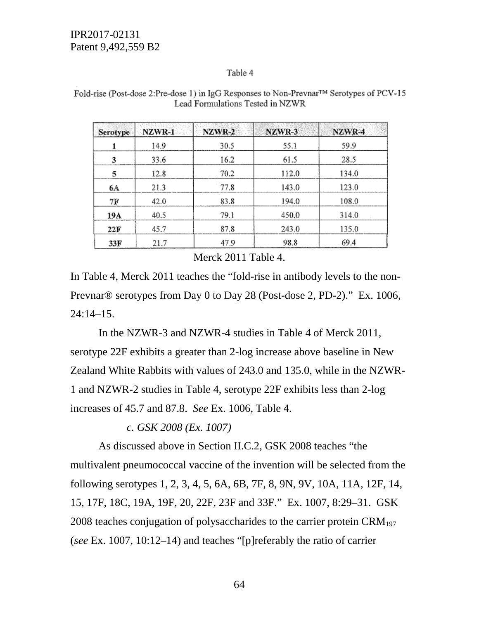#### Table 4

| <b>Serotype</b> | NZWR-1 | NZWR-2 | NZWR-3 | NZWR-4 |
|-----------------|--------|--------|--------|--------|
|                 | 14.9   | 30.5   | 55.1   | 59.9   |
| 3               | 33.6   | 16.2   | 61.5   | 28.5   |
| 5               | 12.8   | 70.2   | 112.0  | 134.0  |
| 6A              | 21.3   | 77.8   | 143.0  | 123.0  |
| 7F              | 42.0   | 83.8   | 194.0  | 108.0  |
| 19A             | 40.5   | 79.1   | 450.0  | 314.0  |
| 22F             | 45.7   | 87.8   | 243.0  | 135.0  |
| 33F             | 21.7   | 47.9   | 98.8   | 69.4   |

Fold-rise (Post-dose 2:Pre-dose 1) in IgG Responses to Non-Prevnar™ Serotypes of PCV-15 Lead Formulations Tested in NZWR

Merck 2011 Table 4.

In Table 4, Merck 2011 teaches the "fold-rise in antibody levels to the non-Prevnar® serotypes from Day 0 to Day 28 (Post-dose 2, PD-2)." Ex. 1006,  $24:14-15.$ 

In the NZWR-3 and NZWR-4 studies in Table 4 of Merck 2011, serotype 22F exhibits a greater than 2-log increase above baseline in New Zealand White Rabbits with values of 243.0 and 135.0, while in the NZWR-1 and NZWR-2 studies in Table 4, serotype 22F exhibits less than 2-log increases of 45.7 and 87.8. *See* Ex. 1006, Table 4.

# *c. GSK 2008 (Ex. 1007)*

As discussed above in Section II.C.2, GSK 2008 teaches "the multivalent pneumococcal vaccine of the invention will be selected from the following serotypes 1, 2, 3, 4, 5, 6A, 6B, 7F, 8, 9N, 9V, 10A, 11A, 12F, 14, 15, 17F, 18C, 19A, 19F, 20, 22F, 23F and 33F." Ex. 1007, 8:29–31. GSK 2008 teaches conjugation of polysaccharides to the carrier protein  $\rm{CRM}_{197}$ (*see* Ex. 1007, 10:12–14) and teaches "[p]referably the ratio of carrier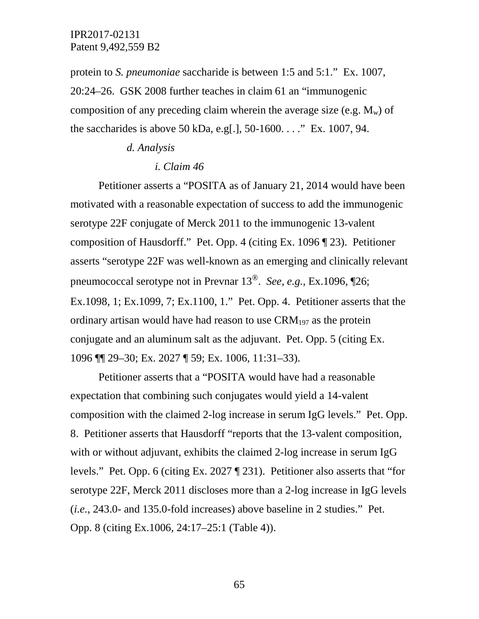protein to *S. pneumoniae* saccharide is between 1:5 and 5:1." Ex. 1007, 20:24–26. GSK 2008 further teaches in claim 61 an "immunogenic composition of any preceding claim wherein the average size (e.g.  $M_w$ ) of the saccharides is above 50 kDa, e.g[.], 50-1600. . . ." Ex. 1007, 94.

### *d. Analysis*

#### *i. Claim 46*

Petitioner asserts a "POSITA as of January 21, 2014 would have been motivated with a reasonable expectation of success to add the immunogenic serotype 22F conjugate of Merck 2011 to the immunogenic 13-valent composition of Hausdorff." Pet. Opp. 4 (citing Ex. 1096 ¶ 23). Petitioner asserts "serotype 22F was well-known as an emerging and clinically relevant pneumococcal serotype not in Prevnar 13®. *See, e.g.,* Ex.1096, ¶26; Ex.1098, 1; Ex.1099, 7; Ex.1100, 1." Pet. Opp. 4. Petitioner asserts that the ordinary artisan would have had reason to use  $\rm{CRM}_{197}$  as the protein conjugate and an aluminum salt as the adjuvant. Pet. Opp. 5 (citing Ex. 1096 ¶¶ 29–30; Ex. 2027 ¶ 59; Ex. 1006, 11:31–33).

Petitioner asserts that a "POSITA would have had a reasonable expectation that combining such conjugates would yield a 14-valent composition with the claimed 2-log increase in serum IgG levels." Pet. Opp. 8. Petitioner asserts that Hausdorff "reports that the 13-valent composition, with or without adjuvant, exhibits the claimed 2-log increase in serum IgG levels." Pet. Opp. 6 (citing Ex. 2027 ¶ 231). Petitioner also asserts that "for serotype 22F, Merck 2011 discloses more than a 2-log increase in IgG levels (*i.e.*, 243.0- and 135.0-fold increases) above baseline in 2 studies." Pet. Opp. 8 (citing Ex.1006, 24:17–25:1 (Table 4)).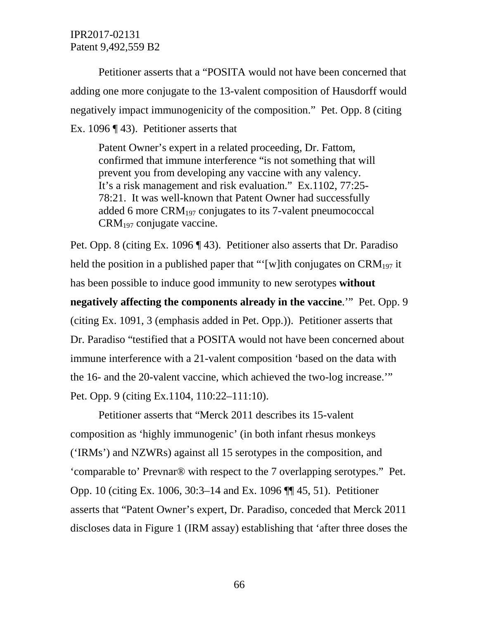Petitioner asserts that a "POSITA would not have been concerned that adding one more conjugate to the 13-valent composition of Hausdorff would negatively impact immunogenicity of the composition." Pet. Opp. 8 (citing Ex. 1096 ¶ 43). Petitioner asserts that

Patent Owner's expert in a related proceeding, Dr. Fattom, confirmed that immune interference "is not something that will prevent you from developing any vaccine with any valency. It's a risk management and risk evaluation." Ex.1102, 77:25- 78:21. It was well-known that Patent Owner had successfully added 6 more CRM197 conjugates to its 7-valent pneumococcal CRM197 conjugate vaccine.

Pet. Opp. 8 (citing Ex. 1096 ¶ 43). Petitioner also asserts that Dr. Paradiso held the position in a published paper that "'[w]ith conjugates on  $\text{CRM}_{197}$  it has been possible to induce good immunity to new serotypes **without negatively affecting the components already in the vaccine**.'" Pet. Opp. 9 (citing Ex. 1091, 3 (emphasis added in Pet. Opp.)). Petitioner asserts that Dr. Paradiso "testified that a POSITA would not have been concerned about immune interference with a 21-valent composition 'based on the data with the 16- and the 20-valent vaccine, which achieved the two-log increase.'" Pet. Opp. 9 (citing Ex.1104, 110:22–111:10).

Petitioner asserts that "Merck 2011 describes its 15-valent composition as 'highly immunogenic' (in both infant rhesus monkeys ('IRMs') and NZWRs) against all 15 serotypes in the composition, and 'comparable to' Prevnar® with respect to the 7 overlapping serotypes." Pet. Opp. 10 (citing Ex. 1006, 30:3–14 and Ex. 1096 ¶¶ 45, 51). Petitioner asserts that "Patent Owner's expert, Dr. Paradiso, conceded that Merck 2011 discloses data in Figure 1 (IRM assay) establishing that 'after three doses the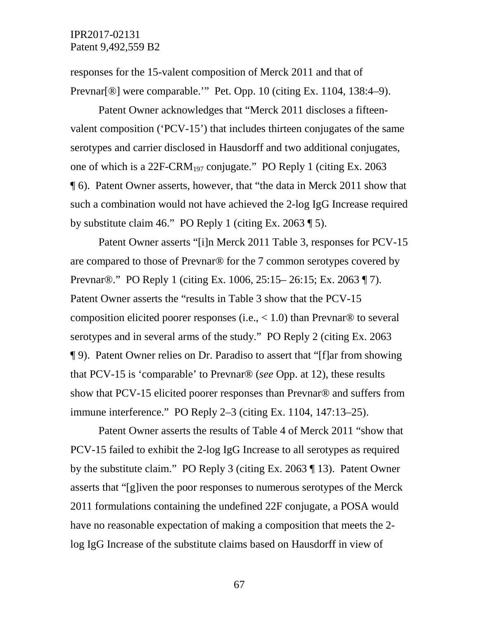responses for the 15-valent composition of Merck 2011 and that of Prevnar[®] were comparable.'" Pet. Opp. 10 (citing Ex. 1104, 138:4–9).

Patent Owner acknowledges that "Merck 2011 discloses a fifteenvalent composition ('PCV-15') that includes thirteen conjugates of the same serotypes and carrier disclosed in Hausdorff and two additional conjugates, one of which is a 22F-CRM<sub>197</sub> conjugate." PO Reply 1 (citing Ex. 2063) ¶ 6). Patent Owner asserts, however, that "the data in Merck 2011 show that such a combination would not have achieved the 2-log IgG Increase required by substitute claim 46." PO Reply 1 (citing Ex. 2063 ¶ 5).

Patent Owner asserts "[i]n Merck 2011 Table 3, responses for PCV-15 are compared to those of Prevnar® for the 7 common serotypes covered by Prevnar®." PO Reply 1 (citing Ex. 1006, 25:15– 26:15; Ex. 2063 ¶ 7). Patent Owner asserts the "results in Table 3 show that the PCV-15 composition elicited poorer responses (i.e.,  $< 1.0$ ) than Prevnar<sup>®</sup> to several serotypes and in several arms of the study." PO Reply 2 (citing Ex. 2063 ¶ 9). Patent Owner relies on Dr. Paradiso to assert that "[f]ar from showing that PCV-15 is 'comparable' to Prevnar® (*see* Opp. at 12), these results show that PCV-15 elicited poorer responses than Prevnar® and suffers from immune interference." PO Reply 2–3 (citing Ex. 1104, 147:13–25).

Patent Owner asserts the results of Table 4 of Merck 2011 "show that PCV-15 failed to exhibit the 2-log IgG Increase to all serotypes as required by the substitute claim." PO Reply 3 (citing Ex. 2063 ¶ 13). Patent Owner asserts that "[g]iven the poor responses to numerous serotypes of the Merck 2011 formulations containing the undefined 22F conjugate, a POSA would have no reasonable expectation of making a composition that meets the 2 log IgG Increase of the substitute claims based on Hausdorff in view of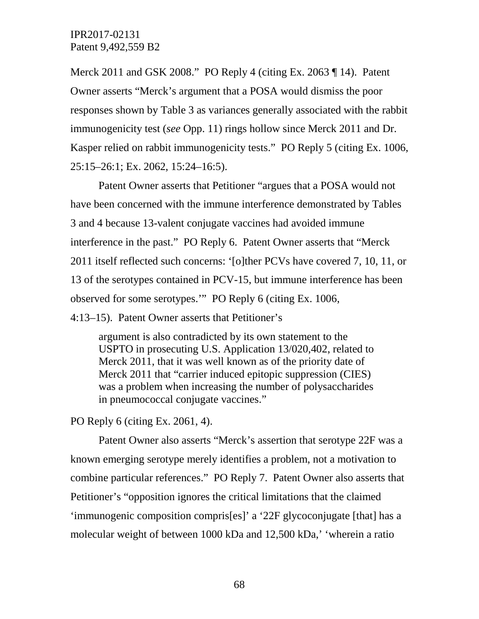Merck 2011 and GSK 2008." PO Reply 4 (citing Ex. 2063 ¶ 14). Patent Owner asserts "Merck's argument that a POSA would dismiss the poor responses shown by Table 3 as variances generally associated with the rabbit immunogenicity test (*see* Opp. 11) rings hollow since Merck 2011 and Dr. Kasper relied on rabbit immunogenicity tests." PO Reply 5 (citing Ex. 1006, 25:15–26:1; Ex. 2062, 15:24–16:5).

Patent Owner asserts that Petitioner "argues that a POSA would not have been concerned with the immune interference demonstrated by Tables 3 and 4 because 13-valent conjugate vaccines had avoided immune interference in the past." PO Reply 6. Patent Owner asserts that "Merck 2011 itself reflected such concerns: '[o]ther PCVs have covered 7, 10, 11, or 13 of the serotypes contained in PCV-15, but immune interference has been observed for some serotypes.'" PO Reply 6 (citing Ex. 1006,

4:13–15). Patent Owner asserts that Petitioner's

argument is also contradicted by its own statement to the USPTO in prosecuting U.S. Application 13/020,402, related to Merck 2011, that it was well known as of the priority date of Merck 2011 that "carrier induced epitopic suppression (CIES) was a problem when increasing the number of polysaccharides in pneumococcal conjugate vaccines."

PO Reply 6 (citing Ex. 2061, 4).

Patent Owner also asserts "Merck's assertion that serotype 22F was a known emerging serotype merely identifies a problem, not a motivation to combine particular references." PO Reply 7. Patent Owner also asserts that Petitioner's "opposition ignores the critical limitations that the claimed 'immunogenic composition compris[es]' a '22F glycoconjugate [that] has a molecular weight of between 1000 kDa and 12,500 kDa,' 'wherein a ratio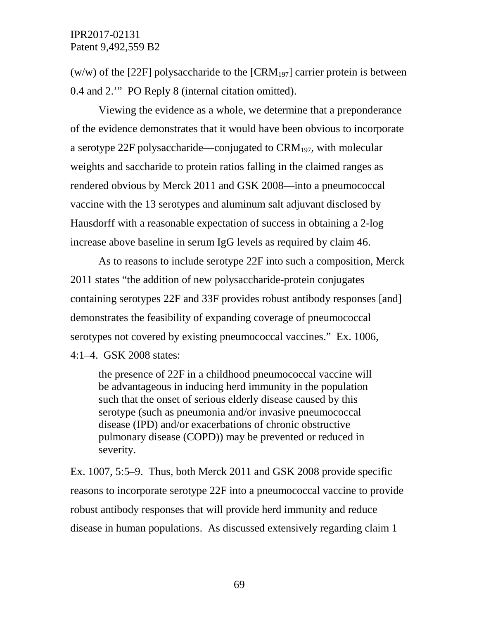(w/w) of the [22F] polysaccharide to the  $\text{[CRM}_{197}]$  carrier protein is between 0.4 and 2.'" PO Reply 8 (internal citation omitted).

Viewing the evidence as a whole, we determine that a preponderance of the evidence demonstrates that it would have been obvious to incorporate a serotype 22F polysaccharide—conjugated to  $\text{CRM}_{197}$ , with molecular weights and saccharide to protein ratios falling in the claimed ranges as rendered obvious by Merck 2011 and GSK 2008—into a pneumococcal vaccine with the 13 serotypes and aluminum salt adjuvant disclosed by Hausdorff with a reasonable expectation of success in obtaining a 2-log increase above baseline in serum IgG levels as required by claim 46.

As to reasons to include serotype 22F into such a composition, Merck 2011 states "the addition of new polysaccharide-protein conjugates containing serotypes 22F and 33F provides robust antibody responses [and] demonstrates the feasibility of expanding coverage of pneumococcal serotypes not covered by existing pneumococcal vaccines." Ex. 1006, 4:1–4. GSK 2008 states:

the presence of 22F in a childhood pneumococcal vaccine will be advantageous in inducing herd immunity in the population such that the onset of serious elderly disease caused by this serotype (such as pneumonia and/or invasive pneumococcal disease (IPD) and/or exacerbations of chronic obstructive pulmonary disease (COPD)) may be prevented or reduced in severity.

Ex. 1007, 5:5–9. Thus, both Merck 2011 and GSK 2008 provide specific reasons to incorporate serotype 22F into a pneumococcal vaccine to provide robust antibody responses that will provide herd immunity and reduce disease in human populations. As discussed extensively regarding claim 1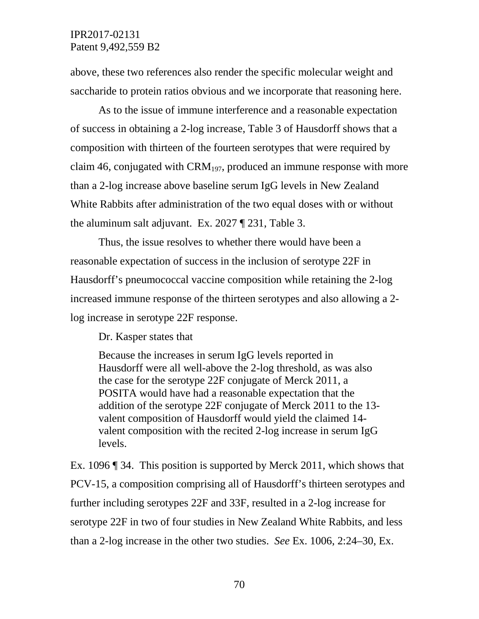above, these two references also render the specific molecular weight and saccharide to protein ratios obvious and we incorporate that reasoning here.

As to the issue of immune interference and a reasonable expectation of success in obtaining a 2-log increase, Table 3 of Hausdorff shows that a composition with thirteen of the fourteen serotypes that were required by claim 46, conjugated with  $\text{CRM}_{197}$ , produced an immune response with more than a 2-log increase above baseline serum IgG levels in New Zealand White Rabbits after administration of the two equal doses with or without the aluminum salt adjuvant. Ex. 2027 ¶ 231, Table 3.

Thus, the issue resolves to whether there would have been a reasonable expectation of success in the inclusion of serotype 22F in Hausdorff's pneumococcal vaccine composition while retaining the 2-log increased immune response of the thirteen serotypes and also allowing a 2 log increase in serotype 22F response.

Dr. Kasper states that

Because the increases in serum IgG levels reported in Hausdorff were all well-above the 2-log threshold, as was also the case for the serotype 22F conjugate of Merck 2011, a POSITA would have had a reasonable expectation that the addition of the serotype 22F conjugate of Merck 2011 to the 13 valent composition of Hausdorff would yield the claimed 14 valent composition with the recited 2-log increase in serum IgG levels.

Ex. 1096 ¶ 34. This position is supported by Merck 2011, which shows that PCV-15, a composition comprising all of Hausdorff's thirteen serotypes and further including serotypes 22F and 33F, resulted in a 2-log increase for serotype 22F in two of four studies in New Zealand White Rabbits, and less than a 2-log increase in the other two studies. *See* Ex. 1006, 2:24–30, Ex.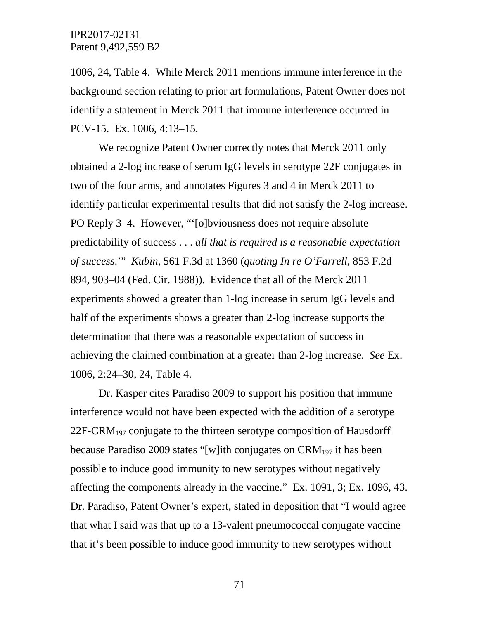1006, 24, Table 4. While Merck 2011 mentions immune interference in the background section relating to prior art formulations, Patent Owner does not identify a statement in Merck 2011 that immune interference occurred in PCV-15. Ex. 1006, 4:13–15.

We recognize Patent Owner correctly notes that Merck 2011 only obtained a 2-log increase of serum IgG levels in serotype 22F conjugates in two of the four arms, and annotates Figures 3 and 4 in Merck 2011 to identify particular experimental results that did not satisfy the 2-log increase. PO Reply 3–4. However, "'[o]bviousness does not require absolute predictability of success . . . *all that is required is a reasonable expectation of success*.'" *Kubin*, 561 F.3d at 1360 (*quoting In re O'Farrell*, 853 F.2d 894, 903–04 (Fed. Cir. 1988)). Evidence that all of the Merck 2011 experiments showed a greater than 1-log increase in serum IgG levels and half of the experiments shows a greater than 2-log increase supports the determination that there was a reasonable expectation of success in achieving the claimed combination at a greater than 2-log increase. *See* Ex. 1006, 2:24–30, 24, Table 4.

Dr. Kasper cites Paradiso 2009 to support his position that immune interference would not have been expected with the addition of a serotype 22F-CRM197 conjugate to the thirteen serotype composition of Hausdorff because Paradiso 2009 states "[w]ith conjugates on  $\text{CRM}_{197}$  it has been possible to induce good immunity to new serotypes without negatively affecting the components already in the vaccine." Ex. 1091, 3; Ex. 1096, 43. Dr. Paradiso, Patent Owner's expert, stated in deposition that "I would agree that what I said was that up to a 13-valent pneumococcal conjugate vaccine that it's been possible to induce good immunity to new serotypes without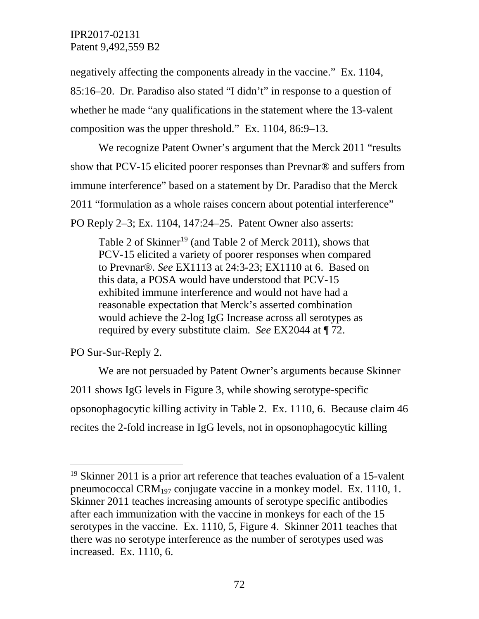negatively affecting the components already in the vaccine." Ex. 1104, 85:16–20. Dr. Paradiso also stated "I didn't" in response to a question of whether he made "any qualifications in the statement where the 13-valent composition was the upper threshold." Ex. 1104, 86:9–13.

We recognize Patent Owner's argument that the Merck 2011 "results show that PCV-15 elicited poorer responses than Prevnar® and suffers from immune interference" based on a statement by Dr. Paradiso that the Merck 2011 "formulation as a whole raises concern about potential interference" PO Reply 2–3; Ex. 1104, 147:24–25. Patent Owner also asserts:

Table 2 of Skinner<sup>[19](#page-71-0)</sup> (and Table 2 of Merck 2011), shows that PCV-15 elicited a variety of poorer responses when compared to Prevnar®. *See* EX1113 at 24:3-23; EX1110 at 6. Based on this data, a POSA would have understood that PCV-15 exhibited immune interference and would not have had a reasonable expectation that Merck's asserted combination would achieve the 2-log IgG Increase across all serotypes as required by every substitute claim. *See* EX2044 at ¶ 72.

PO Sur-Sur-Reply 2.

We are not persuaded by Patent Owner's arguments because Skinner 2011 shows IgG levels in Figure 3, while showing serotype-specific opsonophagocytic killing activity in Table 2. Ex. 1110, 6. Because claim 46 recites the 2-fold increase in IgG levels, not in opsonophagocytic killing

<span id="page-71-0"></span> <sup>19</sup> Skinner 2011 is a prior art reference that teaches evaluation of a 15-valent pneumococcal CRM<sub>197</sub> conjugate vaccine in a monkey model. Ex. 1110, 1. Skinner 2011 teaches increasing amounts of serotype specific antibodies after each immunization with the vaccine in monkeys for each of the 15 serotypes in the vaccine. Ex. 1110, 5, Figure 4. Skinner 2011 teaches that there was no serotype interference as the number of serotypes used was increased. Ex. 1110, 6.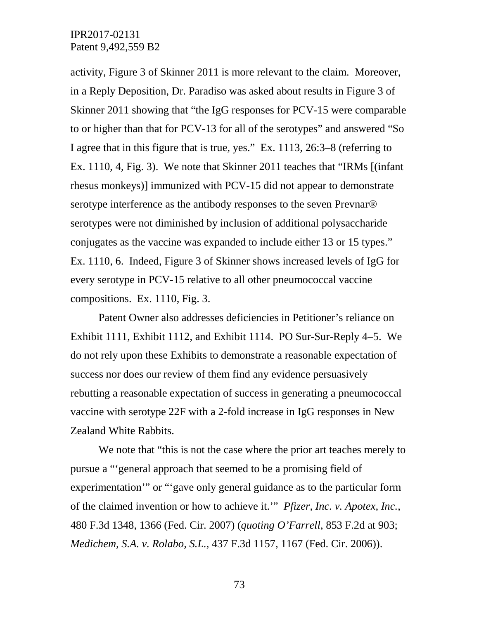activity, Figure 3 of Skinner 2011 is more relevant to the claim. Moreover, in a Reply Deposition, Dr. Paradiso was asked about results in Figure 3 of Skinner 2011 showing that "the IgG responses for PCV-15 were comparable to or higher than that for PCV-13 for all of the serotypes" and answered "So I agree that in this figure that is true, yes." Ex. 1113, 26:3–8 (referring to Ex. 1110, 4, Fig. 3). We note that Skinner 2011 teaches that "IRMs [(infant rhesus monkeys)] immunized with PCV-15 did not appear to demonstrate serotype interference as the antibody responses to the seven Prevnar<sup>®</sup> serotypes were not diminished by inclusion of additional polysaccharide conjugates as the vaccine was expanded to include either 13 or 15 types." Ex. 1110, 6. Indeed, Figure 3 of Skinner shows increased levels of IgG for every serotype in PCV-15 relative to all other pneumococcal vaccine compositions. Ex. 1110, Fig. 3.

Patent Owner also addresses deficiencies in Petitioner's reliance on Exhibit 1111, Exhibit 1112, and Exhibit 1114. PO Sur-Sur-Reply 4–5. We do not rely upon these Exhibits to demonstrate a reasonable expectation of success nor does our review of them find any evidence persuasively rebutting a reasonable expectation of success in generating a pneumococcal vaccine with serotype 22F with a 2-fold increase in IgG responses in New Zealand White Rabbits.

We note that "this is not the case where the prior art teaches merely to pursue a "'general approach that seemed to be a promising field of experimentation'" or "'gave only general guidance as to the particular form of the claimed invention or how to achieve it.'" *Pfizer, Inc. v. Apotex, Inc.*, 480 F.3d 1348, 1366 (Fed. Cir. 2007) (*quoting O'Farrell*, 853 F.2d at 903; *Medichem, S.A. v. Rolabo, S.L.*, 437 F.3d 1157, 1167 (Fed. Cir. 2006)).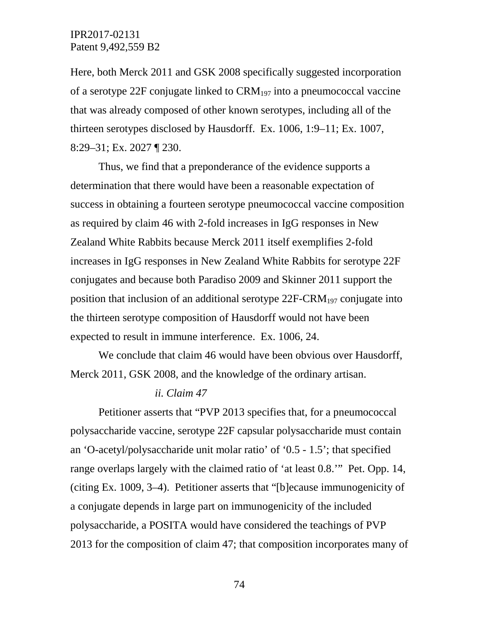Here, both Merck 2011 and GSK 2008 specifically suggested incorporation of a serotype 22F conjugate linked to  $\text{CRM}_{197}$  into a pneumococcal vaccine that was already composed of other known serotypes, including all of the thirteen serotypes disclosed by Hausdorff. Ex. 1006, 1:9–11; Ex. 1007, 8:29–31; Ex. 2027 ¶ 230.

Thus, we find that a preponderance of the evidence supports a determination that there would have been a reasonable expectation of success in obtaining a fourteen serotype pneumococcal vaccine composition as required by claim 46 with 2-fold increases in IgG responses in New Zealand White Rabbits because Merck 2011 itself exemplifies 2-fold increases in IgG responses in New Zealand White Rabbits for serotype 22F conjugates and because both Paradiso 2009 and Skinner 2011 support the position that inclusion of an additional serotype  $22F-CRM<sub>197</sub>$  conjugate into the thirteen serotype composition of Hausdorff would not have been expected to result in immune interference. Ex. 1006, 24.

We conclude that claim 46 would have been obvious over Hausdorff, Merck 2011, GSK 2008, and the knowledge of the ordinary artisan.

#### *ii. Claim 47*

Petitioner asserts that "PVP 2013 specifies that, for a pneumococcal polysaccharide vaccine, serotype 22F capsular polysaccharide must contain an 'O-acetyl/polysaccharide unit molar ratio' of '0.5 - 1.5'; that specified range overlaps largely with the claimed ratio of 'at least 0.8.'" Pet. Opp. 14, (citing Ex. 1009, 3–4). Petitioner asserts that "[b]ecause immunogenicity of a conjugate depends in large part on immunogenicity of the included polysaccharide, a POSITA would have considered the teachings of PVP 2013 for the composition of claim 47; that composition incorporates many of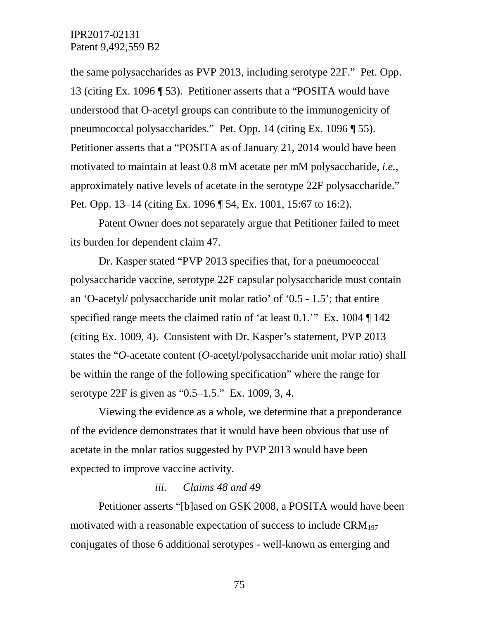the same polysaccharides as PVP 2013, including serotype 22F." Pet. Opp. 13 (citing Ex. 1096 ¶ 53). Petitioner asserts that a "POSITA would have understood that O-acetyl groups can contribute to the immunogenicity of pneumococcal polysaccharides." Pet. Opp. 14 (citing Ex. 1096 ¶ 55). Petitioner asserts that a "POSITA as of January 21, 2014 would have been motivated to maintain at least 0.8 mM acetate per mM polysaccharide, *i.e.*, approximately native levels of acetate in the serotype 22F polysaccharide." Pet. Opp. 13–14 (citing Ex. 1096 ¶ 54, Ex. 1001, 15:67 to 16:2).

Patent Owner does not separately argue that Petitioner failed to meet its burden for dependent claim 47.

Dr. Kasper stated "PVP 2013 specifies that, for a pneumococcal polysaccharide vaccine, serotype 22F capsular polysaccharide must contain an 'O-acetyl/ polysaccharide unit molar ratio' of '0.5 - 1.5'; that entire specified range meets the claimed ratio of 'at least 0.1.'" Ex. 1004 [ 142 (citing Ex. 1009, 4). Consistent with Dr. Kasper's statement, PVP 2013 states the "*O*-acetate content (*O*-acetyl/polysaccharide unit molar ratio) shall be within the range of the following specification" where the range for serotype 22F is given as "0.5–1.5." Ex. 1009, 3, 4.

Viewing the evidence as a whole, we determine that a preponderance of the evidence demonstrates that it would have been obvious that use of acetate in the molar ratios suggested by PVP 2013 would have been expected to improve vaccine activity.

### *iii. Claims 48 and 49*

Petitioner asserts "[b]ased on GSK 2008, a POSITA would have been motivated with a reasonable expectation of success to include  $CRM_{197}$ conjugates of those 6 additional serotypes - well-known as emerging and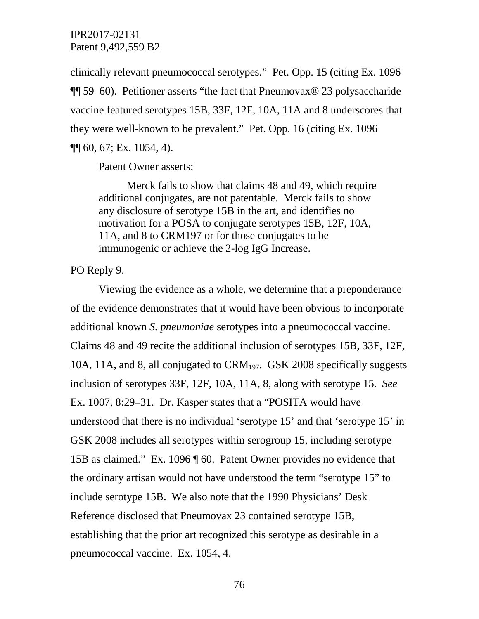clinically relevant pneumococcal serotypes." Pet. Opp. 15 (citing Ex. 1096 ¶¶ 59–60). Petitioner asserts "the fact that Pneumovax® 23 polysaccharide vaccine featured serotypes 15B, 33F, 12F, 10A, 11A and 8 underscores that they were well-known to be prevalent." Pet. Opp. 16 (citing Ex. 1096 ¶¶ 60, 67; Ex. 1054, 4).

Patent Owner asserts:

Merck fails to show that claims 48 and 49, which require additional conjugates, are not patentable. Merck fails to show any disclosure of serotype 15B in the art, and identifies no motivation for a POSA to conjugate serotypes 15B, 12F, 10A, 11A, and 8 to CRM197 or for those conjugates to be immunogenic or achieve the 2-log IgG Increase.

### PO Reply 9.

Viewing the evidence as a whole, we determine that a preponderance of the evidence demonstrates that it would have been obvious to incorporate additional known *S. pneumoniae* serotypes into a pneumococcal vaccine. Claims 48 and 49 recite the additional inclusion of serotypes 15B, 33F, 12F, 10A, 11A, and 8, all conjugated to CRM197. GSK 2008 specifically suggests inclusion of serotypes 33F, 12F, 10A, 11A, 8, along with serotype 15. *See* Ex. 1007, 8:29–31. Dr. Kasper states that a "POSITA would have understood that there is no individual 'serotype 15' and that 'serotype 15' in GSK 2008 includes all serotypes within serogroup 15, including serotype 15B as claimed." Ex. 1096 ¶ 60. Patent Owner provides no evidence that the ordinary artisan would not have understood the term "serotype 15" to include serotype 15B. We also note that the 1990 Physicians' Desk Reference disclosed that Pneumovax 23 contained serotype 15B, establishing that the prior art recognized this serotype as desirable in a pneumococcal vaccine. Ex. 1054, 4.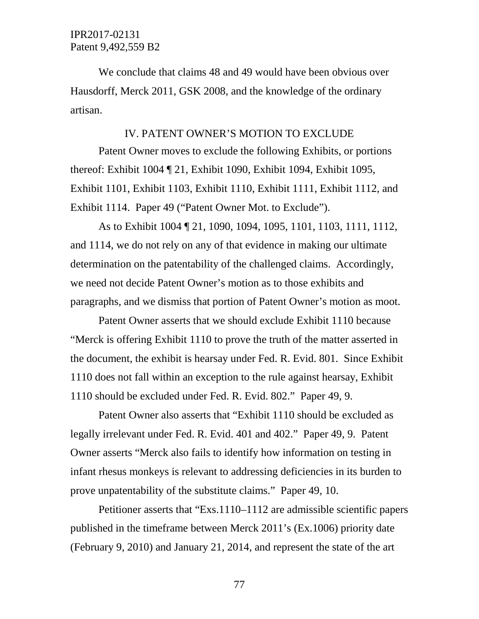We conclude that claims 48 and 49 would have been obvious over Hausdorff, Merck 2011, GSK 2008, and the knowledge of the ordinary artisan.

#### IV. PATENT OWNER'S MOTION TO EXCLUDE

Patent Owner moves to exclude the following Exhibits, or portions thereof: Exhibit 1004 ¶ 21, Exhibit 1090, Exhibit 1094, Exhibit 1095, Exhibit 1101, Exhibit 1103, Exhibit 1110, Exhibit 1111, Exhibit 1112, and Exhibit 1114. Paper 49 ("Patent Owner Mot. to Exclude").

As to Exhibit 1004 ¶ 21, 1090, 1094, 1095, 1101, 1103, 1111, 1112, and 1114, we do not rely on any of that evidence in making our ultimate determination on the patentability of the challenged claims. Accordingly, we need not decide Patent Owner's motion as to those exhibits and paragraphs, and we dismiss that portion of Patent Owner's motion as moot.

Patent Owner asserts that we should exclude Exhibit 1110 because "Merck is offering Exhibit 1110 to prove the truth of the matter asserted in the document, the exhibit is hearsay under Fed. R. Evid. 801. Since Exhibit 1110 does not fall within an exception to the rule against hearsay, Exhibit 1110 should be excluded under Fed. R. Evid. 802." Paper 49, 9.

Patent Owner also asserts that "Exhibit 1110 should be excluded as legally irrelevant under Fed. R. Evid. 401 and 402." Paper 49, 9. Patent Owner asserts "Merck also fails to identify how information on testing in infant rhesus monkeys is relevant to addressing deficiencies in its burden to prove unpatentability of the substitute claims." Paper 49, 10.

Petitioner asserts that "Exs.1110–1112 are admissible scientific papers published in the timeframe between Merck 2011's (Ex.1006) priority date (February 9, 2010) and January 21, 2014, and represent the state of the art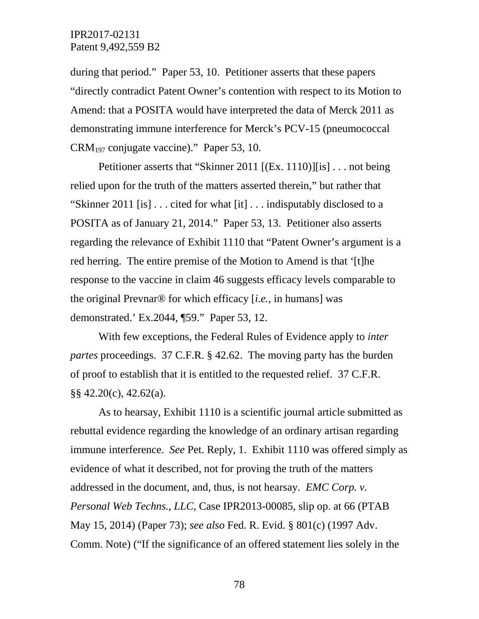during that period." Paper 53, 10. Petitioner asserts that these papers "directly contradict Patent Owner's contention with respect to its Motion to Amend: that a POSITA would have interpreted the data of Merck 2011 as demonstrating immune interference for Merck's PCV-15 (pneumococcal CRM197 conjugate vaccine)." Paper 53, 10.

Petitioner asserts that "Skinner 2011 [(Ex. 1110)][is] . . . not being relied upon for the truth of the matters asserted therein," but rather that "Skinner 2011 [is] . . . cited for what [it] . . . indisputably disclosed to a POSITA as of January 21, 2014." Paper 53, 13. Petitioner also asserts regarding the relevance of Exhibit 1110 that "Patent Owner's argument is a red herring. The entire premise of the Motion to Amend is that '[t]he response to the vaccine in claim 46 suggests efficacy levels comparable to the original Prevnar® for which efficacy [*i.e.*, in humans] was demonstrated.' Ex.2044, ¶59." Paper 53, 12.

With few exceptions, the Federal Rules of Evidence apply to *inter partes* proceedings. 37 C.F.R. § 42.62. The moving party has the burden of proof to establish that it is entitled to the requested relief. 37 C.F.R. §§ 42.20(c), 42.62(a).

As to hearsay, Exhibit 1110 is a scientific journal article submitted as rebuttal evidence regarding the knowledge of an ordinary artisan regarding immune interference. *See* Pet. Reply, 1. Exhibit 1110 was offered simply as evidence of what it described, not for proving the truth of the matters addressed in the document, and, thus, is not hearsay. *EMC Corp. v. Personal Web Techns., LLC*, Case IPR2013-00085, slip op. at 66 (PTAB May 15, 2014) (Paper 73); *see also* Fed. R. Evid. § 801(c) (1997 Adv. Comm. Note) ("If the significance of an offered statement lies solely in the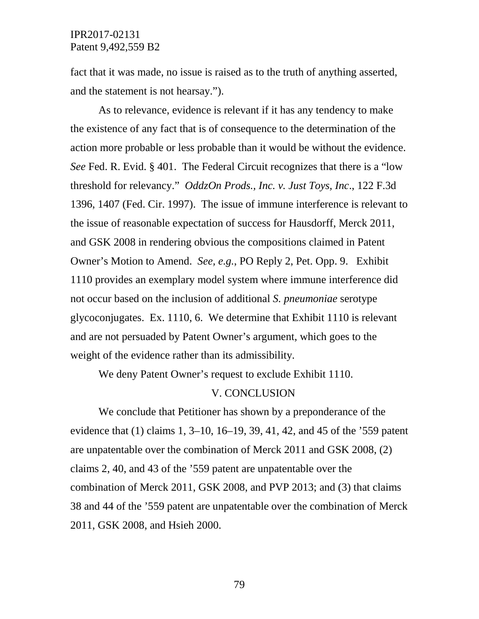fact that it was made, no issue is raised as to the truth of anything asserted, and the statement is not hearsay.").

As to relevance, evidence is relevant if it has any tendency to make the existence of any fact that is of consequence to the determination of the action more probable or less probable than it would be without the evidence. *See* Fed. R. Evid. § 401. The Federal Circuit recognizes that there is a "low threshold for relevancy." *OddzOn Prods., Inc. v. Just Toys, Inc*., 122 F.3d 1396, 1407 (Fed. Cir. 1997). The issue of immune interference is relevant to the issue of reasonable expectation of success for Hausdorff, Merck 2011, and GSK 2008 in rendering obvious the compositions claimed in Patent Owner's Motion to Amend. *See, e.g.*, PO Reply 2, Pet. Opp. 9. Exhibit 1110 provides an exemplary model system where immune interference did not occur based on the inclusion of additional *S. pneumoniae* serotype glycoconjugates. Ex. 1110, 6. We determine that Exhibit 1110 is relevant and are not persuaded by Patent Owner's argument, which goes to the weight of the evidence rather than its admissibility.

We deny Patent Owner's request to exclude Exhibit 1110.

#### V. CONCLUSION

We conclude that Petitioner has shown by a preponderance of the evidence that (1) claims 1, 3–10, 16–19, 39, 41, 42, and 45 of the '559 patent are unpatentable over the combination of Merck 2011 and GSK 2008, (2) claims 2, 40, and 43 of the '559 patent are unpatentable over the combination of Merck 2011, GSK 2008, and PVP 2013; and (3) that claims 38 and 44 of the '559 patent are unpatentable over the combination of Merck 2011, GSK 2008, and Hsieh 2000.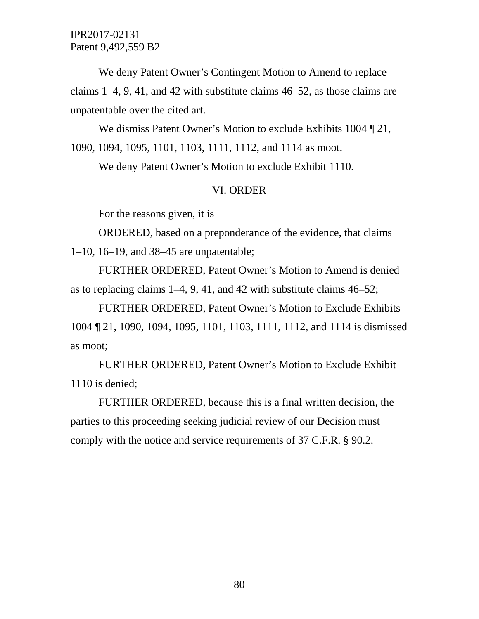We deny Patent Owner's Contingent Motion to Amend to replace claims 1–4, 9, 41, and 42 with substitute claims 46–52, as those claims are unpatentable over the cited art.

We dismiss Patent Owner's Motion to exclude Exhibits 1004 ¶ 21, 1090, 1094, 1095, 1101, 1103, 1111, 1112, and 1114 as moot.

We deny Patent Owner's Motion to exclude Exhibit 1110.

### VI. ORDER

For the reasons given, it is

ORDERED, based on a preponderance of the evidence, that claims 1–10, 16–19, and 38–45 are unpatentable;

FURTHER ORDERED, Patent Owner's Motion to Amend is denied as to replacing claims 1–4, 9, 41, and 42 with substitute claims 46–52;

FURTHER ORDERED, Patent Owner's Motion to Exclude Exhibits 1004 ¶ 21, 1090, 1094, 1095, 1101, 1103, 1111, 1112, and 1114 is dismissed as moot;

FURTHER ORDERED, Patent Owner's Motion to Exclude Exhibit 1110 is denied;

FURTHER ORDERED, because this is a final written decision, the parties to this proceeding seeking judicial review of our Decision must comply with the notice and service requirements of 37 C.F.R. § 90.2.